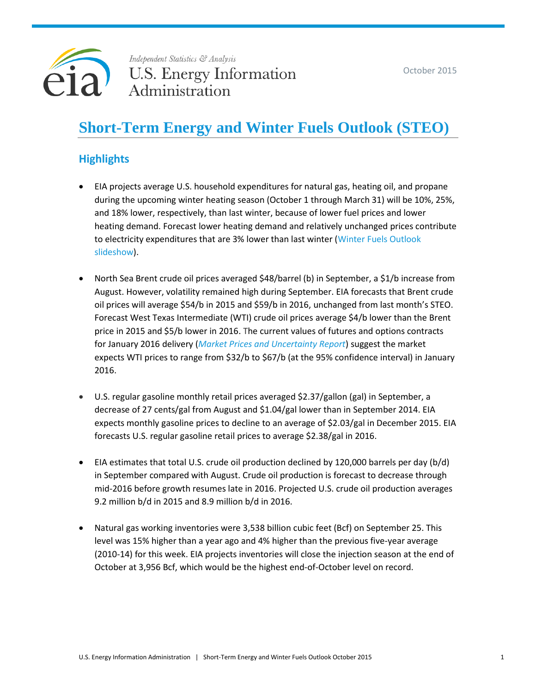



Independent Statistics & Analysis **U.S. Energy Information** Administration

# **Short-Term Energy and Winter Fuels Outlook (STEO)**

# **Highlights**

- EIA projects average U.S. household expenditures for natural gas, heating oil, and propane during the upcoming winter heating season (October 1 through March 31) will be 10%, 25%, and 18% lower, respectively, than last winter, because of lower fuel prices and lower heating demand. Forecast lower heating demand and relatively unchanged prices contribute to electricity expenditures that are 3% lower than last winter [\(Winter Fuels Outlook](http://www.eia.gov/forecasts/steo/special/winter/2015_winter_fuels.pdf)  [slideshow\)](http://www.eia.gov/forecasts/steo/special/winter/2015_winter_fuels.pdf).
- North Sea Brent crude oil prices averaged \$48/barrel (b) in September, a \$1/b increase from August. However, volatility remained high during September. EIA forecasts that Brent crude oil prices will average \$54/b in 2015 and \$59/b in 2016, unchanged from last month's STEO. Forecast West Texas Intermediate (WTI) crude oil prices average \$4/b lower than the Brent price in 2015 and \$5/b lower in 2016. The current values of futures and options contracts for January 2016 delivery (*[Market Prices and Uncertainty Report](http://www.eia.gov/forecasts/steo/uncertainty/index.cfm)*) suggest the market expects WTI prices to range from \$32/b to \$67/b (at the 95% confidence interval) in January 2016.
- U.S. regular gasoline monthly retail prices averaged \$2.37/gallon (gal) in September, a decrease of 27 cents/gal from August and \$1.04/gal lower than in September 2014. EIA expects monthly gasoline prices to decline to an average of \$2.03/gal in December 2015. EIA forecasts U.S. regular gasoline retail prices to average \$2.38/gal in 2016.
- EIA estimates that total U.S. crude oil production declined by 120,000 barrels per day (b/d) in September compared with August. Crude oil production is forecast to decrease through mid-2016 before growth resumes late in 2016. Projected U.S. crude oil production averages 9.2 million b/d in 2015 and 8.9 million b/d in 2016.
- Natural gas working inventories were 3,538 billion cubic feet (Bcf) on September 25. This level was 15% higher than a year ago and 4% higher than the previous five-year average (2010-14) for this week. EIA projects inventories will close the injection season at the end of October at 3,956 Bcf, which would be the highest end-of-October level on record.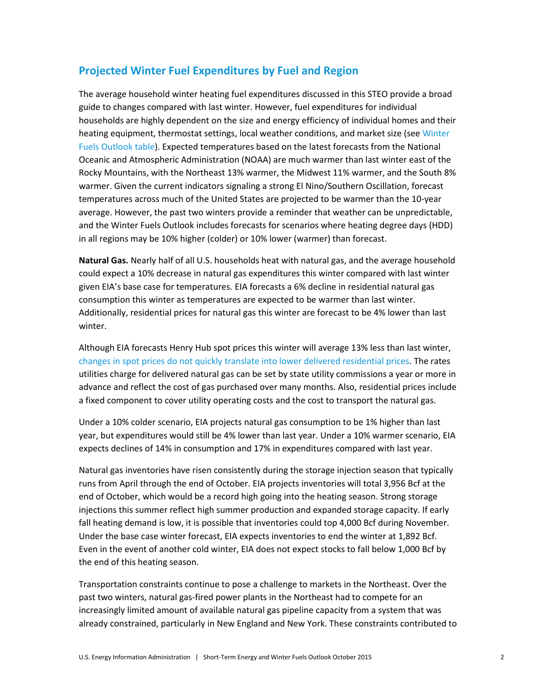# **Projected Winter Fuel Expenditures by Fuel and Region**

The average household winter heating fuel expenditures discussed in this STEO provide a broad guide to changes compared with last winter. However, fuel expenditures for individual households are highly dependent on the size and energy efficiency of individual homes and their heating equipment, thermostat settings, local weather conditions, and market size (see Winter [Fuels Outlook table\)](http://www.eia.gov/forecasts/steo/tables/pdf/wf-table.pdf). Expected temperatures based on the latest forecasts from the National Oceanic and Atmospheric Administration (NOAA) are much warmer than last winter east of the Rocky Mountains, with the Northeast 13% warmer, the Midwest 11% warmer, and the South 8% warmer. Given the current indicators signaling a strong El Nino/Southern Oscillation, forecast temperatures across much of the United States are projected to be warmer than the 10-year average. However, the past two winters provide a reminder that weather can be unpredictable, and the Winter Fuels Outlook includes forecasts for scenarios where heating degree days (HDD) in all regions may be 10% higher (colder) or 10% lower (warmer) than forecast.

**Natural Gas.** Nearly half of all U.S. households heat with natural gas, and the average household could expect a 10% decrease in natural gas expenditures this winter compared with last winter given EIA's base case for temperatures. EIA forecasts a 6% decline in residential natural gas consumption this winter as temperatures are expected to be warmer than last winter. Additionally, residential prices for natural gas this winter are forecast to be 4% lower than last winter.

Although EIA forecasts Henry Hub spot prices this winter will average 13% less than last winter, [changes in spot prices do not quickly](http://www.eia.gov/todayinenergy/detail.cfm?id=20272) translate into lower delivered residential prices. The rates utilities charge for delivered natural gas can be set by state utility commissions a year or more in advance and reflect the cost of gas purchased over many months. Also, residential prices include a fixed component to cover utility operating costs and the cost to transport the natural gas.

Under a 10% colder scenario, EIA projects natural gas consumption to be 1% higher than last year, but expenditures would still be 4% lower than last year. Under a 10% warmer scenario, EIA expects declines of 14% in consumption and 17% in expenditures compared with last year.

Natural gas inventories have risen consistently during the storage injection season that typically runs from April through the end of October. EIA projects inventories will total 3,956 Bcf at the end of October, which would be a record high going into the heating season. Strong storage injections this summer reflect high summer production and expanded storage capacity. If early fall heating demand is low, it is possible that inventories could top 4,000 Bcf during November. Under the base case winter forecast, EIA expects inventories to end the winter at 1,892 Bcf. Even in the event of another cold winter, EIA does not expect stocks to fall below 1,000 Bcf by the end of this heating season.

Transportation constraints continue to pose a challenge to markets in the Northeast. Over the past two winters, natural gas-fired power plants in the Northeast had to compete for an increasingly limited amount of available natural gas pipeline capacity from a system that was already constrained, particularly in New England and New York. These constraints contributed to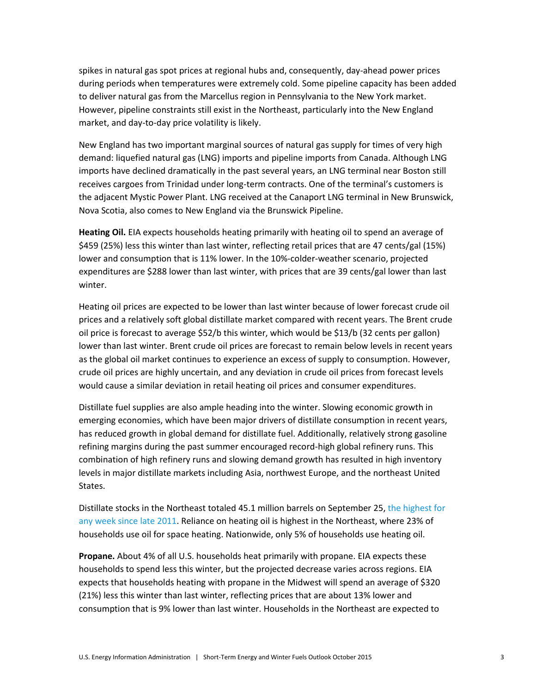spikes in natural gas spot prices at regional hubs and, consequently, day-ahead power prices during periods when temperatures were extremely cold. Some pipeline capacity has been added to deliver natural gas from the Marcellus region in Pennsylvania to the New York market. However, pipeline constraints still exist in the Northeast, particularly into the New England market, and day-to-day price volatility is likely.

New England has two important marginal sources of natural gas supply for times of very high demand: liquefied natural gas (LNG) imports and pipeline imports from Canada. Although LNG imports have declined dramatically in the past several years, an LNG terminal near Boston still receives cargoes from Trinidad under long-term contracts. One of the terminal's customers is the adjacent Mystic Power Plant. LNG received at the Canaport LNG terminal in New Brunswick, Nova Scotia, also comes to New England via the Brunswick Pipeline.

**Heating Oil.** EIA expects households heating primarily with heating oil to spend an average of \$459 (25%) less this winter than last winter, reflecting retail prices that are 47 cents/gal (15%) lower and consumption that is 11% lower. In the 10%-colder-weather scenario, projected expenditures are \$288 lower than last winter, with prices that are 39 cents/gal lower than last winter.

Heating oil prices are expected to be lower than last winter because of lower forecast crude oil prices and a relatively soft global distillate market compared with recent years. The Brent crude oil price is forecast to average \$52/b this winter, which would be \$13/b (32 cents per gallon) lower than last winter. Brent crude oil prices are forecast to remain below levels in recent years as the global oil market continues to experience an excess of supply to consumption. However, crude oil prices are highly uncertain, and any deviation in crude oil prices from forecast levels would cause a similar deviation in retail heating oil prices and consumer expenditures.

Distillate fuel supplies are also ample heading into the winter. Slowing economic growth in emerging economies, which have been major drivers of distillate consumption in recent years, has reduced growth in global demand for distillate fuel. Additionally, relatively strong gasoline refining margins during the past summer encouraged record-high global refinery runs. This combination of high refinery runs and slowing demand growth has resulted in high inventory levels in major distillate markets including Asia, northwest Europe, and the northeast United States.

Distillate stocks in the Northeast totaled 45.1 million barrels on September 25, the highest for [any week since late 2011.](http://www.eia.gov/todayinenergy/detail.cfm?id=23092) Reliance on heating oil is highest in the Northeast, where 23% of households use oil for space heating. Nationwide, only 5% of households use heating oil.

**Propane.** About 4% of all U.S. households heat primarily with propane. EIA expects these households to spend less this winter, but the projected decrease varies across regions. EIA expects that households heating with propane in the Midwest will spend an average of \$320 (21%) less this winter than last winter, reflecting prices that are about 13% lower and consumption that is 9% lower than last winter. Households in the Northeast are expected to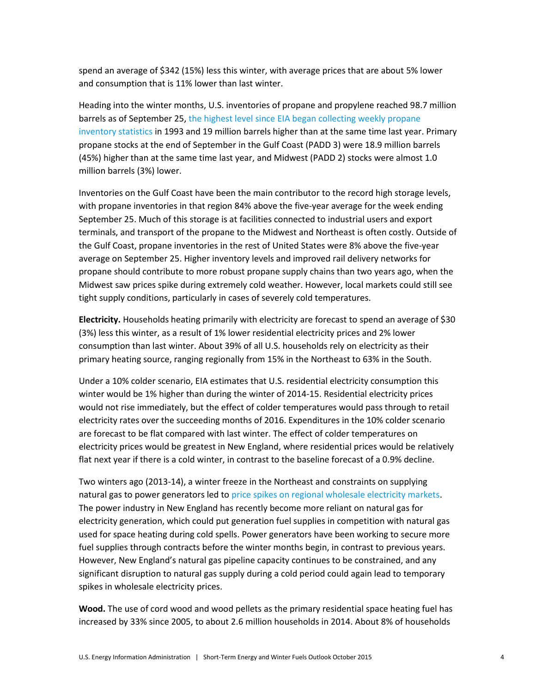spend an average of \$342 (15%) less this winter, with average prices that are about 5% lower and consumption that is 11% lower than last winter.

Heading into the winter months, U.S. inventories of propane and propylene reached 98.7 million barrels as of September 25, [the highest level since EIA began collecting weekly propane](http://www.eia.gov/todayinenergy/detail.cfm?id=23012)  [inventory statistics](http://www.eia.gov/todayinenergy/detail.cfm?id=23012) in 1993 and 19 million barrels higher than at the same time last year. Primary propane stocks at the end of September in the Gulf Coast (PADD 3) were 18.9 million barrels (45%) higher than at the same time last year, and Midwest (PADD 2) stocks were almost 1.0 million barrels (3%) lower.

Inventories on the Gulf Coast have been the main contributor to the record high storage levels, with propane inventories in that region 84% above the five-year average for the week ending September 25. Much of this storage is at facilities connected to industrial users and export terminals, and transport of the propane to the Midwest and Northeast is often costly. Outside of the Gulf Coast, propane inventories in the rest of United States were 8% above the five-year average on September 25. Higher inventory levels and improved rail delivery networks for propane should contribute to more robust propane supply chains than two years ago, when the Midwest saw prices spike during extremely cold weather. However, local markets could still see tight supply conditions, particularly in cases of severely cold temperatures.

**Electricity.** Households heating primarily with electricity are forecast to spend an average of \$30 (3%) less this winter, as a result of 1% lower residential electricity prices and 2% lower consumption than last winter. About 39% of all U.S. households rely on electricity as their primary heating source, ranging regionally from 15% in the Northeast to 63% in the South.

Under a 10% colder scenario, EIA estimates that U.S. residential electricity consumption this winter would be 1% higher than during the winter of 2014-15. Residential electricity prices would not rise immediately, but the effect of colder temperatures would pass through to retail electricity rates over the succeeding months of 2016. Expenditures in the 10% colder scenario are forecast to be flat compared with last winter. The effect of colder temperatures on electricity prices would be greatest in New England, where residential prices would be relatively flat next year if there is a cold winter, in contrast to the baseline forecast of a 0.9% decline.

Two winters ago (2013-14), a winter freeze in the Northeast and constraints on supplying natural gas to power generators led t[o price spikes on regional wholesale electricity markets.](http://www.eia.gov/todayinenergy/detail.cfm?id=14671) The power industry in New England has recently become more reliant on natural gas for electricity generation, which could put generation fuel supplies in competition with natural gas used for space heating during cold spells. Power generators have been working to secure more fuel supplies through contracts before the winter months begin, in contrast to previous years. However, New England's natural gas pipeline capacity continues to be constrained, and any significant disruption to natural gas supply during a cold period could again lead to temporary spikes in wholesale electricity prices.

**Wood.** The use of cord wood and wood pellets as the primary residential space heating fuel has increased by 33% since 2005, to about 2.6 million households in 2014. About 8% of households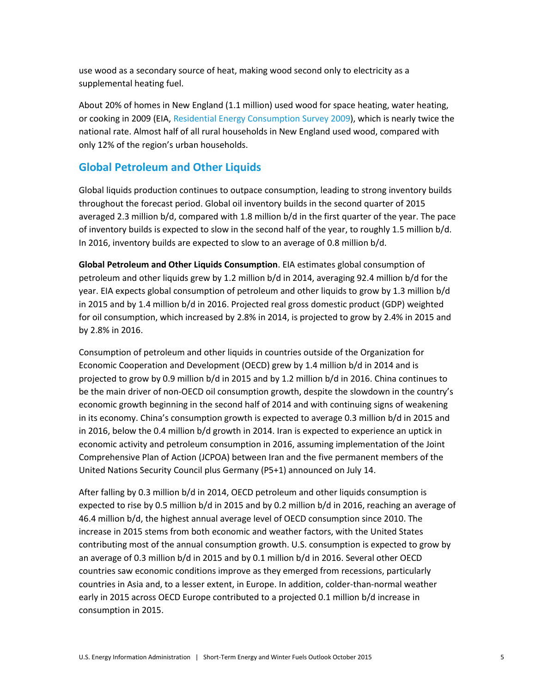use wood as a secondary source of heat, making wood second only to electricity as a supplemental heating fuel.

About 20% of homes in New England (1.1 million) used wood for space heating, water heating, or cooking in 2009 (EIA, [Residential Energy Consumption Survey 2009\)](http://www.eia.gov/consumption/residential/data/2009/), which is nearly twice the national rate. Almost half of all rural households in New England used wood, compared with only 12% of the region's urban households.

## **Global Petroleum and Other Liquids**

Global liquids production continues to outpace consumption, leading to strong inventory builds throughout the forecast period. Global oil inventory builds in the second quarter of 2015 averaged 2.3 million b/d, compared with 1.8 million b/d in the first quarter of the year. The pace of inventory builds is expected to slow in the second half of the year, to roughly 1.5 million b/d. In 2016, inventory builds are expected to slow to an average of 0.8 million b/d.

**Global Petroleum and Other Liquids Consumption**. EIA estimates global consumption of petroleum and other liquids grew by 1.2 million b/d in 2014, averaging 92.4 million b/d for the year. EIA expects global consumption of petroleum and other liquids to grow by 1.3 million b/d in 2015 and by 1.4 million b/d in 2016. Projected real gross domestic product (GDP) weighted for oil consumption, which increased by 2.8% in 2014, is projected to grow by 2.4% in 2015 and by 2.8% in 2016.

Consumption of petroleum and other liquids in countries outside of the Organization for Economic Cooperation and Development (OECD) grew by 1.4 million b/d in 2014 and is projected to grow by 0.9 million b/d in 2015 and by 1.2 million b/d in 2016. China continues to be the main driver of non-OECD oil consumption growth, despite the slowdown in the country's economic growth beginning in the second half of 2014 and with continuing signs of weakening in its economy. China's consumption growth is expected to average 0.3 million b/d in 2015 and in 2016, below the 0.4 million b/d growth in 2014. Iran is expected to experience an uptick in economic activity and petroleum consumption in 2016, assuming implementation of the Joint Comprehensive Plan of Action (JCPOA) between Iran and the five permanent members of the United Nations Security Council plus Germany (P5+1) announced on July 14.

After falling by 0.3 million b/d in 2014, OECD petroleum and other liquids consumption is expected to rise by 0.5 million b/d in 2015 and by 0.2 million b/d in 2016, reaching an average of 46.4 million b/d, the highest annual average level of OECD consumption since 2010. The increase in 2015 stems from both economic and weather factors, with the United States contributing most of the annual consumption growth. U.S. consumption is expected to grow by an average of 0.3 million b/d in 2015 and by 0.1 million b/d in 2016. Several other OECD countries saw economic conditions improve as they emerged from recessions, particularly countries in Asia and, to a lesser extent, in Europe. In addition, colder-than-normal weather early in 2015 across OECD Europe contributed to a projected 0.1 million b/d increase in consumption in 2015.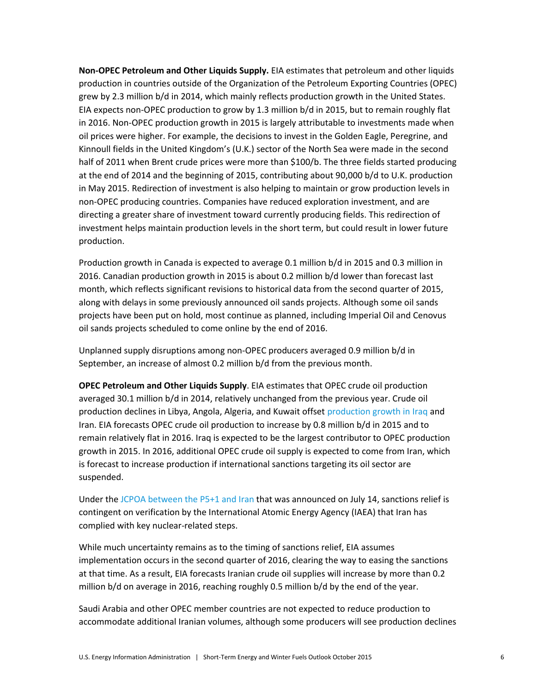**Non‐OPEC Petroleum and Other Liquids Supply.** EIA estimates that petroleum and other liquids production in countries outside of the Organization of the Petroleum Exporting Countries (OPEC) grew by 2.3 million b/d in 2014, which mainly reflects production growth in the United States. EIA expects non-OPEC production to grow by 1.3 million b/d in 2015, but to remain roughly flat in 2016. Non-OPEC production growth in 2015 is largely attributable to investments made when oil prices were higher. For example, the decisions to invest in the Golden Eagle, Peregrine, and Kinnoull fields in the United Kingdom's (U.K.) sector of the North Sea were made in the second half of 2011 when Brent crude prices were more than \$100/b. The three fields started producing at the end of 2014 and the beginning of 2015, contributing about 90,000 b/d to U.K. production in May 2015. Redirection of investment is also helping to maintain or grow production levels in non-OPEC producing countries. Companies have reduced exploration investment, and are directing a greater share of investment toward currently producing fields. This redirection of investment helps maintain production levels in the short term, but could result in lower future production.

Production growth in Canada is expected to average 0.1 million b/d in 2015 and 0.3 million in 2016. Canadian production growth in 2015 is about 0.2 million b/d lower than forecast last month, which reflects significant revisions to historical data from the second quarter of 2015, along with delays in some previously announced oil sands projects. Although some oil sands projects have been put on hold, most continue as planned, including Imperial Oil and Cenovus oil sands projects scheduled to come online by the end of 2016.

Unplanned supply disruptions among non-OPEC producers averaged 0.9 million b/d in September, an increase of almost 0.2 million b/d from the previous month.

**OPEC Petroleum and Other Liquids Supply**. EIA estimates that OPEC crude oil production averaged 30.1 million b/d in 2014, relatively unchanged from the previous year. Crude oil production declines in Libya, Angola, Algeria, and Kuwait offse[t production growth in Iraq](http://www.eia.gov/todayinenergy/detail.cfm?id=19911) and Iran. EIA forecasts OPEC crude oil production to increase by 0.8 million b/d in 2015 and to remain relatively flat in 2016. Iraq is expected to be the largest contributor to OPEC production growth in 2015. In 2016, additional OPEC crude oil supply is expected to come from Iran, which is forecast to increase production if international sanctions targeting its oil sector are suspended.

Under the [JCPOA between the P5+1 and Iran](https://www.whitehouse.gov/sites/default/files/docs/jcpoa_key_excerpts.pdf) that was announced on July 14, sanctions relief is contingent on verification by the International Atomic Energy Agency (IAEA) that Iran has complied with key nuclear-related steps.

While much uncertainty remains as to the timing of sanctions relief, EIA assumes implementation occurs in the second quarter of 2016, clearing the way to easing the sanctions at that time. As a result, EIA forecasts Iranian crude oil supplies will increase by more than 0.2 million b/d on average in 2016, reaching roughly 0.5 million b/d by the end of the year.

Saudi Arabia and other OPEC member countries are not expected to reduce production to accommodate additional Iranian volumes, although some producers will see production declines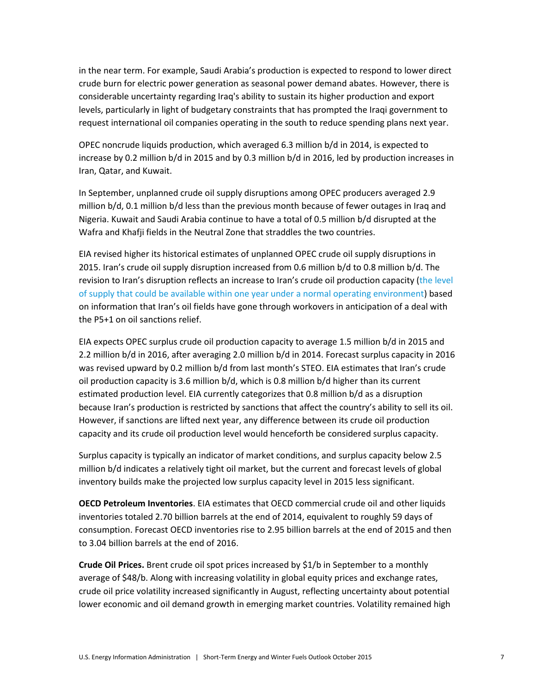in the near term. For example, Saudi Arabia's production is expected to respond to lower direct crude burn for electric power generation as seasonal power demand abates. However, there is considerable uncertainty regarding Iraq's ability to sustain its higher production and export levels, particularly in light of budgetary constraints that has prompted the Iraqi government to request international oil companies operating in the south to reduce spending plans next year.

OPEC noncrude liquids production, which averaged 6.3 million b/d in 2014, is expected to increase by 0.2 million b/d in 2015 and by 0.3 million b/d in 2016, led by production increases in Iran, Qatar, and Kuwait.

In September, unplanned crude oil supply disruptions among OPEC producers averaged 2.9 million b/d, 0.1 million b/d less than the previous month because of fewer outages in Iraq and Nigeria. Kuwait and Saudi Arabia continue to have a total of 0.5 million b/d disrupted at the Wafra and Khafji fields in the Neutral Zone that straddles the two countries.

EIA revised higher its historical estimates of unplanned OPEC crude oil supply disruptions in 2015. Iran's crude oil supply disruption increased from 0.6 million b/d to 0.8 million b/d. The revision to Iran's disruption reflects an increase to Iran's crude oil production capacity (the level [of supply that could be available within one year under a normal operating environment\)](http://www.eia.gov/forecasts/steo/special/pdf/2013_sp_05.pdf) based on information that Iran's oil fields have gone through workovers in anticipation of a deal with the P5+1 on oil sanctions relief.

EIA expects OPEC surplus crude oil production capacity to average 1.5 million b/d in 2015 and 2.2 million b/d in 2016, after averaging 2.0 million b/d in 2014. Forecast surplus capacity in 2016 was revised upward by 0.2 million b/d from last month's STEO. EIA estimates that Iran's crude oil production capacity is 3.6 million b/d, which is 0.8 million b/d higher than its current estimated production level. EIA currently categorizes that 0.8 million b/d as a disruption because Iran's production is restricted by sanctions that affect the country's ability to sell its oil. However, if sanctions are lifted next year, any difference between its crude oil production capacity and its crude oil production level would henceforth be considered surplus capacity.

Surplus capacity is typically an indicator of market conditions, and surplus capacity below 2.5 million b/d indicates a relatively tight oil market, but the current and forecast levels of global inventory builds make the projected low surplus capacity level in 2015 less significant.

**OECD Petroleum Inventories**. EIA estimates that OECD commercial crude oil and other liquids inventories totaled 2.70 billion barrels at the end of 2014, equivalent to roughly 59 days of consumption. Forecast OECD inventories rise to 2.95 billion barrels at the end of 2015 and then to 3.04 billion barrels at the end of 2016.

**Crude Oil Prices.** Brent crude oil spot prices increased by \$1/b in September to a monthly average of \$48/b. Along with increasing volatility in global equity prices and exchange rates, crude oil price volatility increased significantly in August, reflecting uncertainty about potential lower economic and oil demand growth in emerging market countries. Volatility remained high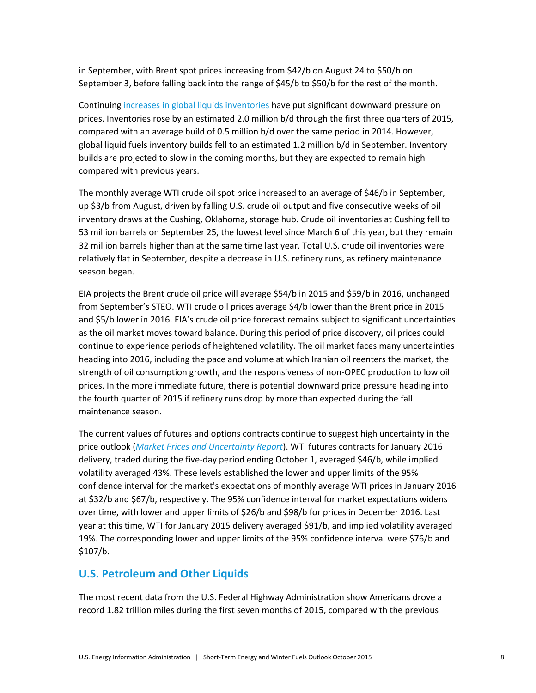in September, with Brent spot prices increasing from \$42/b on August 24 to \$50/b on September 3, before falling back into the range of \$45/b to \$50/b for the rest of the month.

Continuing [increases in global liquids inventories](http://www.eia.gov/todayinenergy/detail.cfm?id=22632) have put significant downward pressure on prices. Inventories rose by an estimated 2.0 million b/d through the first three quarters of 2015, compared with an average build of 0.5 million b/d over the same period in 2014. However, global liquid fuels inventory builds fell to an estimated 1.2 million b/d in September. Inventory builds are projected to slow in the coming months, but they are expected to remain high compared with previous years.

The monthly average WTI crude oil spot price increased to an average of \$46/b in September, up \$3/b from August, driven by falling U.S. crude oil output and five consecutive weeks of oil inventory draws at the Cushing, Oklahoma, storage hub. Crude oil inventories at Cushing fell to 53 million barrels on September 25, the lowest level since March 6 of this year, but they remain 32 million barrels higher than at the same time last year. Total U.S. crude oil inventories were relatively flat in September, despite a decrease in U.S. refinery runs, as refinery maintenance season began.

EIA projects the Brent crude oil price will average \$54/b in 2015 and \$59/b in 2016, unchanged from September's STEO. WTI crude oil prices average \$4/b lower than the Brent price in 2015 and \$5/b lower in 2016. EIA's crude oil price forecast remains subject to significant uncertainties as the oil market moves toward balance. During this period of price discovery, oil prices could continue to experience periods of heightened volatility. The oil market faces many uncertainties heading into 2016, including the pace and volume at which Iranian oil reenters the market, the strength of oil consumption growth, and the responsiveness of non-OPEC production to low oil prices. In the more immediate future, there is potential downward price pressure heading into the fourth quarter of 2015 if refinery runs drop by more than expected during the fall maintenance season.

The current values of futures and options contracts continue to suggest high uncertainty in the price outlook (*[Market Prices and Uncertainty Report](http://www.eia.gov/forecasts/steo/uncertainty/index.cfm)*). WTI futures contracts for January 2016 delivery, traded during the five-day period ending October 1, averaged \$46/b, while implied volatility averaged 43%. These levels established the lower and upper limits of the 95% confidence interval for the market's expectations of monthly average WTI prices in January 2016 at \$32/b and \$67/b, respectively. The 95% confidence interval for market expectations widens over time, with lower and upper limits of \$26/b and \$98/b for prices in December 2016. Last year at this time, WTI for January 2015 delivery averaged \$91/b, and implied volatility averaged 19%. The corresponding lower and upper limits of the 95% confidence interval were \$76/b and \$107/b.

### **U.S. Petroleum and Other Liquids**

The most recent data from the U.S. Federal Highway Administration show Americans drove a record 1.82 trillion miles during the first seven months of 2015, compared with the previous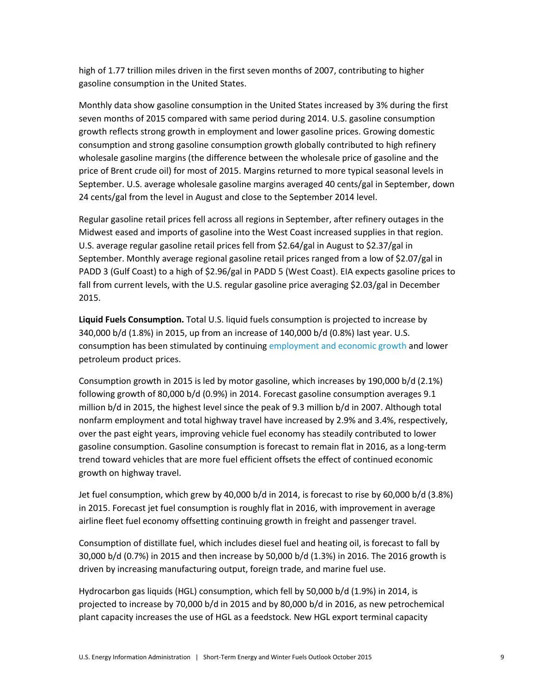high of 1.77 trillion miles driven in the first seven months of 2007, contributing to higher gasoline consumption in the United States.

Monthly data show gasoline consumption in the United States increased by 3% during the first seven months of 2015 compared with same period during 2014. U.S. gasoline consumption growth reflects strong growth in employment and lower gasoline prices. Growing domestic consumption and strong gasoline consumption growth globally contributed to high refinery wholesale gasoline margins (the difference between the wholesale price of gasoline and the price of Brent crude oil) for most of 2015. Margins returned to more typical seasonal levels in September. U.S. average wholesale gasoline margins averaged 40 cents/gal in September, down 24 cents/gal from the level in August and close to the September 2014 level.

Regular gasoline retail prices fell across all regions in September, after refinery outages in the Midwest eased and imports of gasoline into the West Coast increased supplies in that region. U.S. average regular gasoline retail prices fell from \$2.64/gal in August to \$2.37/gal in September. Monthly average regional gasoline retail prices ranged from a low of \$2.07/gal in PADD 3 (Gulf Coast) to a high of \$2.96/gal in PADD 5 (West Coast). EIA expects gasoline prices to fall from current levels, with the U.S. regular gasoline price averaging \$2.03/gal in December 2015.

**Liquid Fuels Consumption.** Total U.S. liquid fuels consumption is projected to increase by 340,000 b/d (1.8%) in 2015, up from an increase of 140,000 b/d (0.8%) last year. U.S. consumption has been stimulated by continuin[g employment and economic growth](http://www.eia.gov/todayinenergy/detail.cfm?id=22932) and lower petroleum product prices.

Consumption growth in 2015 is led by motor gasoline, which increases by 190,000 b/d (2.1%) following growth of 80,000 b/d (0.9%) in 2014. Forecast gasoline consumption averages 9.1 million b/d in 2015, the highest level since the peak of 9.3 million b/d in 2007. Although total nonfarm employment and total highway travel have increased by 2.9% and 3.4%, respectively, over the past eight years, improving vehicle fuel economy has steadily contributed to lower gasoline consumption. Gasoline consumption is forecast to remain flat in 2016, as a long-term trend toward vehicles that are more fuel efficient offsets the effect of continued economic growth on highway travel.

Jet fuel consumption, which grew by 40,000 b/d in 2014, is forecast to rise by 60,000 b/d (3.8%) in 2015. Forecast jet fuel consumption is roughly flat in 2016, with improvement in average airline fleet fuel economy offsetting continuing growth in freight and passenger travel.

Consumption of distillate fuel, which includes diesel fuel and heating oil, is forecast to fall by 30,000 b/d (0.7%) in 2015 and then increase by 50,000 b/d (1.3%) in 2016. The 2016 growth is driven by increasing manufacturing output, foreign trade, and marine fuel use.

Hydrocarbon gas liquids (HGL) consumption, which fell by 50,000 b/d (1.9%) in 2014, is projected to increase by 70,000 b/d in 2015 and by 80,000 b/d in 2016, as new petrochemical plant capacity increases the use of HGL as a feedstock. New HGL export terminal capacity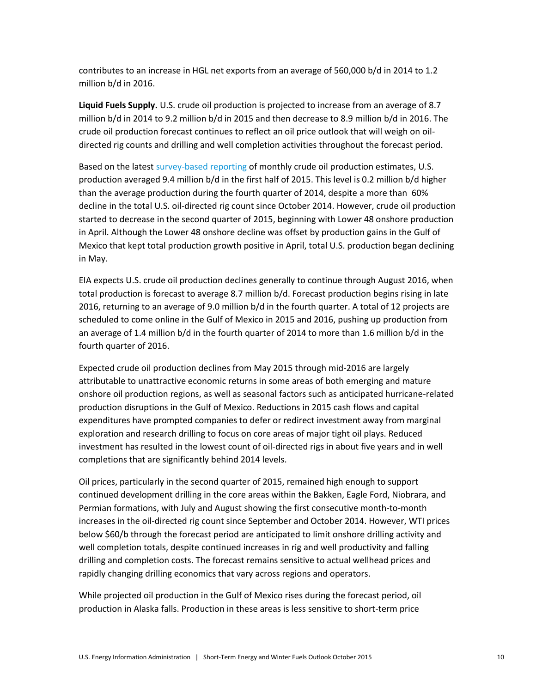contributes to an increase in HGL net exports from an average of 560,000 b/d in 2014 to 1.2 million b/d in 2016.

**Liquid Fuels Supply.** U.S. crude oil production is projected to increase from an average of 8.7 million b/d in 2014 to 9.2 million b/d in 2015 and then decrease to 8.9 million b/d in 2016. The crude oil production forecast continues to reflect an oil price outlook that will weigh on oildirected rig counts and drilling and well completion activities throughout the forecast period.

Based on the latest [survey-based reporting](http://www.eia.gov/petroleum/production/?src=home-b6) of monthly crude oil production estimates, U.S. production averaged 9.4 million b/d in the first half of 2015. This level is 0.2 million b/d higher than the average production during the fourth quarter of 2014, despite a more than 60% decline in the total U.S. oil-directed rig count since October 2014. However, crude oil production started to decrease in the second quarter of 2015, beginning with Lower 48 onshore production in April. Although the Lower 48 onshore decline was offset by production gains in the Gulf of Mexico that kept total production growth positive in April, total U.S. production began declining in May.

EIA expects U.S. crude oil production declines generally to continue through August 2016, when total production is forecast to average 8.7 million b/d. Forecast production begins rising in late 2016, returning to an average of 9.0 million b/d in the fourth quarter. A total of 12 projects are scheduled to come online in the Gulf of Mexico in 2015 and 2016, pushing up production from an average of 1.4 million b/d in the fourth quarter of 2014 to more than 1.6 million b/d in the fourth quarter of 2016.

Expected crude oil production declines from May 2015 through mid-2016 are largely attributable to unattractive economic returns in some areas of both emerging and mature onshore oil production regions, as well as seasonal factors such as anticipated hurricane-related production disruptions in the Gulf of Mexico. Reductions in 2015 cash flows and capital expenditures have prompted companies to defer or redirect investment away from marginal exploration and research drilling to focus on core areas of major tight oil plays. Reduced investment has resulted in the lowest count of oil-directed rigs in about five years and in well completions that are significantly behind 2014 levels.

Oil prices, particularly in the second quarter of 2015, remained high enough to support continued development drilling in the core areas within the Bakken, Eagle Ford, Niobrara, and Permian formations, with July and August showing the first consecutive month-to-month increases in the oil-directed rig count since September and October 2014. However, WTI prices below \$60/b through the forecast period are anticipated to limit onshore drilling activity and well completion totals, despite continued increases in rig and well productivity and falling drilling and completion costs. The forecast remains sensitive to actual wellhead prices and rapidly changing drilling economics that vary across regions and operators.

While projected oil production in the Gulf of Mexico rises during the forecast period, oil production in Alaska falls. Production in these areas is less sensitive to short-term price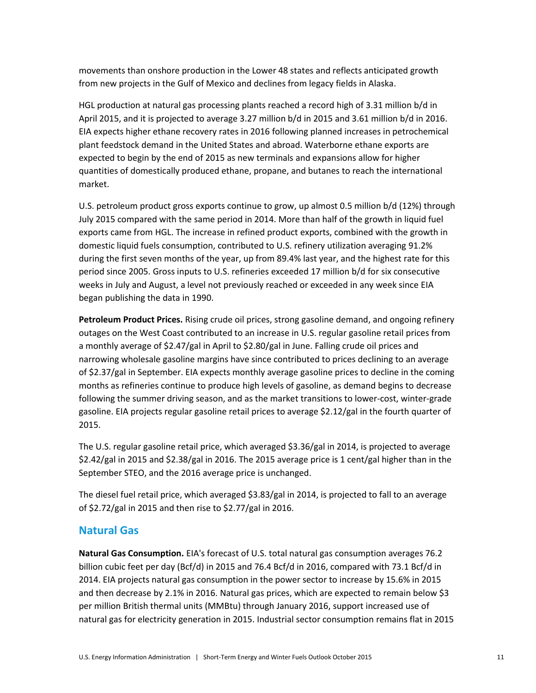movements than onshore production in the Lower 48 states and reflects anticipated growth from new projects in the Gulf of Mexico and declines from legacy fields in Alaska.

HGL production at natural gas processing plants reached a record high of 3.31 million b/d in April 2015, and it is projected to average 3.27 million b/d in 2015 and 3.61 million b/d in 2016. EIA expects higher ethane recovery rates in 2016 following planned increases in petrochemical plant feedstock demand in the United States and abroad. Waterborne ethane exports are expected to begin by the end of 2015 as new terminals and expansions allow for higher quantities of domestically produced ethane, propane, and butanes to reach the international market.

U.S. petroleum product gross exports continue to grow, up almost 0.5 million b/d (12%) through July 2015 compared with the same period in 2014. More than half of the growth in liquid fuel exports came from HGL. The increase in refined product exports, combined with the growth in domestic liquid fuels consumption, contributed to U.S. refinery utilization averaging 91.2% during the first seven months of the year, up from 89.4% last year, and the highest rate for this period since 2005. Gross inputs to U.S. refineries exceeded 17 million b/d for six consecutive weeks in July and August, a level not previously reached or exceeded in any week since EIA began publishing the data in 1990.

**Petroleum Product Prices.** Rising crude oil prices, strong gasoline demand, and ongoing refinery outages on the West Coast contributed to an increase in U.S. regular gasoline retail prices from a monthly average of \$2.47/gal in April to \$2.80/gal in June. Falling crude oil prices and narrowing wholesale gasoline margins have since contributed to prices declining to an average of \$2.37/gal in September. EIA expects monthly average gasoline prices to decline in the coming months as refineries continue to produce high levels of gasoline, as demand begins to decrease following the summer driving season, and as the market transitions to lower-cost, winter-grade gasoline. EIA projects regular gasoline retail prices to average \$2.12/gal in the fourth quarter of 2015.

The U.S. regular gasoline retail price, which averaged \$3.36/gal in 2014, is projected to average \$2.42/gal in 2015 and \$2.38/gal in 2016. The 2015 average price is 1 cent/gal higher than in the September STEO, and the 2016 average price is unchanged.

The diesel fuel retail price, which averaged \$3.83/gal in 2014, is projected to fall to an average of \$2.72/gal in 2015 and then rise to \$2.77/gal in 2016.

### **Natural Gas**

**Natural Gas Consumption.** EIA's forecast of U.S. total natural gas consumption averages 76.2 billion cubic feet per day (Bcf/d) in 2015 and 76.4 Bcf/d in 2016, compared with 73.1 Bcf/d in 2014. EIA projects natural gas consumption in the power sector to increase by 15.6% in 2015 and then decrease by 2.1% in 2016. Natural gas prices, which are expected to remain below \$3 per million British thermal units (MMBtu) through January 2016, support increased use of natural gas for electricity generation in 2015. Industrial sector consumption remains flat in 2015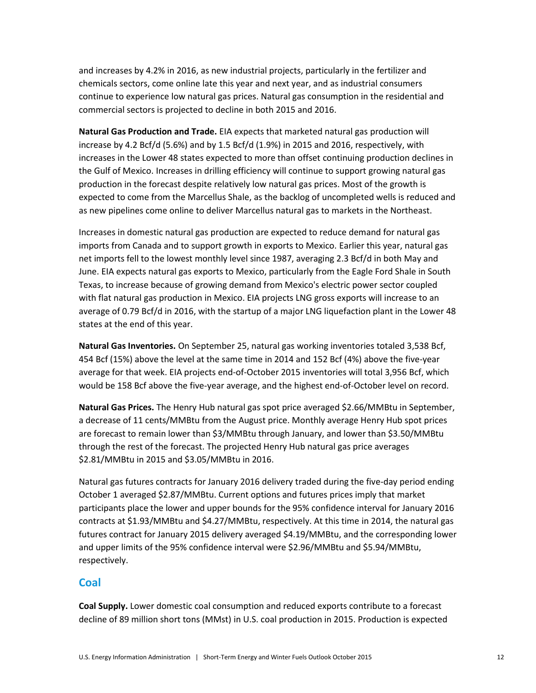and increases by 4.2% in 2016, as new industrial projects, particularly in the fertilizer and chemicals sectors, come online late this year and next year, and as industrial consumers continue to experience low natural gas prices. Natural gas consumption in the residential and commercial sectors is projected to decline in both 2015 and 2016.

**Natural Gas Production and Trade.** EIA expects that marketed natural gas production will increase by 4.2 Bcf/d (5.6%) and by 1.5 Bcf/d (1.9%) in 2015 and 2016, respectively, with increases in the Lower 48 states expected to more than offset continuing production declines in the Gulf of Mexico. Increases in drilling efficiency will continue to support growing natural gas production in the forecast despite relatively low natural gas prices. Most of the growth is expected to come from the Marcellus Shale, as the backlog of uncompleted wells is reduced and as new pipelines come online to deliver Marcellus natural gas to markets in the Northeast.

Increases in domestic natural gas production are expected to reduce demand for natural gas imports from Canada and to support growth in exports to Mexico. Earlier this year, natural gas net imports fell to the lowest monthly level since 1987, averaging 2.3 Bcf/d in both May and June. EIA expects natural gas exports to Mexico, particularly from the Eagle Ford Shale in South Texas, to increase because of growing demand from Mexico's electric power sector coupled with flat natural gas production in Mexico. EIA projects LNG gross exports will increase to an average of 0.79 Bcf/d in 2016, with the startup of a major LNG liquefaction plant in the Lower 48 states at the end of this year.

**Natural Gas Inventories.** On September 25, natural gas working inventories totaled 3,538 Bcf, 454 Bcf (15%) above the level at the same time in 2014 and 152 Bcf (4%) above the five-year average for that week. EIA projects end-of-October 2015 inventories will total 3,956 Bcf, which would be 158 Bcf above the five-year average, and the highest end-of-October level on record.

**Natural Gas Prices.** The Henry Hub natural gas spot price averaged \$2.66/MMBtu in September, a decrease of 11 cents/MMBtu from the August price. Monthly average Henry Hub spot prices are forecast to remain lower than \$3/MMBtu through January, and lower than \$3.50/MMBtu through the rest of the forecast. The projected Henry Hub natural gas price averages \$2.81/MMBtu in 2015 and \$3.05/MMBtu in 2016.

Natural gas futures contracts for January 2016 delivery traded during the five-day period ending October 1 averaged \$2.87/MMBtu. Current options and futures prices imply that market participants place the lower and upper bounds for the 95% confidence interval for January 2016 contracts at \$1.93/MMBtu and \$4.27/MMBtu, respectively. At this time in 2014, the natural gas futures contract for January 2015 delivery averaged \$4.19/MMBtu, and the corresponding lower and upper limits of the 95% confidence interval were \$2.96/MMBtu and \$5.94/MMBtu, respectively.

### **Coal**

**Coal Supply.** Lower domestic coal consumption and reduced exports contribute to a forecast decline of 89 million short tons (MMst) in U.S. coal production in 2015. Production is expected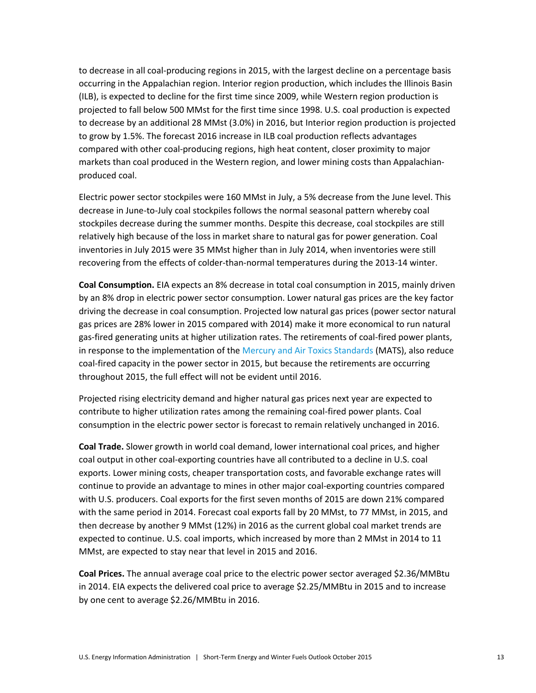to decrease in all coal-producing regions in 2015, with the largest decline on a percentage basis occurring in the Appalachian region. Interior region production, which includes the Illinois Basin (ILB), is expected to decline for the first time since 2009, while Western region production is projected to fall below 500 MMst for the first time since 1998. U.S. coal production is expected to decrease by an additional 28 MMst (3.0%) in 2016, but Interior region production is projected to grow by 1.5%. The forecast 2016 increase in ILB coal production reflects advantages compared with other coal-producing regions, high heat content, closer proximity to major markets than coal produced in the Western region, and lower mining costs than Appalachianproduced coal.

Electric power sector stockpiles were 160 MMst in July, a 5% decrease from the June level. This decrease in June-to-July coal stockpiles follows the normal seasonal pattern whereby coal stockpiles decrease during the summer months. Despite this decrease, coal stockpiles are still relatively high because of the loss in market share to natural gas for power generation. Coal inventories in July 2015 were 35 MMst higher than in July 2014, when inventories were still recovering from the effects of colder-than-normal temperatures during the 2013-14 winter.

**Coal Consumption.** EIA expects an 8% decrease in total coal consumption in 2015, mainly driven by an 8% drop in electric power sector consumption. Lower natural gas prices are the key factor driving the decrease in coal consumption. Projected low natural gas prices (power sector natural gas prices are 28% lower in 2015 compared with 2014) make it more economical to run natural gas-fired generating units at higher utilization rates. The retirements of coal-fired power plants, in response to the implementation of the [Mercury and Air Toxics Standards](http://www.epa.gov/airquality/powerplanttoxics/) (MATS), also reduce coal-fired capacity in the power sector in 2015, but because the retirements are occurring throughout 2015, the full effect will not be evident until 2016.

Projected rising electricity demand and higher natural gas prices next year are expected to contribute to higher utilization rates among the remaining coal-fired power plants. Coal consumption in the electric power sector is forecast to remain relatively unchanged in 2016.

**Coal Trade.** Slower growth in world coal demand, lower international coal prices, and higher coal output in other coal-exporting countries have all contributed to a decline in U.S. coal exports. Lower mining costs, cheaper transportation costs, and favorable exchange rates will continue to provide an advantage to mines in other major coal-exporting countries compared with U.S. producers. Coal exports for the first seven months of 2015 are down 21% compared with the same period in 2014. Forecast coal exports fall by 20 MMst, to 77 MMst, in 2015, and then decrease by another 9 MMst (12%) in 2016 as the current global coal market trends are expected to continue. U.S. coal imports, which increased by more than 2 MMst in 2014 to 11 MMst, are expected to stay near that level in 2015 and 2016.

**Coal Prices.** The annual average coal price to the electric power sector averaged \$2.36/MMBtu in 2014. EIA expects the delivered coal price to average \$2.25/MMBtu in 2015 and to increase by one cent to average \$2.26/MMBtu in 2016.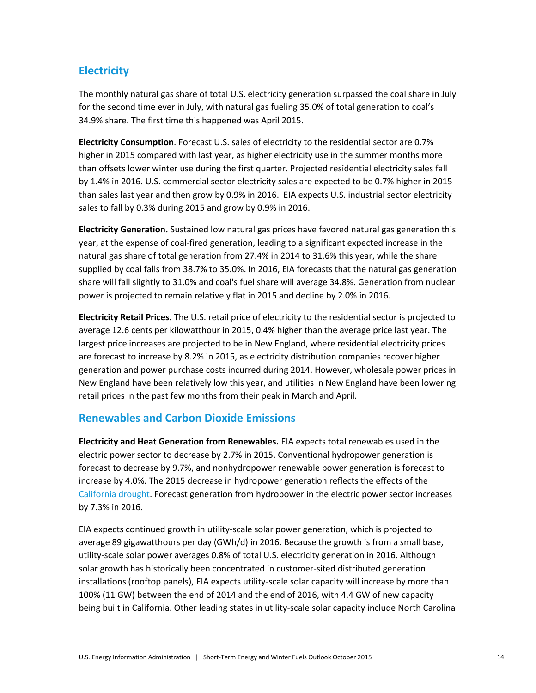# **Electricity**

The monthly natural gas share of total U.S. electricity generation surpassed the coal share in July for the second time ever in July, with natural gas fueling 35.0% of total generation to coal's 34.9% share. The first time this happened was April 2015.

**Electricity Consumption**. Forecast U.S. sales of electricity to the residential sector are 0.7% higher in 2015 compared with last year, as higher electricity use in the summer months more than offsets lower winter use during the first quarter. Projected residential electricity sales fall by 1.4% in 2016. U.S. commercial sector electricity sales are expected to be 0.7% higher in 2015 than sales last year and then grow by 0.9% in 2016. EIA expects U.S. industrial sector electricity sales to fall by 0.3% during 2015 and grow by 0.9% in 2016.

**Electricity Generation.** Sustained low natural gas prices have favored natural gas generation this year, at the expense of coal-fired generation, leading to a significant expected increase in the natural gas share of total generation from 27.4% in 2014 to 31.6% this year, while the share supplied by coal falls from 38.7% to 35.0%. In 2016, EIA forecasts that the natural gas generation share will fall slightly to 31.0% and coal's fuel share will average 34.8%. Generation from nuclear power is projected to remain relatively flat in 2015 and decline by 2.0% in 2016.

**Electricity Retail Prices.** The U.S. retail price of electricity to the residential sector is projected to average 12.6 cents per kilowatthour in 2015, 0.4% higher than the average price last year. The largest price increases are projected to be in New England, where residential electricity prices are forecast to increase by 8.2% in 2015, as electricity distribution companies recover higher generation and power purchase costs incurred during 2014. However, wholesale power prices in New England have been relatively low this year, and utilities in New England have been lowering retail prices in the past few months from their peak in March and April.

# **Renewables and Carbon Dioxide Emissions**

**Electricity and Heat Generation from Renewables.** EIA expects total renewables used in the electric power sector to decrease by 2.7% in 2015. Conventional hydropower generation is forecast to decrease by 9.7%, and nonhydropower renewable power generation is forecast to increase by 4.0%. The 2015 decrease in hydropower generation reflects the effects of the [California drought.](http://www.eia.gov/todayinenergy/detail.cfm?id=20732) Forecast generation from hydropower in the electric power sector increases by 7.3% in 2016.

EIA expects continued growth in utility-scale solar power generation, which is projected to average 89 gigawatthours per day (GWh/d) in 2016. Because the growth is from a small base, utility-scale solar power averages 0.8% of total U.S. electricity generation in 2016. Although solar growth has historically been concentrated in customer-sited distributed generation installations (rooftop panels), EIA expects utility-scale solar capacity will increase by more than 100% (11 GW) between the end of 2014 and the end of 2016, with 4.4 GW of new capacity being built in California. Other leading states in utility-scale solar capacity include North Carolina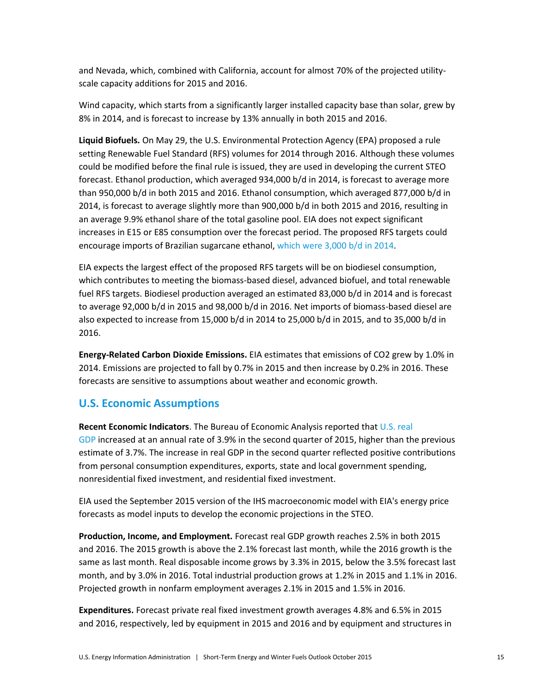and Nevada, which, combined with California, account for almost 70% of the projected utilityscale capacity additions for 2015 and 2016.

Wind capacity, which starts from a significantly larger installed capacity base than solar, grew by 8% in 2014, and is forecast to increase by 13% annually in both 2015 and 2016.

**Liquid Biofuels.** On May 29, the U.S. Environmental Protection Agency (EPA) proposed a rule setting Renewable Fuel Standard (RFS) volumes for 2014 through 2016. Although these volumes could be modified before the final rule is issued, they are used in developing the current STEO forecast. Ethanol production, which averaged 934,000 b/d in 2014, is forecast to average more than 950,000 b/d in both 2015 and 2016. Ethanol consumption, which averaged 877,000 b/d in 2014, is forecast to average slightly more than 900,000 b/d in both 2015 and 2016, resulting in an average 9.9% ethanol share of the total gasoline pool. EIA does not expect significant increases in E15 or E85 consumption over the forecast period. The proposed RFS targets could encourage imports of Brazilian sugarcane ethanol[, which were 3,000 b/d](http://www.eia.gov/todayinenergy/detail.cfm?id=20532) in 2014.

EIA expects the largest effect of the proposed RFS targets will be on biodiesel consumption, which contributes to meeting the biomass-based diesel, advanced biofuel, and total renewable fuel RFS targets. Biodiesel production averaged an estimated 83,000 b/d in 2014 and is forecast to average 92,000 b/d in 2015 and 98,000 b/d in 2016. Net imports of biomass-based diesel are also expected to increase from 15,000 b/d in 2014 to 25,000 b/d in 2015, and to 35,000 b/d in 2016.

**Energy-Related Carbon Dioxide Emissions.** EIA estimates that emissions of CO2 grew by 1.0% in 2014. Emissions are projected to fall by 0.7% in 2015 and then increase by 0.2% in 2016. These forecasts are sensitive to assumptions about weather and economic growth.

## **U.S. Economic Assumptions**

**Recent Economic Indicators**. The Bureau of Economic Analysis reported that [U.S. real](http://www.bea.gov/newsreleases/national/gdp/gdpnewsrelease.htm)  [GDP](http://www.bea.gov/newsreleases/national/gdp/gdpnewsrelease.htm) increased at an annual rate of 3.9% in the second quarter of 2015, higher than the previous estimate of 3.7%. The increase in real GDP in the second quarter reflected positive contributions from personal consumption expenditures, exports, state and local government spending, nonresidential fixed investment, and residential fixed investment.

EIA used the September 2015 version of the IHS macroeconomic model with EIA's energy price forecasts as model inputs to develop the economic projections in the STEO.

**Production, Income, and Employment.** Forecast real GDP growth reaches 2.5% in both 2015 and 2016. The 2015 growth is above the 2.1% forecast last month, while the 2016 growth is the same as last month. Real disposable income grows by 3.3% in 2015, below the 3.5% forecast last month, and by 3.0% in 2016. Total industrial production grows at 1.2% in 2015 and 1.1% in 2016. Projected growth in nonfarm employment averages 2.1% in 2015 and 1.5% in 2016.

**Expenditures.** Forecast private real fixed investment growth averages 4.8% and 6.5% in 2015 and 2016, respectively, led by equipment in 2015 and 2016 and by equipment and structures in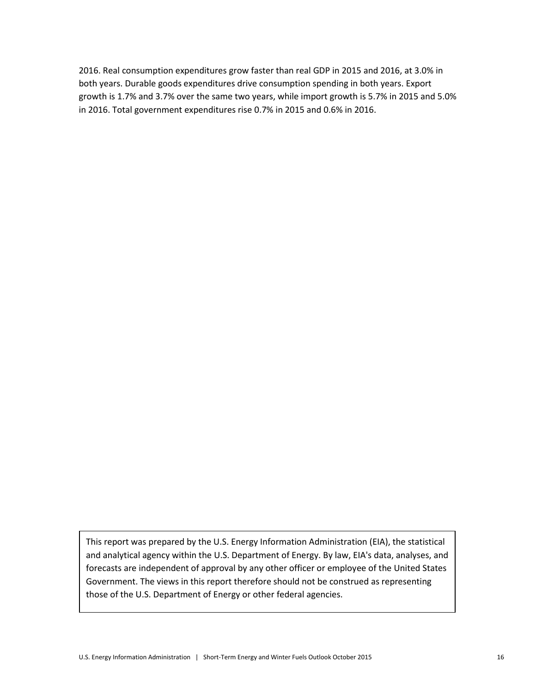2016. Real consumption expenditures grow faster than real GDP in 2015 and 2016, at 3.0% in both years. Durable goods expenditures drive consumption spending in both years. Export growth is 1.7% and 3.7% over the same two years, while import growth is 5.7% in 2015 and 5.0% in 2016. Total government expenditures rise 0.7% in 2015 and 0.6% in 2016.

This report was prepared by the U.S. Energy Information Administration (EIA), the statistical and analytical agency within the U.S. Department of Energy. By law, EIA's data, analyses, and forecasts are independent of approval by any other officer or employee of the United States Government. The views in this report therefore should not be construed as representing those of the U.S. Department of Energy or other federal agencies.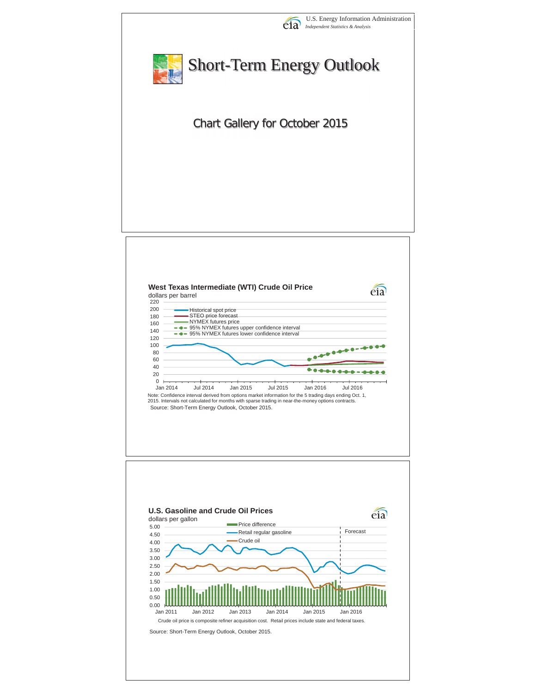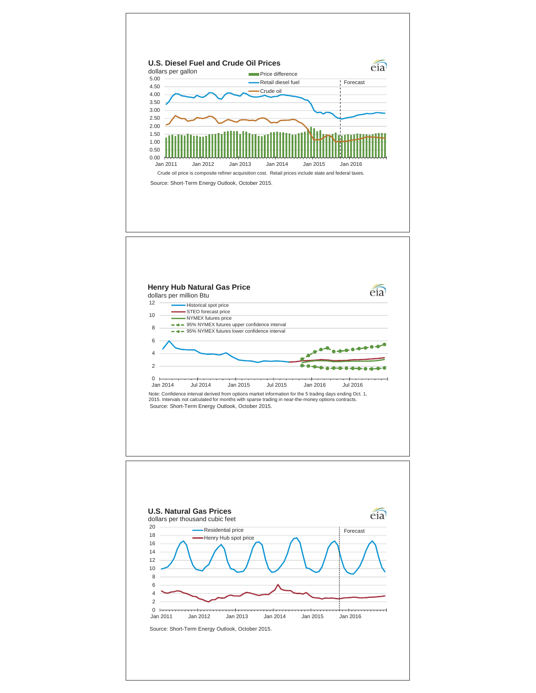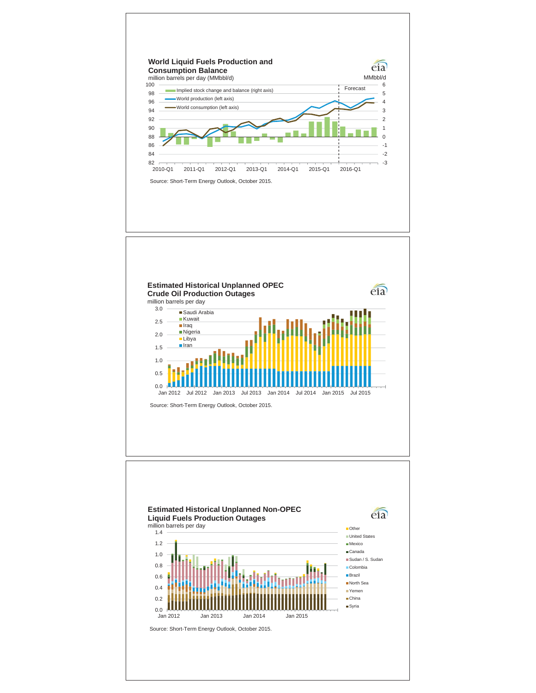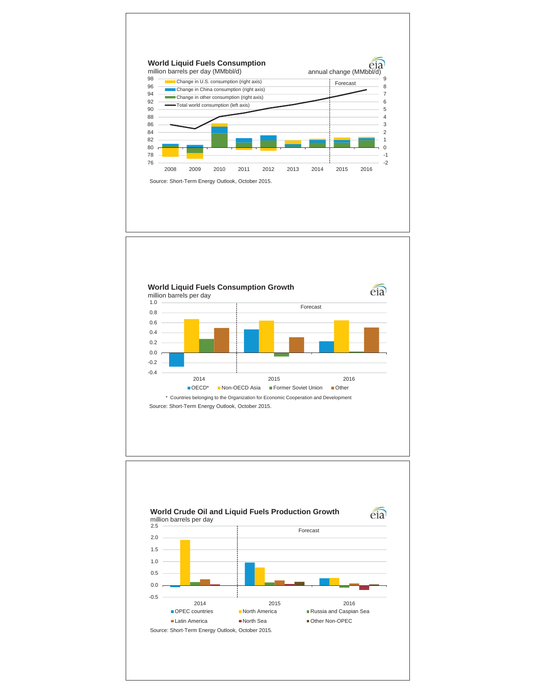



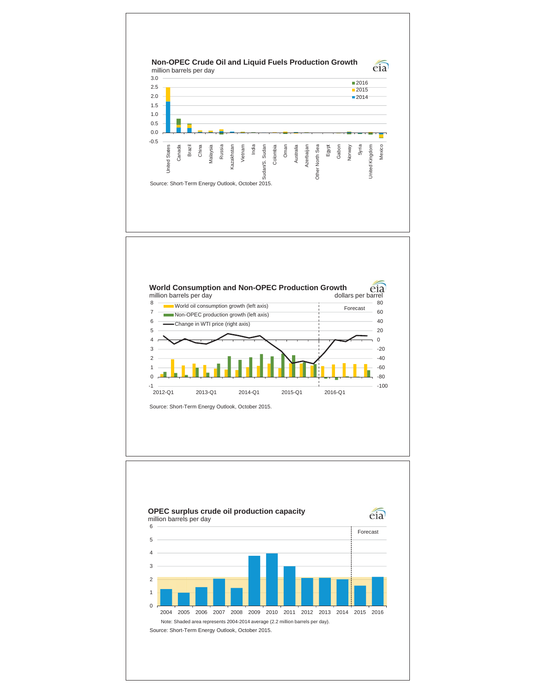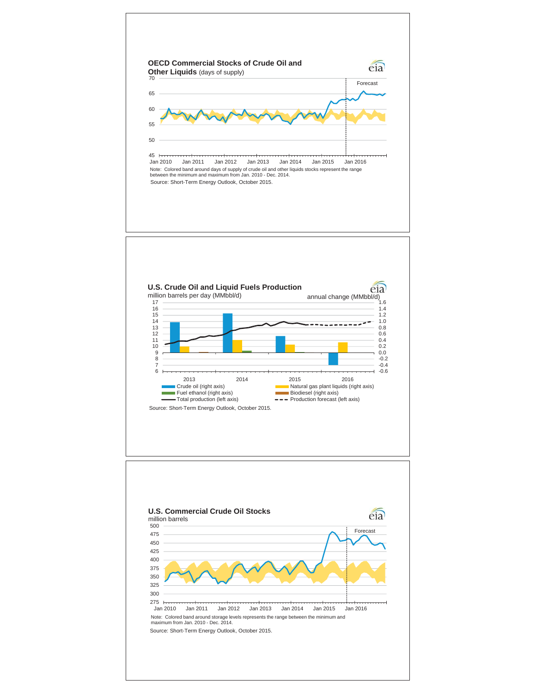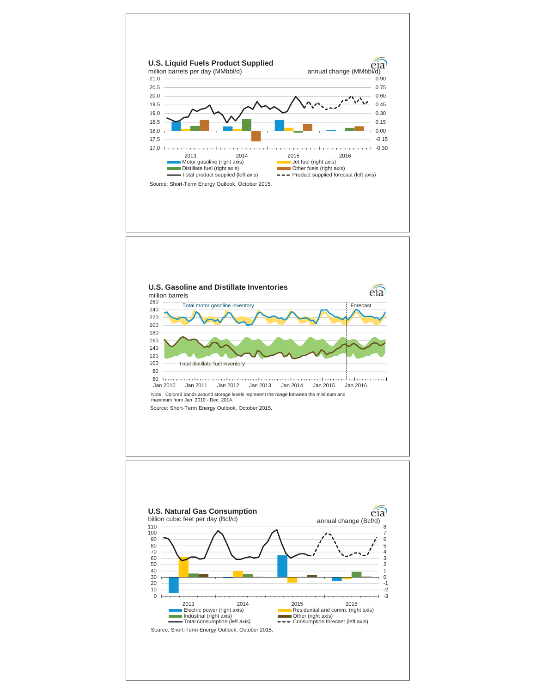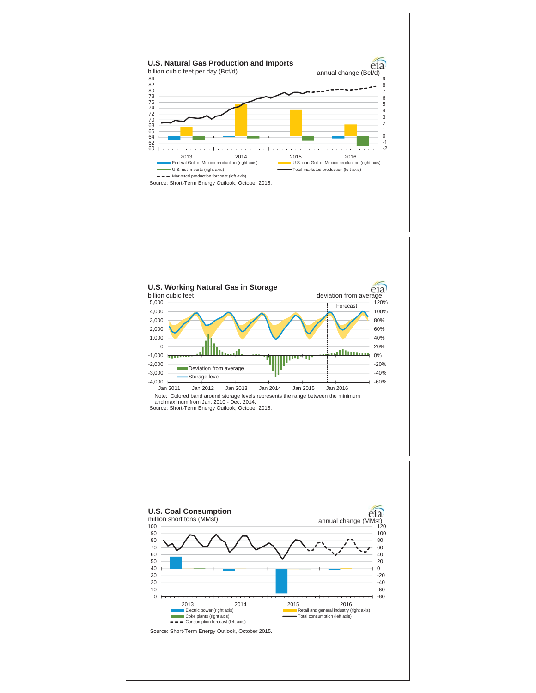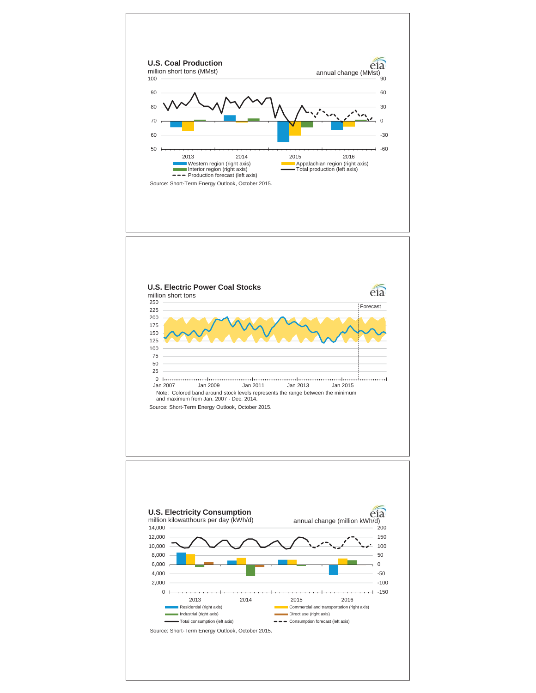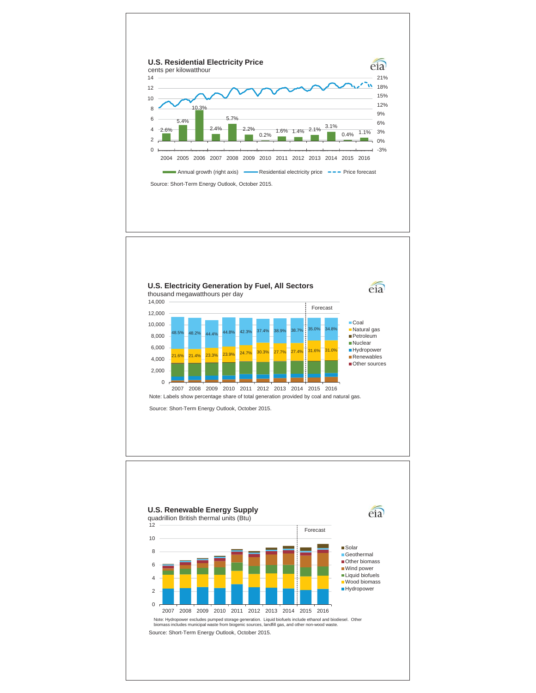

2007 2008 2009 2010 2011 2012 2013 2014 2015 2016 Note: Labels show percentage share of total generation provided by coal and natural gas.

Source: Short-Term Energy Outlook, October 2015.

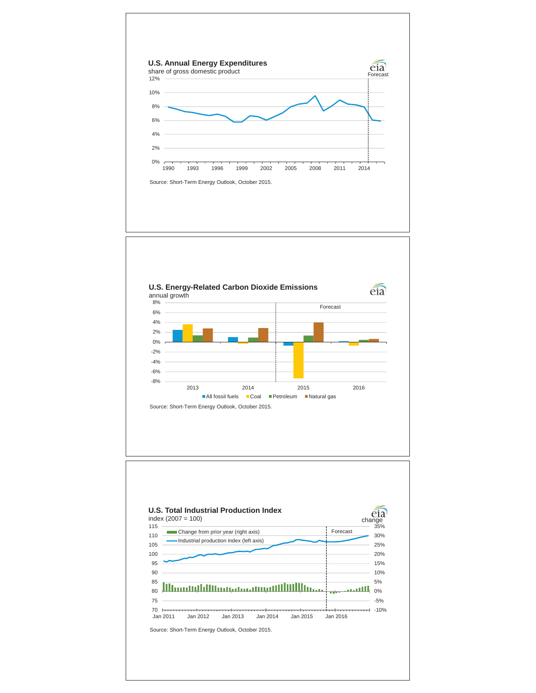



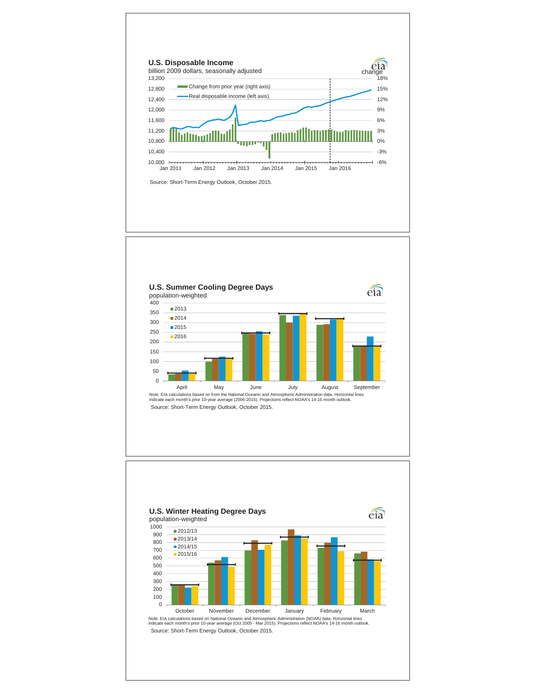

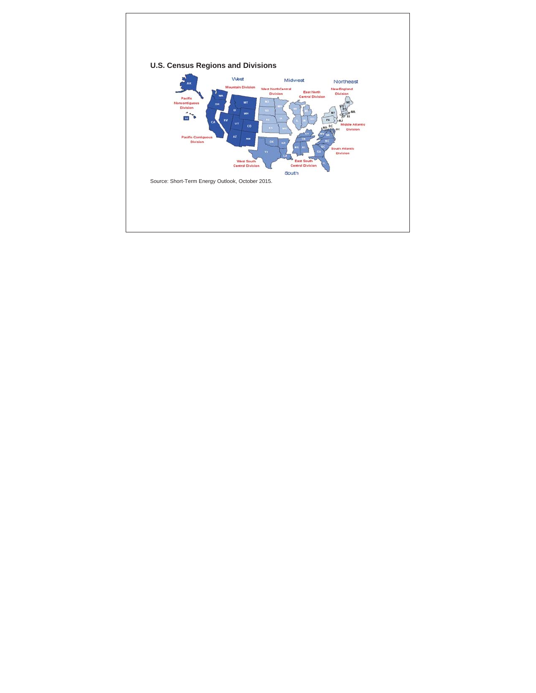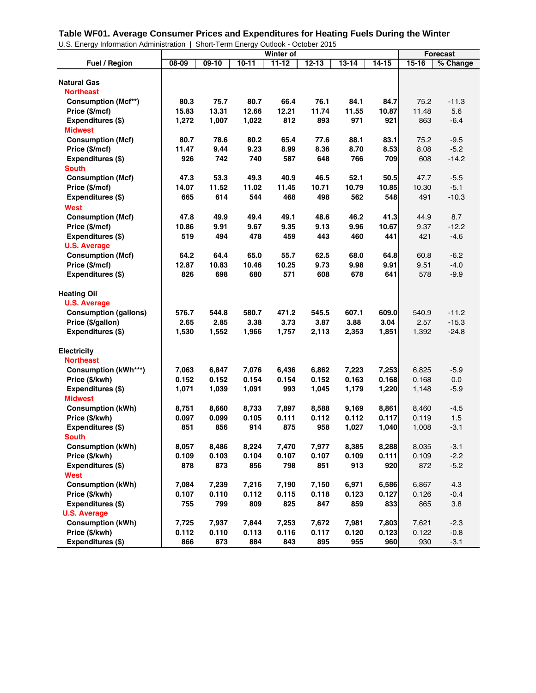#### **Table WF01. Average Consumer Prices and Expenditures for Heating Fuels During the Winter**

U.S. Energy Information Administration | Short-Term Energy Outlook - October 2015

|                              |       |         |         | Winter of |           |           |         |           | <b>Forecast</b> |
|------------------------------|-------|---------|---------|-----------|-----------|-----------|---------|-----------|-----------------|
| Fuel / Region                | 08-09 | $09-10$ | $10-11$ | $11 - 12$ | $12 - 13$ | $13 - 14$ | $14-15$ | $15 - 16$ | % Change        |
|                              |       |         |         |           |           |           |         |           |                 |
| <b>Natural Gas</b>           |       |         |         |           |           |           |         |           |                 |
| Northeast                    |       |         |         |           |           |           |         |           |                 |
| <b>Consumption (Mcf**)</b>   | 80.3  | 75.7    | 80.7    | 66.4      | 76.1      | 84.1      | 84.7    | 75.2      | $-11.3$         |
| Price (\$/mcf)               | 15.83 | 13.31   | 12.66   | 12.21     | 11.74     | 11.55     | 10.87   | 11.48     | 5.6             |
| Expenditures (\$)            | 1,272 | 1,007   | 1,022   | 812       | 893       | 971       | 921     | 863       | $-6.4$          |
| Midwest                      |       |         |         |           |           |           |         |           |                 |
| <b>Consumption (Mcf)</b>     | 80.7  | 78.6    | 80.2    | 65.4      | 77.6      | 88.1      | 83.1    | 75.2      | $-9.5$          |
| Price (\$/mcf)               | 11.47 | 9.44    | 9.23    | 8.99      | 8.36      | 8.70      | 8.53    | 8.08      | $-5.2$          |
| Expenditures (\$)            | 926   | 742     | 740     | 587       | 648       | 766       | 709     | 608       | $-14.2$         |
| <b>South</b>                 |       |         |         |           |           |           |         |           |                 |
| <b>Consumption (Mcf)</b>     | 47.3  | 53.3    | 49.3    | 40.9      | 46.5      | 52.1      | 50.5    | 47.7      | $-5.5$          |
| Price (\$/mcf)               | 14.07 | 11.52   | 11.02   | 11.45     | 10.71     | 10.79     | 10.85   | 10.30     | $-5.1$          |
| Expenditures (\$)            | 665   | 614     | 544     | 468       | 498       | 562       | 548     | 491       | $-10.3$         |
| <b>West</b>                  |       |         |         |           |           |           |         |           |                 |
| <b>Consumption (Mcf)</b>     | 47.8  | 49.9    | 49.4    | 49.1      | 48.6      | 46.2      | 41.3    | 44.9      | 8.7             |
| Price (\$/mcf)               | 10.86 | 9.91    | 9.67    | 9.35      | 9.13      | 9.96      | 10.67   | 9.37      | $-12.2$         |
| Expenditures (\$)            | 519   | 494     | 478     | 459       | 443       | 460       | 441     | 421       | $-4.6$          |
| <b>U.S. Average</b>          |       |         |         |           |           |           |         |           |                 |
| <b>Consumption (Mcf)</b>     | 64.2  | 64.4    | 65.0    | 55.7      | 62.5      | 68.0      | 64.8    | 60.8      | $-6.2$          |
| Price (\$/mcf)               | 12.87 | 10.83   | 10.46   | 10.25     | 9.73      | 9.98      | 9.91    | 9.51      | $-4.0$          |
| Expenditures (\$)            | 826   | 698     | 680     | 571       | 608       | 678       | 641     | 578       | $-9.9$          |
|                              |       |         |         |           |           |           |         |           |                 |
| <b>Heating Oil</b>           |       |         |         |           |           |           |         |           |                 |
| <b>U.S. Average</b>          |       |         |         |           |           |           |         |           |                 |
| <b>Consumption (gallons)</b> | 576.7 | 544.8   | 580.7   | 471.2     | 545.5     | 607.1     | 609.0   | 540.9     | $-11.2$         |
| Price (\$/gallon)            | 2.65  | 2.85    | 3.38    | 3.73      | 3.87      | 3.88      | 3.04    | 2.57      | $-15.3$         |
| Expenditures (\$)            | 1,530 | 1,552   | 1,966   | 1,757     | 2,113     | 2,353     | 1,851   | 1,392     | $-24.8$         |
| <b>Electricity</b>           |       |         |         |           |           |           |         |           |                 |
| Northeast                    |       |         |         |           |           |           |         |           |                 |
| <b>Consumption (kWh***)</b>  | 7,063 | 6,847   | 7,076   | 6,436     | 6,862     | 7,223     | 7,253   | 6,825     | $-5.9$          |
| Price (\$/kwh)               | 0.152 | 0.152   | 0.154   | 0.154     | 0.152     | 0.163     | 0.168   | 0.168     | 0.0             |
| Expenditures (\$)            | 1,071 | 1,039   | 1,091   | 993       | 1,045     | 1,179     | 1,220   | 1,148     | $-5.9$          |
| <b>Midwest</b>               |       |         |         |           |           |           |         |           |                 |
| <b>Consumption (kWh)</b>     | 8,751 | 8,660   | 8,733   | 7,897     | 8,588     | 9,169     | 8,861   | 8,460     | $-4.5$          |
| Price (\$/kwh)               | 0.097 | 0.099   | 0.105   | 0.111     | 0.112     | 0.112     | 0.117   | 0.119     | 1.5             |
| Expenditures (\$)            | 851   | 856     | 914     | 875       | 958       | 1,027     | 1,040   | 1,008     | $-3.1$          |
| <b>South</b>                 |       |         |         |           |           |           |         |           |                 |
| <b>Consumption (kWh)</b>     | 8,057 | 8,486   | 8,224   | 7,470     | 7,977     | 8,385     | 8,288   | 8,035     | $-3.1$          |
| Price (\$/kwh)               | 0.109 | 0.103   | 0.104   | 0.107     | 0.107     | 0.109     | 0.111   | 0.109     | $-2.2$          |
| Expenditures (\$)            | 878   | 873     | 856     | 798       | 851       | 913       | 920     | 872       | $-5.2$          |
| <b>West</b>                  |       |         |         |           |           |           |         |           |                 |
| <b>Consumption (kWh)</b>     | 7,084 | 7,239   | 7,216   | 7,190     | 7,150     | 6,971     | 6,586   | 6,867     | 4.3             |
| Price (\$/kwh)               | 0.107 | 0.110   | 0.112   | 0.115     | 0.118     | 0.123     | 0.127   | 0.126     | $-0.4$          |
| Expenditures (\$)            | 755   | 799     | 809     | 825       | 847       | 859       | 833     | 865       | 3.8             |
| <b>U.S. Average</b>          |       |         |         |           |           |           |         |           |                 |
| <b>Consumption (kWh)</b>     | 7,725 | 7,937   | 7,844   | 7,253     | 7,672     | 7,981     | 7,803   | 7,621     | $-2.3$          |
| Price (\$/kwh)               | 0.112 | 0.110   | 0.113   | 0.116     | 0.117     | 0.120     | 0.123   | 0.122     | $-0.8$          |
| Expenditures (\$)            | 866   | 873     | 884     | 843       | 895       | 955       | 960     | 930       | $-3.1$          |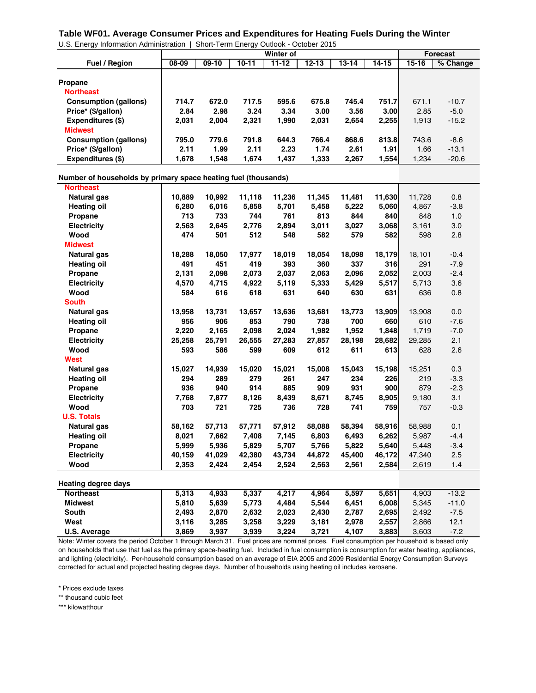#### U.S. Energy Information Administration | Short-Term Energy Outlook - October 2015 **Table WF01. Average Consumer Prices and Expenditures for Heating Fuels During the Winter**

|                              |       |         |           | Winter of |           |           |               |           | Forecast |
|------------------------------|-------|---------|-----------|-----------|-----------|-----------|---------------|-----------|----------|
| <b>Fuel / Region</b>         | 08-09 | $09-10$ | $10 - 11$ | $11 - 12$ | $12 - 13$ | $13 - 14$ | 14-15         | $15 - 16$ | % Change |
|                              |       |         |           |           |           |           |               |           |          |
| Propane                      |       |         |           |           |           |           |               |           |          |
| <b>Northeast</b>             |       |         |           |           |           |           |               |           |          |
| <b>Consumption (gallons)</b> | 714.7 | 672.0   | 717.5     | 595.6     | 675.8     | 745.4     | <b>751.71</b> | 671.1     | $-10.7$  |
| Price* (\$/gallon)           | 2.84  | 2.98    | 3.24      | 3.34      | 3.00      | 3.56      | 3.00          | 2.85      | $-5.0$   |
| Expenditures (\$)            | 2.031 | 2.004   | 2,321     | 1.990     | 2,031     | 2,654     | 2,255         | 1.913     | $-15.2$  |
| <b>Midwest</b>               |       |         |           |           |           |           |               |           |          |
| <b>Consumption (gallons)</b> | 795.0 | 779.6   | 791.8     | 644.3     | 766.4     | 868.6     | 813.8         | 743.6     | $-8.6$   |
| Price* (\$/gallon)           | 2.11  | 1.99    | 2.11      | 2.23      | 1.74      | 2.61      | 1.91          | 1.66      | $-13.1$  |
| Expenditures (\$)            | 1.678 | 1.548   | 1.674     | 1.437     | 1.333     | 2.267     | 1,554         | 1.234     | $-20.6$  |

#### **Number of households by primary space heating fuel (thousands)**

| <b>Northeast</b>           |        |        |        |        |        |        |        |        |         |
|----------------------------|--------|--------|--------|--------|--------|--------|--------|--------|---------|
| <b>Natural gas</b>         | 10,889 | 10,992 | 11,118 | 11,236 | 11,345 | 11,481 | 11,630 | 11,728 | 0.8     |
| <b>Heating oil</b>         | 6,280  | 6,016  | 5,858  | 5,701  | 5,458  | 5,222  | 5,060  | 4,867  | $-3.8$  |
| Propane                    | 713    | 733    | 744    | 761    | 813    | 844    | 840    | 848    | 1.0     |
| <b>Electricity</b>         | 2,563  | 2,645  | 2,776  | 2,894  | 3,011  | 3,027  | 3,068  | 3,161  | 3.0     |
| Wood                       | 474    | 501    | 512    | 548    | 582    | 579    | 582    | 598    | 2.8     |
| <b>Midwest</b>             |        |        |        |        |        |        |        |        |         |
| <b>Natural gas</b>         | 18,288 | 18,050 | 17,977 | 18,019 | 18,054 | 18,098 | 18,179 | 18,101 | $-0.4$  |
| <b>Heating oil</b>         | 491    | 451    | 419    | 393    | 360    | 337    | 316    | 291    | $-7.9$  |
| Propane                    | 2,131  | 2,098  | 2,073  | 2,037  | 2,063  | 2,096  | 2,052  | 2,003  | $-2.4$  |
| <b>Electricity</b>         | 4,570  | 4,715  | 4,922  | 5,119  | 5,333  | 5,429  | 5,517  | 5,713  | 3.6     |
| Wood                       | 584    | 616    | 618    | 631    | 640    | 630    | 631    | 636    | 0.8     |
| <b>South</b>               |        |        |        |        |        |        |        |        |         |
| <b>Natural gas</b>         | 13,958 | 13,731 | 13,657 | 13,636 | 13,681 | 13,773 | 13,909 | 13,908 | 0.0     |
| <b>Heating oil</b>         | 956    | 906    | 853    | 790    | 738    | 700    | 660    | 610    | $-7.6$  |
| Propane                    | 2,220  | 2,165  | 2,098  | 2,024  | 1,982  | 1,952  | 1,848  | 1,719  | $-7.0$  |
| <b>Electricity</b>         | 25,258 | 25,791 | 26,555 | 27,283 | 27,857 | 28,198 | 28,682 | 29,285 | 2.1     |
| Wood                       | 593    | 586    | 599    | 609    | 612    | 611    | 613    | 628    | 2.6     |
| <b>West</b>                |        |        |        |        |        |        |        |        |         |
| <b>Natural gas</b>         | 15,027 | 14,939 | 15,020 | 15,021 | 15,008 | 15,043 | 15,198 | 15,251 | 0.3     |
| <b>Heating oil</b>         | 294    | 289    | 279    | 261    | 247    | 234    | 226    | 219    | $-3.3$  |
| Propane                    | 936    | 940    | 914    | 885    | 909    | 931    | 900    | 879    | $-2.3$  |
| <b>Electricity</b>         | 7,768  | 7,877  | 8,126  | 8,439  | 8,671  | 8,745  | 8,905  | 9,180  | 3.1     |
| Wood                       | 703    | 721    | 725    | 736    | 728    | 741    | 759    | 757    | $-0.3$  |
| <b>U.S. Totals</b>         |        |        |        |        |        |        |        |        |         |
| <b>Natural gas</b>         | 58,162 | 57,713 | 57,771 | 57,912 | 58,088 | 58,394 | 58,916 | 58,988 | 0.1     |
| <b>Heating oil</b>         | 8,021  | 7,662  | 7,408  | 7,145  | 6,803  | 6,493  | 6,262  | 5,987  | $-4.4$  |
| Propane                    | 5,999  | 5,936  | 5,829  | 5,707  | 5,766  | 5,822  | 5,640  | 5,448  | $-3.4$  |
| <b>Electricity</b>         | 40,159 | 41,029 | 42,380 | 43,734 | 44,872 | 45,400 | 46,172 | 47,340 | 2.5     |
| Wood                       | 2,353  | 2,424  | 2,454  | 2,524  | 2,563  | 2,561  | 2,584  | 2,619  | 1.4     |
|                            |        |        |        |        |        |        |        |        |         |
| <b>Heating degree days</b> |        |        |        |        |        |        |        |        |         |
| <b>Northeast</b>           | 5,313  | 4,933  | 5,337  | 4,217  | 4,964  | 5,597  | 5,651  | 4,903  | $-13.2$ |
| <b>Midwest</b>             | 5,810  | 5,639  | 5,773  | 4,484  | 5,544  | 6,451  | 6,008  | 5,345  | $-11.0$ |
| <b>South</b>               | 2,493  | 2,870  | 2,632  | 2,023  | 2,430  | 2,787  | 2,695  | 2,492  | $-7.5$  |
| West                       | 3,116  | 3,285  | 3,258  | 3,229  | 3,181  | 2,978  | 2,557  | 2,866  | 12.1    |
| <b>U.S. Average</b>        | 3,869  | 3,937  | 3,939  | 3,224  | 3,721  | 4,107  | 3,883  | 3,603  | $-7.2$  |

Note: Winter covers the period October 1 through March 31. Fuel prices are nominal prices. Fuel consumption per household is based only on households that use that fuel as the primary space-heating fuel. Included in fuel consumption is consumption for water heating, appliances, and lighting (electricity). Per-household consumption based on an average of EIA 2005 and 2009 Residential Energy Consumption Surveys corrected for actual and projected heating degree days. Number of households using heating oil includes kerosene.

\* Prices exclude taxes

\*\* thousand cubic feet

\*\*\* kilowatthour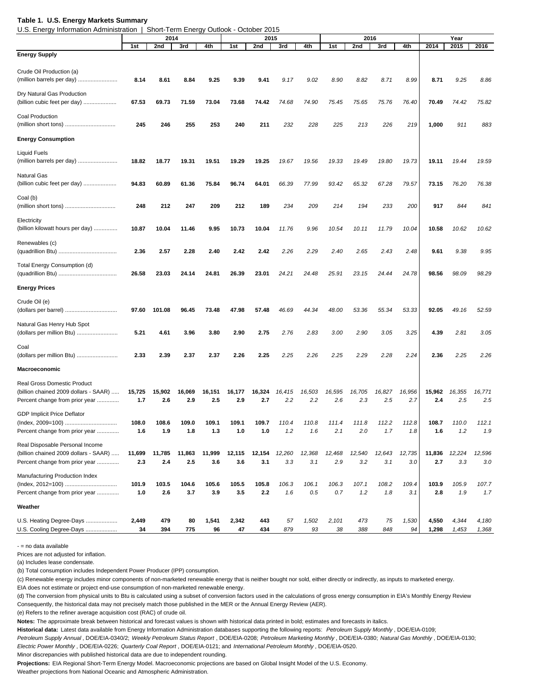#### **Table 1. U.S. Energy Markets Summary**

U.S. Energy Information Administration | Short-Term Energy Outlook - October 2015

| $5.8.$ Enorgy mnormation rightmnotiation |        |        | onon rommunorgy | <b>OUNDON</b> |        | <b>OUIDDUILLOID</b> |        |        |        |        |        |        |        |        |        |
|------------------------------------------|--------|--------|-----------------|---------------|--------|---------------------|--------|--------|--------|--------|--------|--------|--------|--------|--------|
|                                          |        | 2014   |                 |               |        | 2015                |        |        |        | 2016   |        |        |        | Year   |        |
|                                          | 1st    | 2nd    | 3rd             | 4th           | 1st    | 2nd                 | 3rd    | 4th    | 1st    | 2nd    | 3rd    | 4th    | 2014   | 2015   | 2016   |
| <b>Energy Supply</b>                     |        |        |                 |               |        |                     |        |        |        |        |        |        |        |        |        |
| Crude Oil Production (a)                 |        |        |                 |               |        |                     |        |        |        |        |        |        |        |        |        |
| (million barrels per day)                | 8.14   | 8.61   | 8.84            | 9.25          | 9.39   | 9.41                | 9.17   | 9.02   | 8.90   | 8.82   | 8.71   | 8.99   | 8.71   | 9.25   | 8.86   |
|                                          |        |        |                 |               |        |                     |        |        |        |        |        |        |        |        |        |
| Dry Natural Gas Production               |        |        |                 |               |        |                     |        |        |        |        |        |        |        |        |        |
| (billion cubic feet per day)             | 67.53  | 69.73  | 71.59           | 73.04         | 73.68  | 74.42               | 74.68  | 74.90  | 75.45  | 75.65  | 75.76  | 76.40  | 70.49  | 74.42  | 75.82  |
| Coal Production                          |        |        |                 |               |        |                     |        |        |        |        |        |        |        |        |        |
| (million short tons)                     | 245    | 246    | 255             | 253           | 240    | 211                 | 232    | 228    | 225    | 213    | 226    | 219    | 1,000  | 911    | 883    |
| <b>Energy Consumption</b>                |        |        |                 |               |        |                     |        |        |        |        |        |        |        |        |        |
|                                          |        |        |                 |               |        |                     |        |        |        |        |        |        |        |        |        |
| <b>Liquid Fuels</b>                      |        |        |                 |               |        |                     |        |        |        |        |        |        |        |        |        |
| (million barrels per day)                | 18.82  | 18.77  | 19.31           | 19.51         | 19.29  | 19.25               | 19.67  | 19.56  | 19.33  | 19.49  | 19.80  | 19.73  | 19.11  | 19.44  | 19.59  |
| <b>Natural Gas</b>                       |        |        |                 |               |        |                     |        |        |        |        |        |        |        |        |        |
| (billion cubic feet per day)             | 94.83  | 60.89  | 61.36           | 75.84         | 96.74  | 64.01               | 66.39  | 77.99  | 93.42  | 65.32  | 67.28  | 79.57  | 73.15  | 76.20  | 76.38  |
|                                          |        |        |                 |               |        |                     |        |        |        |        |        |        |        |        |        |
| Coal (b)                                 |        |        |                 |               |        |                     |        |        |        |        |        |        |        |        |        |
|                                          | 248    | 212    | 247             | 209           | 212    | 189                 | 234    | 209    | 214    | 194    | 233    | 200    | 917    | 844    | 841    |
| Electricity                              |        |        |                 |               |        |                     |        |        |        |        |        |        |        |        |        |
| (billion kilowatt hours per day)         | 10.87  | 10.04  | 11.46           | 9.95          | 10.73  | 10.04               | 11.76  | 9.96   | 10.54  | 10.11  | 11.79  | 10.04  | 10.58  | 10.62  | 10.62  |
|                                          |        |        |                 |               |        |                     |        |        |        |        |        |        |        |        |        |
| Renewables (c)                           |        |        |                 |               |        |                     |        |        |        |        |        |        |        |        |        |
|                                          | 2.36   | 2.57   | 2.28            | 2.40          | 2.42   | 2.42                | 2.26   | 2.29   | 2.40   | 2.65   | 2.43   | 2.48   | 9.61   | 9.38   | 9.95   |
|                                          |        |        |                 |               |        |                     |        |        |        |        |        |        |        |        |        |
| Total Energy Consumption (d)             |        | 23.03  |                 |               | 26.39  | 23.01               |        | 24.48  |        |        |        | 24.78  | 98.56  | 98.09  | 98.29  |
|                                          | 26.58  |        | 24.14           | 24.81         |        |                     | 24.21  |        | 25.91  | 23.15  | 24.44  |        |        |        |        |
| <b>Energy Prices</b>                     |        |        |                 |               |        |                     |        |        |        |        |        |        |        |        |        |
| Crude Oil (e)                            |        |        |                 |               |        |                     |        |        |        |        |        |        |        |        |        |
|                                          | 97.60  | 101.08 | 96.45           | 73.48         | 47.98  | 57.48               | 46.69  | 44.34  | 48.00  | 53.36  | 55.34  | 53.33  | 92.05  | 49.16  | 52.59  |
|                                          |        |        |                 |               |        |                     |        |        |        |        |        |        |        |        |        |
| Natural Gas Henry Hub Spot               |        |        |                 |               |        |                     |        |        |        |        |        |        |        |        |        |
| (dollars per million Btu)                | 5.21   | 4.61   | 3.96            | 3.80          | 2.90   | 2.75                | 2.76   | 2.83   | 3.00   | 2.90   | 3.05   | 3.25   | 4.39   | 2.81   | 3.05   |
| Coal                                     |        |        |                 |               |        |                     |        |        |        |        |        |        |        |        |        |
| (dollars per million Btu)                | 2.33   | 2.39   | 2.37            | 2.37          | 2.26   | 2.25                | 2.25   | 2.26   | 2.25   | 2.29   | 2.28   | 2.24   | 2.36   | 2.25   | 2.26   |
|                                          |        |        |                 |               |        |                     |        |        |        |        |        |        |        |        |        |
| <b>Macroeconomic</b>                     |        |        |                 |               |        |                     |        |        |        |        |        |        |        |        |        |
| <b>Real Gross Domestic Product</b>       |        |        |                 |               |        |                     |        |        |        |        |        |        |        |        |        |
| (billion chained 2009 dollars - SAAR)    | 15,725 | 15,902 | 16,069          | 16,151        | 16,177 | 16,324              | 16,415 | 16,503 | 16,595 | 16,705 | 16,827 | 16,956 | 15,962 | 16,355 | 16,771 |
| Percent change from prior year           | 1.7    | 2.6    | 2.9             | 2.5           | 2.9    | 2.7                 | 2.2    | 2.2    | 2.6    | 2.3    | 2.5    | 2.7    | 2.4    | 2.5    | 2.5    |
|                                          |        |        |                 |               |        |                     |        |        |        |        |        |        |        |        |        |
| <b>GDP Implicit Price Deflator</b>       |        |        |                 |               |        |                     |        |        |        |        |        |        |        |        |        |
| (Index, 2009=100)                        | 108.0  | 108.6  | 109.0           | 109.1         | 109.1  | 109.7               | 110.4  | 110.8  | 111.4  | 111.8  | 112.2  | 112.8  | 108.7  | 110.0  | 112.1  |
| Percent change from prior year           | 1.6    | 1.9    | 1.8             | 1.3           | 1.0    | 1.0                 | 1.2    | 1.6    | 2.1    | 2.0    | 1.7    | 1.8    | 1.6    | 1.2    | 1.9    |
| Real Disposable Personal Income          |        |        |                 |               |        |                     |        |        |        |        |        |        |        |        |        |
| (billion chained 2009 dollars - SAAR)    | 11,699 | 11,785 | 11,863          | 11,999        | 12,115 | 12,154              | 12,260 | 12,368 | 12,468 | 12,540 | 12,643 | 12,735 | 11,836 | 12,224 | 12,596 |
| Percent change from prior year           | 2.3    | 2.4    | 2.5             | 3.6           | 3.6    | 3.1                 | 3.3    | 3.1    | 2.9    | 3.2    | 3.1    | 3.0    | 2.7    | 3.3    | 3.0    |
|                                          |        |        |                 |               |        |                     |        |        |        |        |        |        |        |        |        |
| Manufacturing Production Index           |        |        |                 |               |        |                     |        |        |        |        |        |        |        |        |        |
| (Index, 2012=100)                        | 101.9  | 103.5  | 104.6           | 105.6         | 105.5  | 105.8               | 106.3  | 106.1  | 106.3  | 107.1  | 108.2  | 109.4  | 103.9  | 105.9  | 107.7  |
| Percent change from prior year           | 1.0    | 2.6    | 3.7             | 3.9           | 3.5    | 2.2                 | 1.6    | 0.5    | 0.7    | 1.2    | 1.8    | 3.1    | 2.8    | 1.9    | 1.7    |
| Weather                                  |        |        |                 |               |        |                     |        |        |        |        |        |        |        |        |        |
|                                          |        |        |                 |               |        |                     |        |        |        |        |        |        |        |        |        |
| U.S. Heating Degree-Days                 | 2,449  | 479    | 80              | 1,541         | 2,342  | 443                 | 57     | 1,502  | 2,101  | 473    | 75     | 1,530  | 4,550  | 4,344  | 4,180  |
| U.S. Cooling Degree-Days                 | 34     | 394    | 775             | 96            | 47     | 434                 | 879    | 93     | 38     | 388    | 848    | 94     | 1,298  | 1,453  | 1,368  |

- = no data available

Prices are not adjusted for inflation.

(a) Includes lease condensate.

(b) Total consumption includes Independent Power Producer (IPP) consumption.

(c) Renewable energy includes minor components of non-marketed renewable energy that is neither bought nor sold, either directly or indirectly, as inputs to marketed energy.

EIA does not estimate or project end-use consumption of non-marketed renewable energy.

(d) The conversion from physical units to Btu is calculated using a subset of conversion factors used in the calculations of gross energy consumption in EIA's Monthly Energy Review Consequently, the historical data may not precisely match those published in the MER or the Annual Energy Review (AER).

(e) Refers to the refiner average acquisition cost (RAC) of crude oil.

**Notes:** The approximate break between historical and forecast values is shown with historical data printed in bold; estimates and forecasts in italics.

**Historical data:** Latest data available from Energy Information Administration databases supporting the following reports: *Petroleum Supply Monthly* , DOE/EIA-0109;

*Petroleum Supply Annual* , DOE/EIA-0340/2; *Weekly Petroleum Status Report* , DOE/EIA-0208; *Petroleum Marketing Monthly* , DOE/EIA-0380; *Natural Gas Monthly* , DOE/EIA-0130; *Electric Power Monthly* , DOE/EIA-0226; *Quarterly Coal Report* , DOE/EIA-0121; and *International Petroleum Monthly* , DOE/EIA-0520.

Minor discrepancies with published historical data are due to independent rounding.

**Projections:** EIA Regional Short-Term Energy Model. Macroeconomic projections are based on Global Insight Model of the U.S. Economy.

Weather projections from National Oceanic and Atmospheric Administration.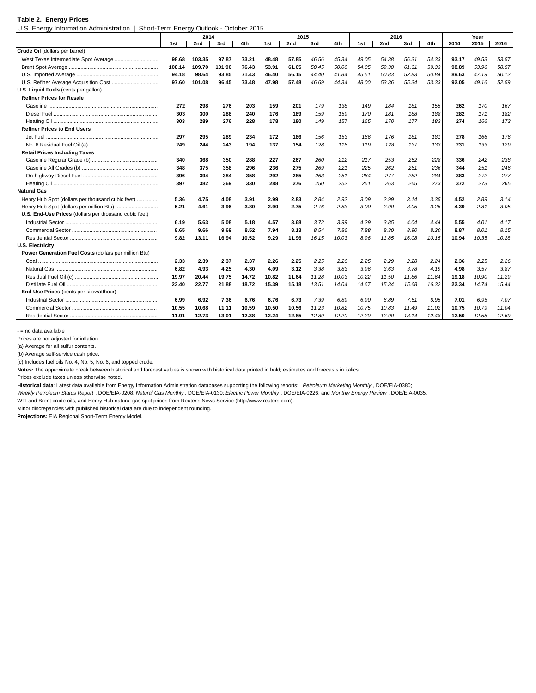#### **Table 2. Energy Prices**

U.S. Energy Information Administration | Short-Term Energy Outlook - October 2015

|                                                       |        | 2014   |        |       |       | 2015  |       |       |       | 2016  |       |       |       | Year  |       |
|-------------------------------------------------------|--------|--------|--------|-------|-------|-------|-------|-------|-------|-------|-------|-------|-------|-------|-------|
|                                                       | 1st    | 2nd    | 3rd    | 4th   | 1st   | 2nd   | 3rd   | 4th   | 1st   | 2nd   | 3rd   | 4th   | 2014  | 2015  | 2016  |
| Crude Oil (dollars per barrel)                        |        |        |        |       |       |       |       |       |       |       |       |       |       |       |       |
|                                                       | 98.68  | 103.35 | 97.87  | 73.21 | 48.48 | 57.85 | 46.56 | 45.34 | 49.05 | 54.38 | 56.31 | 54.33 | 93.17 | 49.53 | 53.57 |
|                                                       | 108.14 | 109.70 | 101.90 | 76.43 | 53.91 | 61.65 | 50.45 | 50.00 | 54.05 | 59.38 | 61.31 | 59.33 | 98.89 | 53.96 | 58.57 |
|                                                       | 94.18  | 98.64  | 93.85  | 71.43 | 46.40 | 56.15 | 44.40 | 41.84 | 45.51 | 50.83 | 52.83 | 50.84 | 89.63 | 47.19 | 50.12 |
|                                                       | 97.60  | 101.08 | 96.45  | 73.48 | 47.98 | 57.48 | 46.69 | 44.34 | 48.00 | 53.36 | 55.34 | 53.33 | 92.05 | 49.16 | 52.59 |
| U.S. Liquid Fuels (cents per gallon)                  |        |        |        |       |       |       |       |       |       |       |       |       |       |       |       |
| <b>Refiner Prices for Resale</b>                      |        |        |        |       |       |       |       |       |       |       |       |       |       |       |       |
|                                                       | 272    | 298    | 276    | 203   | 159   | 201   | 179   | 138   | 149   | 184   | 181   | 155   | 262   | 170   | 167   |
|                                                       | 303    | 300    | 288    | 240   | 176   | 189   | 159   | 159   | 170   | 181   | 188   | 188   | 282   | 171   | 182   |
|                                                       | 303    | 289    | 276    | 228   | 178   | 180   | 149   | 157   | 165   | 170   | 177   | 183   | 274   | 166   | 173   |
| <b>Refiner Prices to End Users</b>                    |        |        |        |       |       |       |       |       |       |       |       |       |       |       |       |
|                                                       | 297    | 295    | 289    | 234   | 172   | 186   | 156   | 153   | 166   | 176   | 181   | 181   | 278   | 166   | 176   |
|                                                       | 249    | 244    | 243    | 194   | 137   | 154   | 128   | 116   | 119   | 128   | 137   | 133   | 231   | 133   | 129   |
| <b>Retail Prices Including Taxes</b>                  |        |        |        |       |       |       |       |       |       |       |       |       |       |       |       |
|                                                       | 340    | 368    | 350    | 288   | 227   | 267   | 260   | 212   | 217   | 253   | 252   | 228   | 336   | 242   | 238   |
|                                                       | 348    | 375    | 358    | 296   | 236   | 275   | 269   | 221   | 225   | 262   | 261   | 236   | 344   | 251   | 246   |
|                                                       | 396    | 394    | 384    | 358   | 292   | 285   | 263   | 251   | 264   | 277   | 282   | 284   | 383   | 272   | 277   |
|                                                       | 397    | 382    | 369    | 330   | 288   | 276   | 250   | 252   | 261   | 263   | 265   | 273   | 372   | 273   | 265   |
| <b>Natural Gas</b>                                    |        |        |        |       |       |       |       |       |       |       |       |       |       |       |       |
| Henry Hub Spot (dollars per thousand cubic feet)      | 5.36   | 4.75   | 4.08   | 3.91  | 2.99  | 2.83  | 2.84  | 2.92  | 3.09  | 2.99  | 3.14  | 3.35  | 4.52  | 2.89  | 3.14  |
|                                                       | 5.21   | 4.61   | 3.96   | 3.80  | 2.90  | 2.75  | 2.76  | 2.83  | 3.00  | 2.90  | 3.05  | 3.25  | 4.39  | 2.81  | 3.05  |
| U.S. End-Use Prices (dollars per thousand cubic feet) |        |        |        |       |       |       |       |       |       |       |       |       |       |       |       |
|                                                       | 6.19   | 5.63   | 5.08   | 5.18  | 4.57  | 3.68  | 3.72  | 3.99  | 4.29  | 3.85  | 4.04  | 4.44  | 5.55  | 4.01  | 4.17  |
|                                                       | 8.65   | 9.66   | 9.69   | 8.52  | 7.94  | 8.13  | 8.54  | 7.86  | 7.88  | 8.30  | 8.90  | 8.20  | 8.87  | 8.01  | 8.15  |
|                                                       | 9.82   | 13.11  | 16.94  | 10.52 | 9.29  | 11.96 | 16.15 | 10.03 | 8.96  | 11.85 | 16.08 | 10.15 | 10.94 | 10.35 | 10.28 |
| <b>U.S. Electricity</b>                               |        |        |        |       |       |       |       |       |       |       |       |       |       |       |       |
| Power Generation Fuel Costs (dollars per million Btu) |        |        |        |       |       |       |       |       |       |       |       |       |       |       |       |
|                                                       | 2.33   | 2.39   | 2.37   | 2.37  | 2.26  | 2.25  | 2.25  | 2.26  | 2.25  | 2.29  | 2.28  | 2.24  | 2.36  | 2.25  | 2.26  |
|                                                       | 6.82   | 4.93   | 4.25   | 4.30  | 4.09  | 3.12  | 3.38  | 3.83  | 3.96  | 3.63  | 3.78  | 4.19  | 4.98  | 3.57  | 3.87  |
|                                                       | 19.97  | 20.44  | 19.75  | 14.72 | 10.82 | 11.64 | 11.28 | 10.03 | 10.22 | 11.50 | 11.86 | 11.64 | 19.18 | 10.90 | 11.29 |
|                                                       | 23.40  | 22.77  | 21.88  | 18.72 | 15.39 | 15.18 | 13.51 | 14.04 | 14.67 | 15.34 | 15.68 | 16.32 | 22.34 | 14.74 | 15.44 |
| End-Use Prices (cents per kilowatthour)               |        |        |        |       |       |       |       |       |       |       |       |       |       |       |       |
|                                                       | 6.99   | 6.92   | 7.36   | 6.76  | 6.76  | 6.73  | 7.39  | 6.89  | 6.90  | 6.89  | 7.51  | 6.95  | 7.01  | 6.95  | 7.07  |
|                                                       | 10.55  | 10.68  | 11.11  | 10.59 | 10.50 | 10.56 | 11.23 | 10.82 | 10.75 | 10.83 | 11.49 | 11.02 | 10.75 | 10.79 | 11.04 |
|                                                       | 11.91  | 12.73  | 13.01  | 12.38 | 12.24 | 12.85 | 12.89 | 12.20 | 12.20 | 12.90 | 13.14 | 12.48 | 12.50 | 12.55 | 12.69 |

- = no data available

Prices are not adjusted for inflation.

(a) Average for all sulfur contents.

(b) Average self-service cash price.

(c) Includes fuel oils No. 4, No. 5, No. 6, and topped crude.

**Notes:** The approximate break between historical and forecast values is shown with historical data printed in bold; estimates and forecasts in italics.

Prices exclude taxes unless otherwise noted.

**Historical data**: Latest data available from Energy Information Administration databases supporting the following reports: *Petroleum Marketing Monthly* , DOE/EIA-0380;

*Weekly Petroleum Status Report* , DOE/EIA-0208; *Natural Gas Monthly* , DOE/EIA-0130; *Electric Power Monthly* , DOE/EIA-0226; and *Monthly Energy Review* , DOE/EIA-0035. WTI and Brent crude oils, and Henry Hub natural gas spot prices from Reuter's News Service (http://www.reuters.com).

Minor discrepancies with published historical data are due to independent rounding.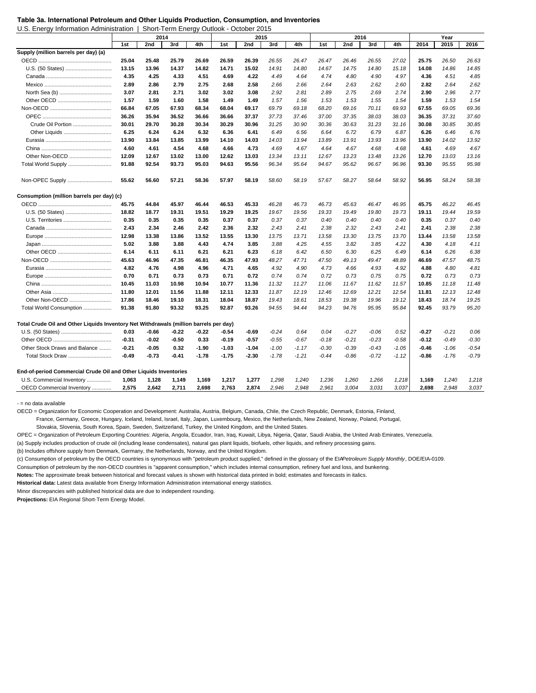U.S. Energy Information Administration | Short-Term Energy Outlook - October 2015

| 2014<br>2nd<br>3rd<br>4th<br>1st<br>2nd<br>3rd<br>4th<br>2nd<br>4th<br>2015<br>2016<br>1st<br>1st<br>3rd<br>Supply (million barrels per day) (a)<br>25.04<br>25.48<br>25.79<br>26.69<br>26.59<br>26.39<br>26.55<br>26.47<br>26.47<br>26.46<br>26.55<br>27.02<br>25.75<br>26.50<br>26.63<br>13.15<br>14.37<br>14.71<br>15.02<br>14.08<br>14.86<br>14.85<br>13.96<br>14.82<br>14.91<br>14.80<br>14.67<br>14.75<br>14.80<br>15.18<br>4.35<br>4.25<br>4.33<br>4.51<br>4.69<br>4.22<br>4.49<br>4.64<br>4.74<br>4.80<br>4.90<br>4.97<br>4.36<br>4.51<br>4.85<br>2.89<br>2.86<br>2.79<br>2.75<br>2.68<br>2.58<br>2.64<br>2.63<br>2.82<br>2.64<br>2.62<br>2.66<br>2.66<br>2.62<br>2.60<br>3.07<br>2.77<br>2.81<br>2.71<br>3.02<br>3.02<br>3.08<br>2.92<br>2.89<br>2.75<br>2.74<br>2.90<br>2.96<br>2.81<br>2.69<br>1.57<br>1.59<br>1.60<br>1.58<br>1.49<br>1.49<br>1.57<br>1.53<br>1.54<br>1.59<br>1.53<br>1.54<br>1.56<br>1.53<br>1.55<br>67.55<br>69.36<br>66.84<br>67.05<br>67.93<br>68.34<br>68.04<br>69.17<br>69.79<br>69.18<br>68.20<br>69.16<br>70.11<br>69.93<br>69.05<br>36.26<br>35.94<br>36.52<br>36.66<br>36.66<br>37.37<br>37.00<br>37.35<br>38.03<br>38.03<br>36.35<br>37.31<br>37.60<br>37.73<br>37.46<br>Crude Oil Portion<br>30.01<br>30.85<br>29.70<br>30.28<br>30.34<br>30.29<br>30.96<br>31.25<br>30.90<br>30.36<br>30.63<br>31.23<br>31.16<br>30.08<br>30.85<br>6.25<br>6.24<br>6.32<br>6.79<br>6.26<br>6.76<br>6.24<br>6.36<br>6.41<br>6.49<br>6.56<br>6.64<br>6.72<br>6.87<br>6.46<br>13.90<br>13.92<br>13.90<br>13.84<br>13.85<br>13.99<br>14.10<br>14.03<br>14.03<br>13.94<br>13.89<br>13.91<br>13.93<br>13.96<br>14.02<br>4.54<br>4.73<br>4.67<br>4.60<br>4.61<br>4.68<br>4.66<br>4.69<br>4.67<br>4.64<br>4.67<br>4.68<br>4.68<br>4.61<br>4.69<br>Other Non-OECD<br>12.70<br>12.09<br>12.67<br>13.02<br>13.00<br>12.62<br>13.03<br>13.34<br>13.11<br>12.67<br>13.23<br>13.48<br>13.26<br>13.03<br>13.16<br>Total World Supply<br>91.88<br>92.54<br>93.73<br>95.03<br>94.63<br>95.56<br>96.34<br>95.64<br>94.67<br>95.62<br>96.67<br>96.96<br>93.30<br>95.55<br>95.98<br>Non-OPEC Supply<br>55.62<br>56.60<br>57.21<br>58.36<br>57.97<br>58.19<br>58.60<br>58.19<br>58.27<br>58.64<br>58.92<br>56.95<br>58.24<br>58.38<br>57.67<br>Consumption (million barrels per day) (c)<br>45.75<br>44.84<br>45.97<br>46.44<br>46.53<br>45.33<br>46.28<br>46.73<br>46.73<br>45.63<br>46.47<br>46.95<br>45.75<br>46.22<br>46.45<br>19.59<br>U.S. (50 States)<br>18.82<br>18.77<br>19.31<br>19.51<br>19.29<br>19.25<br>19.67<br>19.56<br>19.33<br>19.49<br>19.80<br>19.73<br>19.11<br>19.44<br>0.35<br>0.40<br>U.S. Territories<br>0.35<br>0.35<br>0.35<br>0.37<br>0.37<br>0.37<br>0.37<br>0.40<br>0.40<br>0.40<br>0.40<br>0.35<br>0.37<br>2.38<br>2.43<br>2.34<br>2.46<br>2.42<br>2.36<br>2.32<br>2.43<br>2.41<br>2.38<br>2.32<br>2.43<br>2.41<br>2.41<br>2.38<br>12.98<br>13.38<br>13.86<br>13.52<br>13.55<br>13.30<br>13.75<br>13.71<br>13.58<br>13.30<br>13.75<br>13.70<br>13.44<br>13.58<br>13.58<br>5.02<br>3.88<br>3.88<br>4.43<br>4.74<br>3.85<br>3.88<br>4.25<br>4.55<br>3.82<br>3.85<br>4.22<br>4.30<br>4.18<br>4.11<br>6.14<br>6.11<br>6.21<br>6.21<br>6.23<br>6.30<br>6.25<br>6.14<br>6.26<br>6.38<br>6.11<br>6.18<br>6.42<br>6.50<br>6.49<br>45.63<br>46.96<br>47.35<br>46.81<br>46.35<br>47.93<br>48.27<br>49.13<br>48.89<br>47.57<br>48.75<br>47.71<br>47.50<br>49.47<br>46.69<br>4.82<br>4.76<br>4.81<br>4.98<br>4.96<br>4.71<br>4.65<br>4.92<br>4.90<br>4.73<br>4.66<br>4.93<br>4.92<br>4.88<br>4.80<br>0.70<br>0.71<br>0.73<br>0.73<br>0.71<br>0.73<br>0.72<br>0.74<br>0.74<br>0.72<br>0.73<br>0.75<br>0.75<br>0.72<br>0.73<br>10.45<br>11.03<br>10.98<br>10.94<br>10.77<br>11.36<br>11.32<br>11.27<br>11.06<br>11.67<br>11.62<br>11.57<br>10.85<br>11.18<br>11.48<br>11.80<br>12.01<br>11.56<br>11.88<br>12.11<br>12.33<br>12.19<br>12.46<br>12.21<br>12.54<br>11.81<br>12.13<br>12.48<br>11.87<br>12.69<br>Other Non-OECD<br>17.86<br>18.46<br>19.10<br>18.31<br>18.04<br>18.87<br>19.43<br>18.61<br>18.53<br>19.38<br>19.96<br>19.12<br>18.43<br>18.74<br>19.25<br>Total World Consumption<br>91.38<br>93.25<br>92.87<br>93.26<br>94.23<br>94.76<br>95.95<br>92.45<br>93.79<br>95.20<br>91.80<br>93.32<br>94.55<br>94.44<br>95.84<br>Total Crude Oil and Other Liquids Inventory Net Withdrawals (million barrels per day)<br>0.03<br>$-0.22$<br>-0.69<br>$-0.24$<br>$-0.27$<br>$-0.27$<br>$-0.21$<br>$-0.66$<br>$-0.22$<br>-0.54<br>0.64<br>0.04<br>$-0.06$<br>0.52<br>0.06<br>$-0.31$<br>$-0.02$<br>$-0.50$<br>0.33<br>$-0.19$<br>$-0.57$<br>$-0.55$<br>$-0.21$<br>$-0.23$<br>$-0.58$<br>$-0.12$<br>$-0.49$<br>$-0.30$<br>$-0.67$<br>$-0.18$<br>Other Stock Draws and Balance<br>$-0.21$<br>$-0.05$<br>0.32<br>$-1.90$<br>$-1.03$<br>$-1.04$<br>$-1.00$<br>$-1.17$<br>$-0.30$<br>$-0.39$<br>$-0.43$<br>$-1.05$<br>$-0.46$<br>$-1.06$<br>$-0.54$<br>$-0.49$<br>$-0.73$<br>$-0.41$<br>$-1.75$<br>$-0.86$<br>$-0.79$<br>Total Stock Draw<br>$-1.78$<br>$-2.30$<br>$-1.78$<br>$-1.21$<br>$-0.44$<br>$-0.86$<br>$-0.72$<br>$-1.12$<br>$-1.76$<br>End-of-period Commercial Crude Oil and Other Liquids Inventories<br>U.S. Commercial Inventory<br>1,063<br>1,128<br>1,149<br>1,169<br>1,217<br>1,277<br>1,298<br>1,240<br>1,236<br>1,260<br>1,266<br>1,218<br>1,169<br>1.240<br>1,218 |  | 2014 |  | 2015 |  | 2016 |  | Year |  |
|------------------------------------------------------------------------------------------------------------------------------------------------------------------------------------------------------------------------------------------------------------------------------------------------------------------------------------------------------------------------------------------------------------------------------------------------------------------------------------------------------------------------------------------------------------------------------------------------------------------------------------------------------------------------------------------------------------------------------------------------------------------------------------------------------------------------------------------------------------------------------------------------------------------------------------------------------------------------------------------------------------------------------------------------------------------------------------------------------------------------------------------------------------------------------------------------------------------------------------------------------------------------------------------------------------------------------------------------------------------------------------------------------------------------------------------------------------------------------------------------------------------------------------------------------------------------------------------------------------------------------------------------------------------------------------------------------------------------------------------------------------------------------------------------------------------------------------------------------------------------------------------------------------------------------------------------------------------------------------------------------------------------------------------------------------------------------------------------------------------------------------------------------------------------------------------------------------------------------------------------------------------------------------------------------------------------------------------------------------------------------------------------------------------------------------------------------------------------------------------------------------------------------------------------------------------------------------------------------------------------------------------------------------------------------------------------------------------------------------------------------------------------------------------------------------------------------------------------------------------------------------------------------------------------------------------------------------------------------------------------------------------------------------------------------------------------------------------------------------------------------------------------------------------------------------------------------------------------------------------------------------------------------------------------------------------------------------------------------------------------------------------------------------------------------------------------------------------------------------------------------------------------------------------------------------------------------------------------------------------------------------------------------------------------------------------------------------------------------------------------------------------------------------------------------------------------------------------------------------------------------------------------------------------------------------------------------------------------------------------------------------------------------------------------------------------------------------------------------------------------------------------------------------------------------------------------------------------------------------------------------------------------------------------------------------------------------------------------------------------------------------------------------------------------------------------------------------------------------------------------------------------------------------------------------------------------------------------------------------------------------------------------------------------------------------------------------------------------------------------------------------------------------------------------------------------------------------------------------------------------------------------------------------------------------------------------------------------------------------------------------------------------------------------------------------------------------------------------------------------------------------------------------------------------------------------------------------------------------------------------------------------------------------------------------------|--|------|--|------|--|------|--|------|--|
|                                                                                                                                                                                                                                                                                                                                                                                                                                                                                                                                                                                                                                                                                                                                                                                                                                                                                                                                                                                                                                                                                                                                                                                                                                                                                                                                                                                                                                                                                                                                                                                                                                                                                                                                                                                                                                                                                                                                                                                                                                                                                                                                                                                                                                                                                                                                                                                                                                                                                                                                                                                                                                                                                                                                                                                                                                                                                                                                                                                                                                                                                                                                                                                                                                                                                                                                                                                                                                                                                                                                                                                                                                                                                                                                                                                                                                                                                                                                                                                                                                                                                                                                                                                                                                                                                                                                                                                                                                                                                                                                                                                                                                                                                                                                                                                                                                                                                                                                                                                                                                                                                                                                                                                                                                                                                                            |  |      |  |      |  |      |  |      |  |
|                                                                                                                                                                                                                                                                                                                                                                                                                                                                                                                                                                                                                                                                                                                                                                                                                                                                                                                                                                                                                                                                                                                                                                                                                                                                                                                                                                                                                                                                                                                                                                                                                                                                                                                                                                                                                                                                                                                                                                                                                                                                                                                                                                                                                                                                                                                                                                                                                                                                                                                                                                                                                                                                                                                                                                                                                                                                                                                                                                                                                                                                                                                                                                                                                                                                                                                                                                                                                                                                                                                                                                                                                                                                                                                                                                                                                                                                                                                                                                                                                                                                                                                                                                                                                                                                                                                                                                                                                                                                                                                                                                                                                                                                                                                                                                                                                                                                                                                                                                                                                                                                                                                                                                                                                                                                                                            |  |      |  |      |  |      |  |      |  |
|                                                                                                                                                                                                                                                                                                                                                                                                                                                                                                                                                                                                                                                                                                                                                                                                                                                                                                                                                                                                                                                                                                                                                                                                                                                                                                                                                                                                                                                                                                                                                                                                                                                                                                                                                                                                                                                                                                                                                                                                                                                                                                                                                                                                                                                                                                                                                                                                                                                                                                                                                                                                                                                                                                                                                                                                                                                                                                                                                                                                                                                                                                                                                                                                                                                                                                                                                                                                                                                                                                                                                                                                                                                                                                                                                                                                                                                                                                                                                                                                                                                                                                                                                                                                                                                                                                                                                                                                                                                                                                                                                                                                                                                                                                                                                                                                                                                                                                                                                                                                                                                                                                                                                                                                                                                                                                            |  |      |  |      |  |      |  |      |  |
|                                                                                                                                                                                                                                                                                                                                                                                                                                                                                                                                                                                                                                                                                                                                                                                                                                                                                                                                                                                                                                                                                                                                                                                                                                                                                                                                                                                                                                                                                                                                                                                                                                                                                                                                                                                                                                                                                                                                                                                                                                                                                                                                                                                                                                                                                                                                                                                                                                                                                                                                                                                                                                                                                                                                                                                                                                                                                                                                                                                                                                                                                                                                                                                                                                                                                                                                                                                                                                                                                                                                                                                                                                                                                                                                                                                                                                                                                                                                                                                                                                                                                                                                                                                                                                                                                                                                                                                                                                                                                                                                                                                                                                                                                                                                                                                                                                                                                                                                                                                                                                                                                                                                                                                                                                                                                                            |  |      |  |      |  |      |  |      |  |
|                                                                                                                                                                                                                                                                                                                                                                                                                                                                                                                                                                                                                                                                                                                                                                                                                                                                                                                                                                                                                                                                                                                                                                                                                                                                                                                                                                                                                                                                                                                                                                                                                                                                                                                                                                                                                                                                                                                                                                                                                                                                                                                                                                                                                                                                                                                                                                                                                                                                                                                                                                                                                                                                                                                                                                                                                                                                                                                                                                                                                                                                                                                                                                                                                                                                                                                                                                                                                                                                                                                                                                                                                                                                                                                                                                                                                                                                                                                                                                                                                                                                                                                                                                                                                                                                                                                                                                                                                                                                                                                                                                                                                                                                                                                                                                                                                                                                                                                                                                                                                                                                                                                                                                                                                                                                                                            |  |      |  |      |  |      |  |      |  |
|                                                                                                                                                                                                                                                                                                                                                                                                                                                                                                                                                                                                                                                                                                                                                                                                                                                                                                                                                                                                                                                                                                                                                                                                                                                                                                                                                                                                                                                                                                                                                                                                                                                                                                                                                                                                                                                                                                                                                                                                                                                                                                                                                                                                                                                                                                                                                                                                                                                                                                                                                                                                                                                                                                                                                                                                                                                                                                                                                                                                                                                                                                                                                                                                                                                                                                                                                                                                                                                                                                                                                                                                                                                                                                                                                                                                                                                                                                                                                                                                                                                                                                                                                                                                                                                                                                                                                                                                                                                                                                                                                                                                                                                                                                                                                                                                                                                                                                                                                                                                                                                                                                                                                                                                                                                                                                            |  |      |  |      |  |      |  |      |  |
|                                                                                                                                                                                                                                                                                                                                                                                                                                                                                                                                                                                                                                                                                                                                                                                                                                                                                                                                                                                                                                                                                                                                                                                                                                                                                                                                                                                                                                                                                                                                                                                                                                                                                                                                                                                                                                                                                                                                                                                                                                                                                                                                                                                                                                                                                                                                                                                                                                                                                                                                                                                                                                                                                                                                                                                                                                                                                                                                                                                                                                                                                                                                                                                                                                                                                                                                                                                                                                                                                                                                                                                                                                                                                                                                                                                                                                                                                                                                                                                                                                                                                                                                                                                                                                                                                                                                                                                                                                                                                                                                                                                                                                                                                                                                                                                                                                                                                                                                                                                                                                                                                                                                                                                                                                                                                                            |  |      |  |      |  |      |  |      |  |
|                                                                                                                                                                                                                                                                                                                                                                                                                                                                                                                                                                                                                                                                                                                                                                                                                                                                                                                                                                                                                                                                                                                                                                                                                                                                                                                                                                                                                                                                                                                                                                                                                                                                                                                                                                                                                                                                                                                                                                                                                                                                                                                                                                                                                                                                                                                                                                                                                                                                                                                                                                                                                                                                                                                                                                                                                                                                                                                                                                                                                                                                                                                                                                                                                                                                                                                                                                                                                                                                                                                                                                                                                                                                                                                                                                                                                                                                                                                                                                                                                                                                                                                                                                                                                                                                                                                                                                                                                                                                                                                                                                                                                                                                                                                                                                                                                                                                                                                                                                                                                                                                                                                                                                                                                                                                                                            |  |      |  |      |  |      |  |      |  |
|                                                                                                                                                                                                                                                                                                                                                                                                                                                                                                                                                                                                                                                                                                                                                                                                                                                                                                                                                                                                                                                                                                                                                                                                                                                                                                                                                                                                                                                                                                                                                                                                                                                                                                                                                                                                                                                                                                                                                                                                                                                                                                                                                                                                                                                                                                                                                                                                                                                                                                                                                                                                                                                                                                                                                                                                                                                                                                                                                                                                                                                                                                                                                                                                                                                                                                                                                                                                                                                                                                                                                                                                                                                                                                                                                                                                                                                                                                                                                                                                                                                                                                                                                                                                                                                                                                                                                                                                                                                                                                                                                                                                                                                                                                                                                                                                                                                                                                                                                                                                                                                                                                                                                                                                                                                                                                            |  |      |  |      |  |      |  |      |  |
|                                                                                                                                                                                                                                                                                                                                                                                                                                                                                                                                                                                                                                                                                                                                                                                                                                                                                                                                                                                                                                                                                                                                                                                                                                                                                                                                                                                                                                                                                                                                                                                                                                                                                                                                                                                                                                                                                                                                                                                                                                                                                                                                                                                                                                                                                                                                                                                                                                                                                                                                                                                                                                                                                                                                                                                                                                                                                                                                                                                                                                                                                                                                                                                                                                                                                                                                                                                                                                                                                                                                                                                                                                                                                                                                                                                                                                                                                                                                                                                                                                                                                                                                                                                                                                                                                                                                                                                                                                                                                                                                                                                                                                                                                                                                                                                                                                                                                                                                                                                                                                                                                                                                                                                                                                                                                                            |  |      |  |      |  |      |  |      |  |
|                                                                                                                                                                                                                                                                                                                                                                                                                                                                                                                                                                                                                                                                                                                                                                                                                                                                                                                                                                                                                                                                                                                                                                                                                                                                                                                                                                                                                                                                                                                                                                                                                                                                                                                                                                                                                                                                                                                                                                                                                                                                                                                                                                                                                                                                                                                                                                                                                                                                                                                                                                                                                                                                                                                                                                                                                                                                                                                                                                                                                                                                                                                                                                                                                                                                                                                                                                                                                                                                                                                                                                                                                                                                                                                                                                                                                                                                                                                                                                                                                                                                                                                                                                                                                                                                                                                                                                                                                                                                                                                                                                                                                                                                                                                                                                                                                                                                                                                                                                                                                                                                                                                                                                                                                                                                                                            |  |      |  |      |  |      |  |      |  |
|                                                                                                                                                                                                                                                                                                                                                                                                                                                                                                                                                                                                                                                                                                                                                                                                                                                                                                                                                                                                                                                                                                                                                                                                                                                                                                                                                                                                                                                                                                                                                                                                                                                                                                                                                                                                                                                                                                                                                                                                                                                                                                                                                                                                                                                                                                                                                                                                                                                                                                                                                                                                                                                                                                                                                                                                                                                                                                                                                                                                                                                                                                                                                                                                                                                                                                                                                                                                                                                                                                                                                                                                                                                                                                                                                                                                                                                                                                                                                                                                                                                                                                                                                                                                                                                                                                                                                                                                                                                                                                                                                                                                                                                                                                                                                                                                                                                                                                                                                                                                                                                                                                                                                                                                                                                                                                            |  |      |  |      |  |      |  |      |  |
|                                                                                                                                                                                                                                                                                                                                                                                                                                                                                                                                                                                                                                                                                                                                                                                                                                                                                                                                                                                                                                                                                                                                                                                                                                                                                                                                                                                                                                                                                                                                                                                                                                                                                                                                                                                                                                                                                                                                                                                                                                                                                                                                                                                                                                                                                                                                                                                                                                                                                                                                                                                                                                                                                                                                                                                                                                                                                                                                                                                                                                                                                                                                                                                                                                                                                                                                                                                                                                                                                                                                                                                                                                                                                                                                                                                                                                                                                                                                                                                                                                                                                                                                                                                                                                                                                                                                                                                                                                                                                                                                                                                                                                                                                                                                                                                                                                                                                                                                                                                                                                                                                                                                                                                                                                                                                                            |  |      |  |      |  |      |  |      |  |
|                                                                                                                                                                                                                                                                                                                                                                                                                                                                                                                                                                                                                                                                                                                                                                                                                                                                                                                                                                                                                                                                                                                                                                                                                                                                                                                                                                                                                                                                                                                                                                                                                                                                                                                                                                                                                                                                                                                                                                                                                                                                                                                                                                                                                                                                                                                                                                                                                                                                                                                                                                                                                                                                                                                                                                                                                                                                                                                                                                                                                                                                                                                                                                                                                                                                                                                                                                                                                                                                                                                                                                                                                                                                                                                                                                                                                                                                                                                                                                                                                                                                                                                                                                                                                                                                                                                                                                                                                                                                                                                                                                                                                                                                                                                                                                                                                                                                                                                                                                                                                                                                                                                                                                                                                                                                                                            |  |      |  |      |  |      |  |      |  |
|                                                                                                                                                                                                                                                                                                                                                                                                                                                                                                                                                                                                                                                                                                                                                                                                                                                                                                                                                                                                                                                                                                                                                                                                                                                                                                                                                                                                                                                                                                                                                                                                                                                                                                                                                                                                                                                                                                                                                                                                                                                                                                                                                                                                                                                                                                                                                                                                                                                                                                                                                                                                                                                                                                                                                                                                                                                                                                                                                                                                                                                                                                                                                                                                                                                                                                                                                                                                                                                                                                                                                                                                                                                                                                                                                                                                                                                                                                                                                                                                                                                                                                                                                                                                                                                                                                                                                                                                                                                                                                                                                                                                                                                                                                                                                                                                                                                                                                                                                                                                                                                                                                                                                                                                                                                                                                            |  |      |  |      |  |      |  |      |  |
|                                                                                                                                                                                                                                                                                                                                                                                                                                                                                                                                                                                                                                                                                                                                                                                                                                                                                                                                                                                                                                                                                                                                                                                                                                                                                                                                                                                                                                                                                                                                                                                                                                                                                                                                                                                                                                                                                                                                                                                                                                                                                                                                                                                                                                                                                                                                                                                                                                                                                                                                                                                                                                                                                                                                                                                                                                                                                                                                                                                                                                                                                                                                                                                                                                                                                                                                                                                                                                                                                                                                                                                                                                                                                                                                                                                                                                                                                                                                                                                                                                                                                                                                                                                                                                                                                                                                                                                                                                                                                                                                                                                                                                                                                                                                                                                                                                                                                                                                                                                                                                                                                                                                                                                                                                                                                                            |  |      |  |      |  |      |  |      |  |
|                                                                                                                                                                                                                                                                                                                                                                                                                                                                                                                                                                                                                                                                                                                                                                                                                                                                                                                                                                                                                                                                                                                                                                                                                                                                                                                                                                                                                                                                                                                                                                                                                                                                                                                                                                                                                                                                                                                                                                                                                                                                                                                                                                                                                                                                                                                                                                                                                                                                                                                                                                                                                                                                                                                                                                                                                                                                                                                                                                                                                                                                                                                                                                                                                                                                                                                                                                                                                                                                                                                                                                                                                                                                                                                                                                                                                                                                                                                                                                                                                                                                                                                                                                                                                                                                                                                                                                                                                                                                                                                                                                                                                                                                                                                                                                                                                                                                                                                                                                                                                                                                                                                                                                                                                                                                                                            |  |      |  |      |  |      |  |      |  |
|                                                                                                                                                                                                                                                                                                                                                                                                                                                                                                                                                                                                                                                                                                                                                                                                                                                                                                                                                                                                                                                                                                                                                                                                                                                                                                                                                                                                                                                                                                                                                                                                                                                                                                                                                                                                                                                                                                                                                                                                                                                                                                                                                                                                                                                                                                                                                                                                                                                                                                                                                                                                                                                                                                                                                                                                                                                                                                                                                                                                                                                                                                                                                                                                                                                                                                                                                                                                                                                                                                                                                                                                                                                                                                                                                                                                                                                                                                                                                                                                                                                                                                                                                                                                                                                                                                                                                                                                                                                                                                                                                                                                                                                                                                                                                                                                                                                                                                                                                                                                                                                                                                                                                                                                                                                                                                            |  |      |  |      |  |      |  |      |  |
|                                                                                                                                                                                                                                                                                                                                                                                                                                                                                                                                                                                                                                                                                                                                                                                                                                                                                                                                                                                                                                                                                                                                                                                                                                                                                                                                                                                                                                                                                                                                                                                                                                                                                                                                                                                                                                                                                                                                                                                                                                                                                                                                                                                                                                                                                                                                                                                                                                                                                                                                                                                                                                                                                                                                                                                                                                                                                                                                                                                                                                                                                                                                                                                                                                                                                                                                                                                                                                                                                                                                                                                                                                                                                                                                                                                                                                                                                                                                                                                                                                                                                                                                                                                                                                                                                                                                                                                                                                                                                                                                                                                                                                                                                                                                                                                                                                                                                                                                                                                                                                                                                                                                                                                                                                                                                                            |  |      |  |      |  |      |  |      |  |
|                                                                                                                                                                                                                                                                                                                                                                                                                                                                                                                                                                                                                                                                                                                                                                                                                                                                                                                                                                                                                                                                                                                                                                                                                                                                                                                                                                                                                                                                                                                                                                                                                                                                                                                                                                                                                                                                                                                                                                                                                                                                                                                                                                                                                                                                                                                                                                                                                                                                                                                                                                                                                                                                                                                                                                                                                                                                                                                                                                                                                                                                                                                                                                                                                                                                                                                                                                                                                                                                                                                                                                                                                                                                                                                                                                                                                                                                                                                                                                                                                                                                                                                                                                                                                                                                                                                                                                                                                                                                                                                                                                                                                                                                                                                                                                                                                                                                                                                                                                                                                                                                                                                                                                                                                                                                                                            |  |      |  |      |  |      |  |      |  |
|                                                                                                                                                                                                                                                                                                                                                                                                                                                                                                                                                                                                                                                                                                                                                                                                                                                                                                                                                                                                                                                                                                                                                                                                                                                                                                                                                                                                                                                                                                                                                                                                                                                                                                                                                                                                                                                                                                                                                                                                                                                                                                                                                                                                                                                                                                                                                                                                                                                                                                                                                                                                                                                                                                                                                                                                                                                                                                                                                                                                                                                                                                                                                                                                                                                                                                                                                                                                                                                                                                                                                                                                                                                                                                                                                                                                                                                                                                                                                                                                                                                                                                                                                                                                                                                                                                                                                                                                                                                                                                                                                                                                                                                                                                                                                                                                                                                                                                                                                                                                                                                                                                                                                                                                                                                                                                            |  |      |  |      |  |      |  |      |  |
|                                                                                                                                                                                                                                                                                                                                                                                                                                                                                                                                                                                                                                                                                                                                                                                                                                                                                                                                                                                                                                                                                                                                                                                                                                                                                                                                                                                                                                                                                                                                                                                                                                                                                                                                                                                                                                                                                                                                                                                                                                                                                                                                                                                                                                                                                                                                                                                                                                                                                                                                                                                                                                                                                                                                                                                                                                                                                                                                                                                                                                                                                                                                                                                                                                                                                                                                                                                                                                                                                                                                                                                                                                                                                                                                                                                                                                                                                                                                                                                                                                                                                                                                                                                                                                                                                                                                                                                                                                                                                                                                                                                                                                                                                                                                                                                                                                                                                                                                                                                                                                                                                                                                                                                                                                                                                                            |  |      |  |      |  |      |  |      |  |
|                                                                                                                                                                                                                                                                                                                                                                                                                                                                                                                                                                                                                                                                                                                                                                                                                                                                                                                                                                                                                                                                                                                                                                                                                                                                                                                                                                                                                                                                                                                                                                                                                                                                                                                                                                                                                                                                                                                                                                                                                                                                                                                                                                                                                                                                                                                                                                                                                                                                                                                                                                                                                                                                                                                                                                                                                                                                                                                                                                                                                                                                                                                                                                                                                                                                                                                                                                                                                                                                                                                                                                                                                                                                                                                                                                                                                                                                                                                                                                                                                                                                                                                                                                                                                                                                                                                                                                                                                                                                                                                                                                                                                                                                                                                                                                                                                                                                                                                                                                                                                                                                                                                                                                                                                                                                                                            |  |      |  |      |  |      |  |      |  |
|                                                                                                                                                                                                                                                                                                                                                                                                                                                                                                                                                                                                                                                                                                                                                                                                                                                                                                                                                                                                                                                                                                                                                                                                                                                                                                                                                                                                                                                                                                                                                                                                                                                                                                                                                                                                                                                                                                                                                                                                                                                                                                                                                                                                                                                                                                                                                                                                                                                                                                                                                                                                                                                                                                                                                                                                                                                                                                                                                                                                                                                                                                                                                                                                                                                                                                                                                                                                                                                                                                                                                                                                                                                                                                                                                                                                                                                                                                                                                                                                                                                                                                                                                                                                                                                                                                                                                                                                                                                                                                                                                                                                                                                                                                                                                                                                                                                                                                                                                                                                                                                                                                                                                                                                                                                                                                            |  |      |  |      |  |      |  |      |  |
|                                                                                                                                                                                                                                                                                                                                                                                                                                                                                                                                                                                                                                                                                                                                                                                                                                                                                                                                                                                                                                                                                                                                                                                                                                                                                                                                                                                                                                                                                                                                                                                                                                                                                                                                                                                                                                                                                                                                                                                                                                                                                                                                                                                                                                                                                                                                                                                                                                                                                                                                                                                                                                                                                                                                                                                                                                                                                                                                                                                                                                                                                                                                                                                                                                                                                                                                                                                                                                                                                                                                                                                                                                                                                                                                                                                                                                                                                                                                                                                                                                                                                                                                                                                                                                                                                                                                                                                                                                                                                                                                                                                                                                                                                                                                                                                                                                                                                                                                                                                                                                                                                                                                                                                                                                                                                                            |  |      |  |      |  |      |  |      |  |
|                                                                                                                                                                                                                                                                                                                                                                                                                                                                                                                                                                                                                                                                                                                                                                                                                                                                                                                                                                                                                                                                                                                                                                                                                                                                                                                                                                                                                                                                                                                                                                                                                                                                                                                                                                                                                                                                                                                                                                                                                                                                                                                                                                                                                                                                                                                                                                                                                                                                                                                                                                                                                                                                                                                                                                                                                                                                                                                                                                                                                                                                                                                                                                                                                                                                                                                                                                                                                                                                                                                                                                                                                                                                                                                                                                                                                                                                                                                                                                                                                                                                                                                                                                                                                                                                                                                                                                                                                                                                                                                                                                                                                                                                                                                                                                                                                                                                                                                                                                                                                                                                                                                                                                                                                                                                                                            |  |      |  |      |  |      |  |      |  |
|                                                                                                                                                                                                                                                                                                                                                                                                                                                                                                                                                                                                                                                                                                                                                                                                                                                                                                                                                                                                                                                                                                                                                                                                                                                                                                                                                                                                                                                                                                                                                                                                                                                                                                                                                                                                                                                                                                                                                                                                                                                                                                                                                                                                                                                                                                                                                                                                                                                                                                                                                                                                                                                                                                                                                                                                                                                                                                                                                                                                                                                                                                                                                                                                                                                                                                                                                                                                                                                                                                                                                                                                                                                                                                                                                                                                                                                                                                                                                                                                                                                                                                                                                                                                                                                                                                                                                                                                                                                                                                                                                                                                                                                                                                                                                                                                                                                                                                                                                                                                                                                                                                                                                                                                                                                                                                            |  |      |  |      |  |      |  |      |  |
|                                                                                                                                                                                                                                                                                                                                                                                                                                                                                                                                                                                                                                                                                                                                                                                                                                                                                                                                                                                                                                                                                                                                                                                                                                                                                                                                                                                                                                                                                                                                                                                                                                                                                                                                                                                                                                                                                                                                                                                                                                                                                                                                                                                                                                                                                                                                                                                                                                                                                                                                                                                                                                                                                                                                                                                                                                                                                                                                                                                                                                                                                                                                                                                                                                                                                                                                                                                                                                                                                                                                                                                                                                                                                                                                                                                                                                                                                                                                                                                                                                                                                                                                                                                                                                                                                                                                                                                                                                                                                                                                                                                                                                                                                                                                                                                                                                                                                                                                                                                                                                                                                                                                                                                                                                                                                                            |  |      |  |      |  |      |  |      |  |
|                                                                                                                                                                                                                                                                                                                                                                                                                                                                                                                                                                                                                                                                                                                                                                                                                                                                                                                                                                                                                                                                                                                                                                                                                                                                                                                                                                                                                                                                                                                                                                                                                                                                                                                                                                                                                                                                                                                                                                                                                                                                                                                                                                                                                                                                                                                                                                                                                                                                                                                                                                                                                                                                                                                                                                                                                                                                                                                                                                                                                                                                                                                                                                                                                                                                                                                                                                                                                                                                                                                                                                                                                                                                                                                                                                                                                                                                                                                                                                                                                                                                                                                                                                                                                                                                                                                                                                                                                                                                                                                                                                                                                                                                                                                                                                                                                                                                                                                                                                                                                                                                                                                                                                                                                                                                                                            |  |      |  |      |  |      |  |      |  |
|                                                                                                                                                                                                                                                                                                                                                                                                                                                                                                                                                                                                                                                                                                                                                                                                                                                                                                                                                                                                                                                                                                                                                                                                                                                                                                                                                                                                                                                                                                                                                                                                                                                                                                                                                                                                                                                                                                                                                                                                                                                                                                                                                                                                                                                                                                                                                                                                                                                                                                                                                                                                                                                                                                                                                                                                                                                                                                                                                                                                                                                                                                                                                                                                                                                                                                                                                                                                                                                                                                                                                                                                                                                                                                                                                                                                                                                                                                                                                                                                                                                                                                                                                                                                                                                                                                                                                                                                                                                                                                                                                                                                                                                                                                                                                                                                                                                                                                                                                                                                                                                                                                                                                                                                                                                                                                            |  |      |  |      |  |      |  |      |  |
|                                                                                                                                                                                                                                                                                                                                                                                                                                                                                                                                                                                                                                                                                                                                                                                                                                                                                                                                                                                                                                                                                                                                                                                                                                                                                                                                                                                                                                                                                                                                                                                                                                                                                                                                                                                                                                                                                                                                                                                                                                                                                                                                                                                                                                                                                                                                                                                                                                                                                                                                                                                                                                                                                                                                                                                                                                                                                                                                                                                                                                                                                                                                                                                                                                                                                                                                                                                                                                                                                                                                                                                                                                                                                                                                                                                                                                                                                                                                                                                                                                                                                                                                                                                                                                                                                                                                                                                                                                                                                                                                                                                                                                                                                                                                                                                                                                                                                                                                                                                                                                                                                                                                                                                                                                                                                                            |  |      |  |      |  |      |  |      |  |
|                                                                                                                                                                                                                                                                                                                                                                                                                                                                                                                                                                                                                                                                                                                                                                                                                                                                                                                                                                                                                                                                                                                                                                                                                                                                                                                                                                                                                                                                                                                                                                                                                                                                                                                                                                                                                                                                                                                                                                                                                                                                                                                                                                                                                                                                                                                                                                                                                                                                                                                                                                                                                                                                                                                                                                                                                                                                                                                                                                                                                                                                                                                                                                                                                                                                                                                                                                                                                                                                                                                                                                                                                                                                                                                                                                                                                                                                                                                                                                                                                                                                                                                                                                                                                                                                                                                                                                                                                                                                                                                                                                                                                                                                                                                                                                                                                                                                                                                                                                                                                                                                                                                                                                                                                                                                                                            |  |      |  |      |  |      |  |      |  |
|                                                                                                                                                                                                                                                                                                                                                                                                                                                                                                                                                                                                                                                                                                                                                                                                                                                                                                                                                                                                                                                                                                                                                                                                                                                                                                                                                                                                                                                                                                                                                                                                                                                                                                                                                                                                                                                                                                                                                                                                                                                                                                                                                                                                                                                                                                                                                                                                                                                                                                                                                                                                                                                                                                                                                                                                                                                                                                                                                                                                                                                                                                                                                                                                                                                                                                                                                                                                                                                                                                                                                                                                                                                                                                                                                                                                                                                                                                                                                                                                                                                                                                                                                                                                                                                                                                                                                                                                                                                                                                                                                                                                                                                                                                                                                                                                                                                                                                                                                                                                                                                                                                                                                                                                                                                                                                            |  |      |  |      |  |      |  |      |  |
|                                                                                                                                                                                                                                                                                                                                                                                                                                                                                                                                                                                                                                                                                                                                                                                                                                                                                                                                                                                                                                                                                                                                                                                                                                                                                                                                                                                                                                                                                                                                                                                                                                                                                                                                                                                                                                                                                                                                                                                                                                                                                                                                                                                                                                                                                                                                                                                                                                                                                                                                                                                                                                                                                                                                                                                                                                                                                                                                                                                                                                                                                                                                                                                                                                                                                                                                                                                                                                                                                                                                                                                                                                                                                                                                                                                                                                                                                                                                                                                                                                                                                                                                                                                                                                                                                                                                                                                                                                                                                                                                                                                                                                                                                                                                                                                                                                                                                                                                                                                                                                                                                                                                                                                                                                                                                                            |  |      |  |      |  |      |  |      |  |
|                                                                                                                                                                                                                                                                                                                                                                                                                                                                                                                                                                                                                                                                                                                                                                                                                                                                                                                                                                                                                                                                                                                                                                                                                                                                                                                                                                                                                                                                                                                                                                                                                                                                                                                                                                                                                                                                                                                                                                                                                                                                                                                                                                                                                                                                                                                                                                                                                                                                                                                                                                                                                                                                                                                                                                                                                                                                                                                                                                                                                                                                                                                                                                                                                                                                                                                                                                                                                                                                                                                                                                                                                                                                                                                                                                                                                                                                                                                                                                                                                                                                                                                                                                                                                                                                                                                                                                                                                                                                                                                                                                                                                                                                                                                                                                                                                                                                                                                                                                                                                                                                                                                                                                                                                                                                                                            |  |      |  |      |  |      |  |      |  |
|                                                                                                                                                                                                                                                                                                                                                                                                                                                                                                                                                                                                                                                                                                                                                                                                                                                                                                                                                                                                                                                                                                                                                                                                                                                                                                                                                                                                                                                                                                                                                                                                                                                                                                                                                                                                                                                                                                                                                                                                                                                                                                                                                                                                                                                                                                                                                                                                                                                                                                                                                                                                                                                                                                                                                                                                                                                                                                                                                                                                                                                                                                                                                                                                                                                                                                                                                                                                                                                                                                                                                                                                                                                                                                                                                                                                                                                                                                                                                                                                                                                                                                                                                                                                                                                                                                                                                                                                                                                                                                                                                                                                                                                                                                                                                                                                                                                                                                                                                                                                                                                                                                                                                                                                                                                                                                            |  |      |  |      |  |      |  |      |  |
|                                                                                                                                                                                                                                                                                                                                                                                                                                                                                                                                                                                                                                                                                                                                                                                                                                                                                                                                                                                                                                                                                                                                                                                                                                                                                                                                                                                                                                                                                                                                                                                                                                                                                                                                                                                                                                                                                                                                                                                                                                                                                                                                                                                                                                                                                                                                                                                                                                                                                                                                                                                                                                                                                                                                                                                                                                                                                                                                                                                                                                                                                                                                                                                                                                                                                                                                                                                                                                                                                                                                                                                                                                                                                                                                                                                                                                                                                                                                                                                                                                                                                                                                                                                                                                                                                                                                                                                                                                                                                                                                                                                                                                                                                                                                                                                                                                                                                                                                                                                                                                                                                                                                                                                                                                                                                                            |  |      |  |      |  |      |  |      |  |
|                                                                                                                                                                                                                                                                                                                                                                                                                                                                                                                                                                                                                                                                                                                                                                                                                                                                                                                                                                                                                                                                                                                                                                                                                                                                                                                                                                                                                                                                                                                                                                                                                                                                                                                                                                                                                                                                                                                                                                                                                                                                                                                                                                                                                                                                                                                                                                                                                                                                                                                                                                                                                                                                                                                                                                                                                                                                                                                                                                                                                                                                                                                                                                                                                                                                                                                                                                                                                                                                                                                                                                                                                                                                                                                                                                                                                                                                                                                                                                                                                                                                                                                                                                                                                                                                                                                                                                                                                                                                                                                                                                                                                                                                                                                                                                                                                                                                                                                                                                                                                                                                                                                                                                                                                                                                                                            |  |      |  |      |  |      |  |      |  |
|                                                                                                                                                                                                                                                                                                                                                                                                                                                                                                                                                                                                                                                                                                                                                                                                                                                                                                                                                                                                                                                                                                                                                                                                                                                                                                                                                                                                                                                                                                                                                                                                                                                                                                                                                                                                                                                                                                                                                                                                                                                                                                                                                                                                                                                                                                                                                                                                                                                                                                                                                                                                                                                                                                                                                                                                                                                                                                                                                                                                                                                                                                                                                                                                                                                                                                                                                                                                                                                                                                                                                                                                                                                                                                                                                                                                                                                                                                                                                                                                                                                                                                                                                                                                                                                                                                                                                                                                                                                                                                                                                                                                                                                                                                                                                                                                                                                                                                                                                                                                                                                                                                                                                                                                                                                                                                            |  |      |  |      |  |      |  |      |  |
| OECD Commercial Inventory<br>2,575<br>2,711<br>2,698<br>2,763<br>2,874<br>2,946<br>2,948<br>2,961<br>3,004<br>3,031<br>3.037<br>2,698<br>2,948<br>3,037<br>2,642                                                                                                                                                                                                                                                                                                                                                                                                                                                                                                                                                                                                                                                                                                                                                                                                                                                                                                                                                                                                                                                                                                                                                                                                                                                                                                                                                                                                                                                                                                                                                                                                                                                                                                                                                                                                                                                                                                                                                                                                                                                                                                                                                                                                                                                                                                                                                                                                                                                                                                                                                                                                                                                                                                                                                                                                                                                                                                                                                                                                                                                                                                                                                                                                                                                                                                                                                                                                                                                                                                                                                                                                                                                                                                                                                                                                                                                                                                                                                                                                                                                                                                                                                                                                                                                                                                                                                                                                                                                                                                                                                                                                                                                                                                                                                                                                                                                                                                                                                                                                                                                                                                                                           |  |      |  |      |  |      |  |      |  |

- = no data available

OECD = Organization for Economic Cooperation and Development: Australia, Austria, Belgium, Canada, Chile, the Czech Republic, Denmark, Estonia, Finland,

France, Germany, Greece, Hungary, Iceland, Ireland, Israel, Italy, Japan, Luxembourg, Mexico, the Netherlands, New Zealand, Norway, Poland, Portugal,

Slovakia, Slovenia, South Korea, Spain, Sweden, Switzerland, Turkey, the United Kingdom, and the United States.

OPEC = Organization of Petroleum Exporting Countries: Algeria, Angola, Ecuador, Iran, Iraq, Kuwait, Libya, Nigeria, Qatar, Saudi Arabia, the United Arab Emirates, Venezuela.

(a) Supply includes production of crude oil (including lease condensates), natural gas plant liquids, biofuels, other liquids, and refinery processing gains.

(b) Includes offshore supply from Denmark, Germany, the Netherlands, Norway, and the United Kingdom.

(c) Consumption of petroleum by the OECD countries is synonymous with "petroleum product supplied," defined in the glossary of the EIA *Petroleum Supply Monthly*, DOE/EIA-0109.

Consumption of petroleum by the non-OECD countries is "apparent consumption," which includes internal consumption, refinery fuel and loss, and bunkering.

**Notes:** The approximate break between historical and forecast values is shown with historical data printed in bold; estimates and forecasts in italics.

**Historical data:** Latest data available from Energy Information Administration international energy statistics.

Minor discrepancies with published historical data are due to independent rounding.

**Table 3a. International Petroleum and Other Liquids Production, Consumption, and Inventories**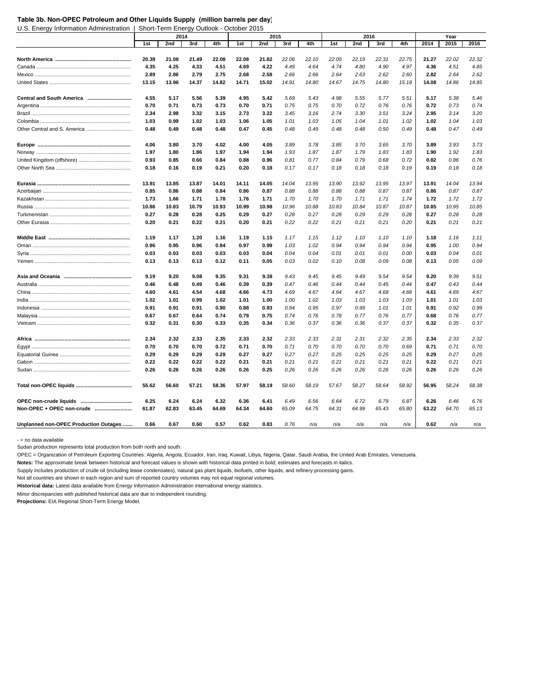#### **Table 3b. Non-OPEC Petroleum and Other Liquids Supply (million barrels per day)**

U.S. Energy Information Administration | Short-Term Energy Outlook - October 2015

|                                       |       | 2014  |       |       |       | 2015  |       |       |       | 2016  |       |       |       | Year  |       |
|---------------------------------------|-------|-------|-------|-------|-------|-------|-------|-------|-------|-------|-------|-------|-------|-------|-------|
|                                       | 1st   | 2nd   | 3rd   | 4th   | 1st   | 2nd   | 3rd   | 4th   | 1st   | 2nd   | 3rd   | 4th   | 2014  | 2015  | 2016  |
|                                       |       |       |       |       |       |       |       |       |       |       |       |       |       |       |       |
|                                       | 20.39 | 21.08 | 21.49 | 22.08 | 22.08 | 21.82 | 22.06 | 22.10 | 22.05 | 22.19 | 22.31 | 22.75 | 21.27 | 22.02 | 22.32 |
|                                       | 4.35  | 4.25  | 4.33  | 4.51  | 4.69  | 4.22  | 4.49  | 4.64  | 4.74  | 4.80  | 4.90  | 4.97  | 4.36  | 4.51  | 4.85  |
|                                       | 2.89  | 2.86  | 2.79  | 2.75  | 2.68  | 2.58  | 2.66  | 2.66  | 2.64  | 2.63  | 2.62  | 2.60  | 2.82  | 2.64  | 2.62  |
|                                       | 13.15 | 13.96 | 14.37 | 14.82 | 14.71 | 15.02 | 14.91 | 14.80 | 14.67 | 14.75 | 14.80 | 15.18 | 14.08 | 14.86 | 14.85 |
|                                       |       |       |       |       |       |       |       |       |       |       |       |       |       |       |       |
|                                       | 4.55  | 5.17  | 5.56  | 5.39  | 4.95  | 5.42  | 5.69  | 5.43  | 4.98  | 5.55  | 5.77  | 5.51  | 5.17  | 5.38  | 5.46  |
|                                       | 0.70  | 0.71  | 0.73  | 0.73  | 0.70  | 0.71  | 0.75  | 0.75  | 0.70  | 0.72  | 0.76  | 0.76  | 0.72  | 0.73  | 0.74  |
|                                       | 2.34  | 2.98  | 3.32  | 3.15  | 2.73  | 3.22  | 3.45  | 3.16  | 2.74  | 3.30  | 3.51  | 3.24  | 2.95  | 3.14  | 3.20  |
|                                       | 1.03  | 0.99  | 1.02  | 1.03  | 1.06  | 1.05  | 1.01  | 1.03  | 1.05  | 1.04  | 1.01  | 1.02  | 1.02  | 1.04  | 1.03  |
| Other Central and S. America          | 0.48  | 0.49  | 0.48  | 0.48  | 0.47  | 0.45  | 0.48  | 0.49  | 0.48  | 0.48  | 0.50  | 0.49  | 0.48  | 0.47  | 0.49  |
|                                       |       |       |       |       |       |       |       |       |       |       |       |       |       |       |       |
|                                       | 4.06  | 3.80  | 3.70  | 4.02  | 4.00  | 4.05  | 3.89  | 3.78  | 3.85  | 3.70  | 3.65  | 3.70  | 3.89  | 3.93  | 3.73  |
|                                       | 1.97  | 1.80  | 1.86  | 1.97  | 1.94  | 1.94  | 1.93  | 1.87  | 1.87  | 1.79  | 1.83  | 1.83  | 1.90  | 1.92  | 1.83  |
|                                       | 0.93  | 0.85  | 0.66  | 0.84  | 0.88  | 0.96  | 0.81  | 0.77  | 0.84  | 0.79  | 0.68  | 0.72  | 0.82  | 0.86  | 0.76  |
|                                       | 0.18  | 0.16  | 0.19  | 0.21  | 0.20  | 0.18  | 0.17  | 0.17  | 0.18  | 0.18  | 0.18  | 0.19  | 0.19  | 0.18  | 0.18  |
|                                       |       |       |       |       |       |       |       |       |       |       |       |       |       |       |       |
|                                       | 13.91 | 13.85 | 13.87 | 14.01 | 14.11 | 14.05 | 14.04 | 13.95 | 13.90 | 13.92 | 13.95 | 13.97 | 13.91 | 14.04 | 13.94 |
|                                       | 0.85  | 0.86  | 0.88  | 0.84  | 0.86  | 0.87  | 0.88  | 0.88  | 0.88  | 0.88  | 0.87  | 0.87  | 0.86  | 0.87  | 0.87  |
|                                       | 1.73  | 1.66  | 1.71  | 1.78  | 1.76  | 1.71  | 1.70  | 1.70  | 1.70  | 1.71  | 1.71  | 1.74  | 1.72  | 1.72  | 1.72  |
|                                       | 10.86 | 10.83 | 10.79 | 10.93 | 10.99 | 10.98 | 10.96 | 10.88 | 10.83 | 10.84 | 10.87 | 10.87 | 10.85 | 10.95 | 10.85 |
|                                       | 0.27  | 0.28  | 0.28  | 0.25  | 0.29  | 0.27  | 0.28  | 0.27  | 0.28  | 0.29  | 0.29  | 0.28  | 0.27  | 0.28  | 0.28  |
|                                       | 0.20  | 0.21  | 0.22  | 0.21  | 0.20  | 0.21  | 0.22  | 0.22  | 0.21  | 0.21  | 0.21  | 0.20  | 0.21  | 0.21  | 0.21  |
|                                       |       |       |       |       |       |       |       |       |       |       |       |       |       |       |       |
|                                       | 1.19  | 1.17  | 1.20  | 1.16  | 1.19  | 1.15  | 1.17  | 1.15  | 1.12  | 1.10  | 1.10  | 1.10  | 1.18  | 1.16  | 1.11  |
|                                       | 0.96  | 0.95  | 0.96  | 0.94  | 0.97  | 0.99  | 1.03  | 1.02  | 0.94  | 0.94  | 0.94  | 0.94  | 0.95  | 1.00  | 0.94  |
|                                       | 0.03  | 0.03  | 0.03  | 0.03  | 0.03  | 0.04  | 0.04  | 0.04  | 0.01  | 0.01  | 0.01  | 0.00  | 0.03  | 0.04  | 0.01  |
|                                       | 0.13  | 0.13  | 0.13  | 0.12  | 0.11  | 0.05  | 0.03  | 0.02  | 0.10  | 0.08  | 0.09  | 0.08  | 0.13  | 0.05  | 0.09  |
|                                       |       |       |       |       |       |       |       |       |       |       |       |       |       |       |       |
|                                       | 9.19  | 9.20  | 9.08  | 9.35  | 9.31  | 9.38  | 9.43  | 9.45  | 9.45  | 9.49  | 9.54  | 9.54  | 9.20  | 9.39  | 9.51  |
|                                       | 0.46  | 0.48  | 0.49  | 0.46  | 0.39  | 0.39  | 0.47  | 0.46  | 0.44  | 0.44  | 0.45  | 0.44  | 0.47  | 0.43  | 0.44  |
|                                       | 4.60  | 4.61  | 4.54  | 4.68  | 4.66  | 4.73  | 4.69  | 4.67  | 4.64  | 4.67  | 4.68  | 4.68  | 4.61  | 4.69  | 4.67  |
|                                       | 1.02  | 1.01  | 0.99  | 1.02  | 1.01  | 1.00  | 1.00  | 1.02  | 1.03  | 1.03  | 1.03  | 1.03  | 1.01  | 1.01  | 1.03  |
|                                       | 0.91  | 0.91  | 0.91  | 0.90  | 0.88  | 0.93  | 0.94  | 0.95  | 0.97  | 0.99  | 1.01  | 1.01  | 0.91  | 0.92  | 0.99  |
|                                       | 0.67  | 0.67  | 0.64  | 0.74  | 0.79  | 0.75  | 0.74  | 0.76  | 0.78  | 0.77  | 0.76  | 0.77  | 0.68  | 0.76  | 0.77  |
|                                       | 0.32  | 0.31  | 0.30  | 0.33  | 0.35  | 0.34  | 0.36  | 0.37  | 0.36  | 0.36  | 0.37  | 0.37  | 0.32  | 0.35  | 0.37  |
|                                       |       |       |       |       |       |       |       |       |       |       |       |       |       |       |       |
|                                       | 2.34  | 2.32  | 2.33  | 2.35  | 2.33  | 2.32  | 2.33  | 2.33  | 2.31  | 2.31  | 2.32  | 2.35  | 2.34  | 2.33  | 2.32  |
|                                       | 0.70  | 0.70  | 0.70  | 0.72  | 0.71  | 0.70  | 0.71  | 0.70  | 0.70  | 0.70  | 0.70  | 0.69  | 0.71  | 0.71  | 0.70  |
|                                       | 0.29  | 0.29  | 0.29  | 0.29  | 0.27  | 0.27  | 0.27  | 0.27  | 0.25  | 0.25  | 0.25  | 0.25  | 0.29  | 0.27  | 0.25  |
|                                       | 0.22  | 0.22  | 0.22  | 0.22  | 0.21  | 0.21  | 0.21  | 0.21  | 0.21  | 0.21  | 0.21  | 0.21  | 0.22  | 0.21  | 0.21  |
|                                       | 0.26  | 0.26  | 0.26  | 0.26  | 0.26  | 0.25  | 0.26  | 0.26  | 0.26  | 0.26  | 0.26  | 0.26  | 0.26  | 0.26  | 0.26  |
|                                       |       |       |       |       |       |       |       |       |       |       |       |       |       |       |       |
|                                       | 55.62 | 56.60 | 57.21 | 58.36 | 57.97 | 58.19 | 58.60 | 58.19 | 57.67 | 58.27 | 58.64 | 58.92 | 56.95 | 58.24 | 58.38 |
|                                       |       |       |       |       |       |       |       |       |       |       |       |       |       |       |       |
|                                       | 6.25  | 6.24  | 6.24  | 6.32  | 6.36  | 6.41  | 6.49  | 6.56  | 6.64  | 6.72  | 6.79  | 6.87  | 6.26  | 6.46  | 6.76  |
| Non-OPEC + OPEC non-crude             | 61.87 | 62.83 | 63.45 | 64.69 | 64.34 | 64.60 | 65.09 | 64.75 | 64.31 | 64.99 | 65.43 | 65.80 | 63.22 | 64.70 | 65.13 |
|                                       |       |       |       |       |       |       |       |       |       |       |       |       |       |       |       |
| Unplanned non-OPEC Production Outages | 0.66  | 0.67  | 0.60  | 0.57  | 0.62  | 0.83  | 0.76  | n/a   | n/a   | n/a   | n/a   | n/a   | 0.62  | n/a   | n/a   |

- = no data available

Sudan production represents total production from both north and south.

OPEC = Organization of Petroleum Exporting Countries: Algeria, Angola, Ecuador, Iran, Iraq, Kuwait, Libya, Nigeria, Qatar, Saudi Arabia, the United Arab Emirates, Venezuela.

**Notes:** The approximate break between historical and forecast values is shown with historical data printed in bold; estimates and forecasts in italics.

Supply includes production of crude oil (including lease condensates), natural gas plant liquids, biofuels, other liquids, and refinery processing gains.

Not all countries are shown in each region and sum of reported country volumes may not equal regional volumes.

**Historical data:** Latest data available from Energy Information Administration international energy statistics.

Minor discrepancies with published historical data are due to independent rounding.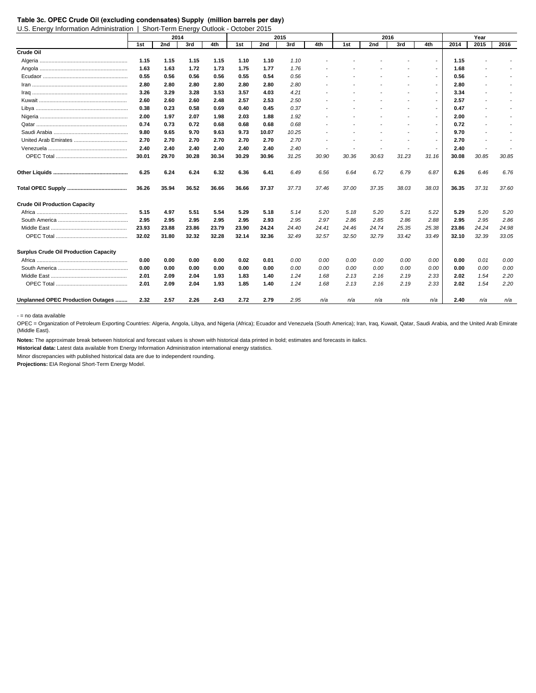U.S. Energy Information Administration | Short-Term Energy Outlook - October 2015

|                                              |       | 2014  |       |       |       |       | 2015  |                          |                | 2016                     |       |                          |       | Year                     |       |
|----------------------------------------------|-------|-------|-------|-------|-------|-------|-------|--------------------------|----------------|--------------------------|-------|--------------------------|-------|--------------------------|-------|
|                                              | 1st   | 2nd   | 3rd   | 4th   | 1st   | 2nd   | 3rd   | 4th                      | 1st            | 2nd                      | 3rd   | 4th                      | 2014  | 2015                     | 2016  |
| Crude Oil                                    |       |       |       |       |       |       |       |                          |                |                          |       |                          |       |                          |       |
|                                              | 1.15  | 1.15  | 1.15  | 1.15  | 1.10  | 1.10  | 1.10  |                          |                |                          |       | $\overline{\phantom{a}}$ | 1.15  |                          |       |
|                                              | 1.63  | 1.63  | 1.72  | 1.73  | 1.75  | 1.77  | 1.76  |                          |                |                          |       |                          | 1.68  |                          |       |
|                                              | 0.55  | 0.56  | 0.56  | 0.56  | 0.55  | 0.54  | 0.56  |                          |                |                          |       | $\overline{\phantom{a}}$ | 0.56  |                          |       |
|                                              | 2.80  | 2.80  | 2.80  | 2.80  | 2.80  | 2.80  | 2.80  |                          |                |                          |       | $\overline{\phantom{a}}$ | 2.80  | $\overline{a}$           |       |
|                                              | 3.26  | 3.29  | 3.28  | 3.53  | 3.57  | 4.03  | 4.21  |                          |                |                          |       | $\overline{\phantom{a}}$ | 3.34  |                          |       |
|                                              | 2.60  | 2.60  | 2.60  | 2.48  | 2.57  | 2.53  | 2.50  |                          |                |                          |       | $\overline{\phantom{a}}$ | 2.57  |                          |       |
|                                              | 0.38  | 0.23  | 0.58  | 0.69  | 0.40  | 0.45  | 0.37  |                          |                |                          |       | $\overline{a}$           | 0.47  | $\overline{\phantom{a}}$ |       |
|                                              | 2.00  | 1.97  | 2.07  | 1.98  | 2.03  | 1.88  | 1.92  |                          |                |                          |       | $\overline{a}$           | 2.00  | $\overline{a}$           |       |
|                                              | 0.74  | 0.73  | 0.72  | 0.68  | 0.68  | 0.68  | 0.68  |                          |                |                          |       | $\overline{\phantom{a}}$ | 0.72  |                          |       |
|                                              | 9.80  | 9.65  | 9.70  | 9.63  | 9.73  | 10.07 | 10.25 |                          |                |                          |       | $\overline{\phantom{a}}$ | 9.70  |                          |       |
|                                              | 2.70  | 2.70  | 2.70  | 2.70  | 2.70  | 2.70  | 2.70  | $\overline{\phantom{a}}$ |                |                          |       | $\overline{a}$           | 2.70  | $\overline{\phantom{a}}$ |       |
|                                              | 2.40  | 2.40  | 2.40  | 2.40  | 2.40  | 2.40  | 2.40  | $\overline{a}$           | $\overline{a}$ | $\overline{\phantom{a}}$ |       |                          | 2.40  | $\overline{a}$           |       |
|                                              | 30.01 | 29.70 | 30.28 | 30.34 | 30.29 | 30.96 | 31.25 | 30.90                    | 30.36          | 30.63                    | 31.23 | 31.16                    | 30.08 | 30.85                    | 30.85 |
|                                              | 6.25  | 6.24  | 6.24  | 6.32  | 6.36  | 6.41  | 6.49  | 6.56                     | 6.64           | 6.72                     | 6.79  | 6.87                     | 6.26  | 6.46                     | 6.76  |
|                                              | 36.26 | 35.94 | 36.52 | 36.66 | 36.66 | 37.37 | 37.73 | 37.46                    | 37.00          | 37.35                    | 38.03 | 38.03                    | 36.35 | 37.31                    | 37.60 |
| <b>Crude Oil Production Capacity</b>         |       |       |       |       |       |       |       |                          |                |                          |       |                          |       |                          |       |
|                                              | 5.15  | 4.97  | 5.51  | 5.54  | 5.29  | 5.18  | 5.14  | 5.20                     | 5.18           | 5.20                     | 5.21  | 5.22                     | 5.29  | 5.20                     | 5.20  |
|                                              | 2.95  | 2.95  | 2.95  | 2.95  | 2.95  | 2.93  | 2.95  | 2.97                     | 2.86           | 2.85                     | 2.86  | 2.88                     | 2.95  | 2.95                     | 2.86  |
|                                              | 23.93 | 23.88 | 23.86 | 23.79 | 23.90 | 24.24 | 24.40 | 24.41                    | 24.46          | 24.74                    | 25.35 | 25.38                    | 23.86 | 24.24                    | 24.98 |
|                                              | 32.02 | 31.80 | 32.32 | 32.28 | 32.14 | 32.36 | 32.49 | 32.57                    | 32.50          | 32.79                    | 33.42 | 33.49                    | 32.10 | 32.39                    | 33.05 |
| <b>Surplus Crude Oil Production Capacity</b> |       |       |       |       |       |       |       |                          |                |                          |       |                          |       |                          |       |
|                                              | 0.00  | 0.00  | 0.00  | 0.00  | 0.02  | 0.01  | 0.00  | 0.00                     | 0.00           | 0.00                     | 0.00  | 0.00                     | 0.00  | 0.01                     | 0.00  |
|                                              | 0.00  | 0.00  | 0.00  | 0.00  | 0.00  | 0.00  | 0.00  | 0.00                     | 0.00           | 0.00                     | 0.00  | 0.00                     | 0.00  | 0.00                     | 0.00  |
|                                              | 2.01  | 2.09  | 2.04  | 1.93  | 1.83  | 1.40  | 1.24  | 1.68                     | 2.13           | 2.16                     | 2.19  | 2.33                     | 2.02  | 1.54                     | 2.20  |
|                                              | 2.01  | 2.09  | 2.04  | 1.93  | 1.85  | 1.40  | 1.24  | 1.68                     | 2.13           | 2.16                     | 2.19  | 2.33                     | 2.02  | 1.54                     | 2.20  |
| Unplanned OPEC Production Outages            | 2.32  | 2.57  | 2.26  | 2.43  | 2.72  | 2.79  | 2.95  | n/a                      | n/a            | n/a                      | n/a   | n/a                      | 2.40  | n/a                      | n/a   |

- = no data available

OPEC = Organization of Petroleum Exporting Countries: Algeria, Angola, Libya, and Nigeria (Africa); Ecuador and Venezuela (South America); Iran, Iraq, Kuwait, Qatar, Saudi Arabia, and the United Arab Emirate (Middle East).

**Notes:** The approximate break between historical and forecast values is shown with historical data printed in bold; estimates and forecasts in italics.

**Historical data:** Latest data available from Energy Information Administration international energy statistics.

Minor discrepancies with published historical data are due to independent rounding.

**Table 3c. OPEC Crude Oil (excluding condensates) Supply (million barrels per day)**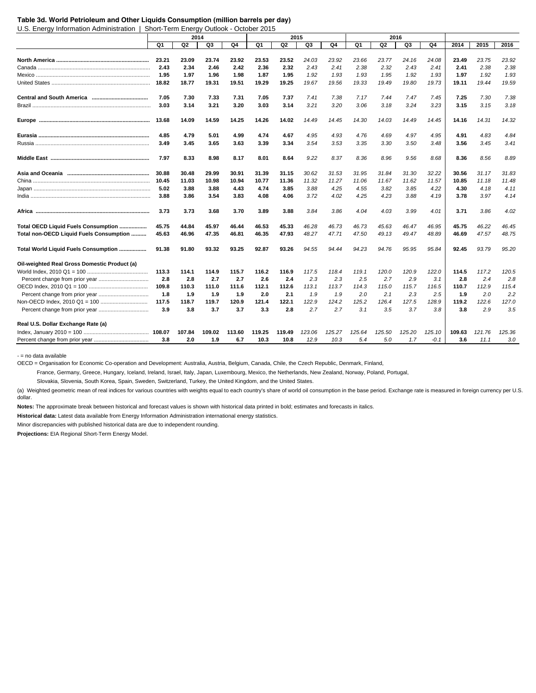#### **Table 3d. World Petrioleum and Other Liquids Consumption (million barrels per day)**

U.S. Energy Information Administration | Short-Term Energy Outlook - October 2015

|                                              |        | 2014   |        |        |        |        | 2015   |        |        |        | 2016   |        |        |        |        |
|----------------------------------------------|--------|--------|--------|--------|--------|--------|--------|--------|--------|--------|--------|--------|--------|--------|--------|
|                                              | Q1     | Q2     | Q3     | Q4     | Q1     | Q2     | Q3     | Q4     | Q1     | Q2     | Q3     | Q4     | 2014   | 2015   | 2016   |
|                                              |        |        |        |        |        |        |        |        |        |        |        |        |        |        |        |
|                                              | 23.21  | 23.09  | 23.74  | 23.92  | 23.53  | 23.52  | 24.03  | 23.92  | 23.66  | 23.77  | 24.16  | 24.08  | 23.49  | 23.75  | 23.92  |
|                                              | 2.43   | 2.34   | 2.46   | 2.42   | 2.36   | 2.32   | 2.43   | 2.41   | 2.38   | 2.32   | 2.43   | 2.41   | 2.41   | 2.38   | 2.38   |
|                                              | 1.95   | 1.97   | 1.96   | 1.98   | 1.87   | 1.95   | 1.92   | 1.93   | 1.93   | 1.95   | 1.92   | 1.93   | 1.97   | 1.92   | 1.93   |
|                                              | 18.82  | 18.77  | 19.31  | 19.51  | 19.29  | 19.25  | 19.67  | 19.56  | 19.33  | 19.49  | 19.80  | 19.73  | 19.11  | 19.44  | 19.59  |
|                                              | 7.05   | 7.30   | 7.33   | 7.31   | 7.05   | 7.37   | 7.41   | 7.38   | 7.17   | 7.44   | 7.47   | 7.45   | 7.25   | 7.30   | 7.38   |
|                                              | 3.03   | 3.14   | 3.21   | 3.20   | 3.03   | 3.14   | 3.21   | 3.20   | 3.06   | 3.18   | 3.24   | 3.23   | 3.15   | 3.15   | 3.18   |
|                                              | 13.68  | 14.09  | 14.59  | 14.25  | 14.26  | 14.02  | 14.49  | 14.45  | 14.30  | 14.03  | 14.49  | 14.45  | 14.16  | 14.31  | 14.32  |
|                                              | 4.85   | 4.79   | 5.01   | 4.99   | 4.74   | 4.67   | 4.95   | 4.93   | 4.76   | 4.69   | 4.97   | 4.95   | 4.91   | 4.83   | 4.84   |
|                                              | 3.49   | 3.45   | 3.65   | 3.63   | 3.39   | 3.34   | 3.54   | 3.53   | 3.35   | 3.30   | 3.50   | 3.48   | 3.56   | 3.45   | 3.41   |
|                                              | 7.97   | 8.33   | 8.98   | 8.17   | 8.01   | 8.64   | 9.22   | 8.37   | 8.36   | 8.96   | 9.56   | 8.68   | 8.36   | 8.56   | 8.89   |
|                                              | 30.88  | 30.48  | 29.99  | 30.91  | 31.39  | 31.15  | 30.62  | 31.53  | 31.95  | 31.84  | 31.30  | 32.22  | 30.56  | 31.17  | 31.83  |
|                                              | 10.45  | 11.03  | 10.98  | 10.94  | 10.77  | 11.36  | 11.32  | 11.27  | 11.06  | 11.67  | 11.62  | 11.57  | 10.85  | 11.18  | 11.48  |
|                                              | 5.02   | 3.88   | 3.88   | 4.43   | 4.74   | 3.85   | 3.88   | 4.25   | 4.55   | 3.82   | 3.85   | 4.22   | 4.30   | 4.18   | 4.11   |
|                                              | 3.88   | 3.86   | 3.54   | 3.83   | 4.08   | 4.06   | 3.72   | 4.02   | 4.25   | 4.23   | 3.88   | 4.19   | 3.78   | 3.97   | 4.14   |
|                                              | 3.73   | 3.73   | 3.68   | 3.70   | 3.89   | 3.88   | 3.84   | 3.86   | 4.04   | 4.03   | 3.99   | 4.01   | 3.71   | 3.86   | 4.02   |
| Total OECD Liquid Fuels Consumption          | 45.75  | 44.84  | 45.97  | 46.44  | 46.53  | 45.33  | 46.28  | 46.73  | 46.73  | 45.63  | 46.47  | 46.95  | 45.75  | 46.22  | 46.45  |
| Total non-OECD Liquid Fuels Consumption      | 45.63  | 46.96  | 47.35  | 46.81  | 46.35  | 47.93  | 48.27  | 47.71  | 47.50  | 49.13  | 49.47  | 48.89  | 46.69  | 47.57  | 48.75  |
| Total World Liquid Fuels Consumption         | 91.38  | 91.80  | 93.32  | 93.25  | 92.87  | 93.26  | 94.55  | 94.44  | 94.23  | 94.76  | 95.95  | 95.84  | 92.45  | 93.79  | 95.20  |
| Oil-weighted Real Gross Domestic Product (a) |        |        |        |        |        |        |        |        |        |        |        |        |        |        |        |
|                                              | 113.3  | 114.1  | 114.9  | 115.7  | 116.2  | 116.9  | 117.5  | 118.4  | 119.1  | 120.0  | 120.9  | 122.0  | 114.5  | 117.2  | 120.5  |
|                                              | 2.8    | 2.8    | 2.7    | 2.7    | 2.6    | 2.4    | 2.3    | 2.3    | 2.5    | 2.7    | 2.9    | 3.1    | 2.8    | 2.4    | 2.8    |
|                                              | 109.8  | 110.3  | 111.0  | 111.6  | 112.1  | 112.6  | 113.1  | 113.7  | 114.3  | 115.0  | 115.7  | 116.5  | 110.7  | 112.9  | 115.4  |
|                                              | 1.8    | 1.9    | 1.9    | 1.9    | 2.0    | 2.1    | 1.9    | 1.9    | 2.0    | 2.1    | 2.3    | 2.5    | 1.9    | 2.0    | 2.2    |
|                                              | 117.5  | 118.7  | 119.7  | 120.9  | 121.4  | 122.1  | 122.9  | 124.2  | 125.2  | 126.4  | 127.5  | 128.9  | 119.2  | 122.6  | 127.0  |
|                                              | 3.9    | 3.8    | 3.7    | 3.7    | 3.3    | 2.8    | 2.7    | 2.7    | 3.1    | 3.5    | 3.7    | 3.8    | 3.8    | 2.9    | 3.5    |
| Real U.S. Dollar Exchange Rate (a)           |        |        |        |        |        |        |        |        |        |        |        |        |        |        |        |
|                                              | 108.07 | 107.84 | 109.02 | 113.60 | 119.25 | 119.49 | 123.06 | 125.27 | 125.64 | 125.50 | 125.20 | 125.10 | 109.63 | 121.76 | 125.36 |
|                                              | 3.8    | 2.0    | 1.9    | 6.7    | 10.3   | 10.8   | 12.9   | 10.3   | 5.4    | 5.0    | 1.7    | $-0.1$ | 3.6    | 11.1   | 3.0    |

- = no data available

OECD = Organisation for Economic Co-operation and Development: Australia, Austria, Belgium, Canada, Chile, the Czech Republic, Denmark, Finland,

France, Germany, Greece, Hungary, Iceland, Ireland, Israel, Italy, Japan, Luxembourg, Mexico, the Netherlands, New Zealand, Norway, Poland, Portugal,

Slovakia, Slovenia, South Korea, Spain, Sweden, Switzerland, Turkey, the United Kingdom, and the United States.

(a) Weighted geometric mean of real indices for various countries with weights equal to each country's share of world oil consumption in the base period. Exchange rate is measured in foreign currency per U.S. dollar.

**Notes:** The approximate break between historical and forecast values is shown with historical data printed in bold; estimates and forecasts in italics.

**Historical data:** Latest data available from Energy Information Administration international energy statistics.

Minor discrepancies with published historical data are due to independent rounding.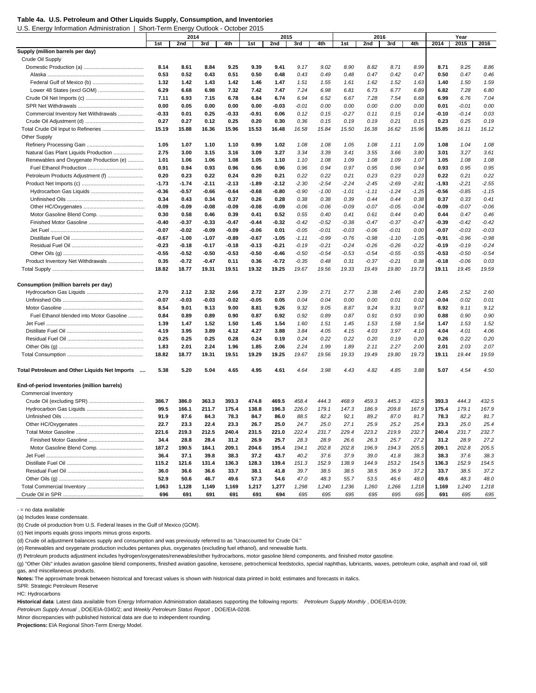U.S. Energy Information Administration | Short-Term Energy Outlook - October 2015

|                                               |         | 2014    |         |         |       | 2015    |         |         |         | 2016    |         |         |         | Year     |         |
|-----------------------------------------------|---------|---------|---------|---------|-------|---------|---------|---------|---------|---------|---------|---------|---------|----------|---------|
|                                               | 1st     | 2nd     | 3rd     | 4th     | 1st   | 2nd     | 3rd     | 4th     | 1st     | 2nd     | 3rd     | 4th     | 2014    | 2015     | 2016    |
| Supply (million barrels per day)              |         |         |         |         |       |         |         |         |         |         |         |         |         |          |         |
| Crude Oil Supply                              |         |         |         |         |       |         |         |         |         |         |         |         |         |          |         |
|                                               | 8.14    | 8.61    | 8.84    | 9.25    | 9.39  | 9.41    | 9.17    | 9.02    | 8.90    | 8.82    | 8.71    | 8.99    | 8.71    | 9.25     | 8.86    |
|                                               | 0.53    | 0.52    | 0.43    | 0.51    | 0.50  | 0.48    | 0.43    | 0.49    | 0.48    | 0.47    | 0.42    | 0.47    | 0.50    | 0.47     | 0.46    |
|                                               | 1.32    | 1.42    | 1.43    | 1.42    | 1.46  | 1.47    | 1.51    | 1.55    | 1.61    | 1.62    | 1.52    | 1.63    | 1.40    | 1.50     | 1.59    |
|                                               | 6.29    | 6.68    | 6.98    | 7.32    | 7.42  | 7.47    | 7.24    | 6.98    | 6.81    | 6.73    | 6.77    | 6.89    | 6.82    | 7.28     | 6.80    |
|                                               | 7.11    | 6.93    | 7.15    | 6.78    | 6.84  | 6.74    | 6.94    | 6.52    | 6.67    | 7.28    | 7.54    | 6.68    | 6.99    | 6.76     | 7.04    |
|                                               | 0.00    | 0.05    | 0.00    | 0.00    | 0.00  | $-0.03$ | -0.01   | 0.00    | 0.00    | 0.00    | 0.00    | 0.00    | 0.01    | $-0.01$  | 0.00    |
| Commercial Inventory Net Withdrawals          | -0.33   | 0.01    | 0.25    | -0.33   | -0.91 | 0.06    | 0.12    | 0.15    | $-0.27$ | 0.11    | 0.15    | 0.14    | $-0.10$ | $-0.14$  | 0.03    |
|                                               | 0.27    | 0.27    | 0.12    | 0.25    | 0.20  | 0.30    | 0.36    | 0.15    | 0.19    | 0.19    | 0.21    | 0.15    | 0.23    | 0.25     | 0.19    |
| Total Crude Oil Input to Refineries           | 15.19   | 15.88   | 16.36   | 15.96   | 15.53 | 16.48   | 16.58   | 15.84   | 15.50   | 16.38   | 16.62   | 15.96   | 15.85   | 16.11    | 16.12   |
| <b>Other Supply</b>                           |         |         |         |         |       |         |         |         |         |         |         |         |         |          |         |
|                                               | 1.05    | 1.07    | 1.10    | 1.10    | 0.99  | 1.02    | 1.08    | 1.08    | 1.05    | 1.08    | 1.11    | 1.09    | 1.08    | 1.04     | 1.08    |
| Natural Gas Plant Liquids Production          | 2.75    | 3.00    | 3.15    | 3.16    | 3.09  | 3.27    | 3.34    | 3.39    | 3.41    | 3.55    | 3.66    | 3.80    | 3.01    | 3.27     | 3.61    |
| Renewables and Oxygenate Production (e)       | 1.01    | 1.06    | 1.06    | 1.08    | 1.05  | 1.10    | 1.10    | 1.08    | 1.09    | 1.08    | 1.09    | 1.07    | 1.05    | 1.08     | 1.08    |
|                                               | 0.91    | 0.94    | 0.93    | 0.96    | 0.96  | 0.96    | 0.96    | 0.94    | 0.97    | 0.95    | 0.96    | 0.94    | 0.93    | 0.95     | 0.95    |
| Petroleum Products Adjustment (f)             | 0.20    | 0.23    | 0.22    | 0.24    | 0.20  | 0.21    | 0.22    | 0.22    | 0.21    | 0.23    | 0.23    | 0.23    | 0.22    | 0.21     | 0.22    |
|                                               | $-1.73$ | $-1.74$ | -2.11   | $-2.13$ | -1.89 | $-2.12$ | $-2.30$ | $-2.54$ | $-2.24$ | $-2.45$ | $-2.69$ | $-2.81$ | $-1.93$ | $-2.21$  | $-2.55$ |
|                                               | -0.36   | $-0.57$ | -0.66   | -0.64   | -0.68 | -0.80   | $-0.90$ | $-1.00$ | $-1.01$ | $-1.11$ | $-1.24$ | $-1.25$ | $-0.56$ | $-0.85$  | $-1.15$ |
|                                               | 0.34    | 0.43    | 0.34    | 0.37    | 0.26  | 0.28    | 0.38    | 0.38    | 0.39    | 0.44    | 0.44    | 0.38    | 0.37    | 0.33     | 0.41    |
|                                               | -0.09   | $-0.09$ | -0.08   | -0.09   |       | $-0.09$ |         |         |         |         |         | $-0.04$ |         | $-0.07$  | $-0.06$ |
| Motor Gasoline Blend Comp.                    |         |         |         |         | -0.08 |         | $-0.06$ | $-0.06$ | $-0.09$ | $-0.07$ | $-0.05$ |         | $-0.09$ | 0.47     |         |
|                                               | 0.30    | 0.58    | 0.46    | 0.39    | 0.41  | 0.52    | 0.55    | 0.40    | 0.41    | 0.61    | 0.44    | 0.40    | 0.44    |          | 0.46    |
|                                               | -0.40   | $-0.37$ | -0.33   | -0.47   | -0.44 | $-0.32$ | $-0.42$ | $-0.52$ | $-0.38$ | $-0.47$ | $-0.37$ | $-0.47$ | $-0.39$ | $-0.42$  | $-0.42$ |
|                                               | -0.07   | $-0.02$ | -0.09   | $-0.09$ | -0.06 | 0.01    | $-0.05$ | $-0.01$ | -0.03   | $-0.06$ | -0.01   | 0.00    | $-0.07$ | $-0.03$  | $-0.03$ |
|                                               | -0.67   | $-1.00$ | $-1.07$ | $-0.89$ | -0.67 | $-1.05$ | $-1.11$ | $-0.99$ | $-0.76$ | $-0.98$ | $-1.10$ | $-1.05$ | $-0.91$ | $-0.96$  | $-0.98$ |
|                                               | -0.23   | $-0.18$ | $-0.17$ | $-0.18$ | -0.13 | $-0.21$ | $-0.19$ | $-0.21$ | $-0.24$ | $-0.26$ | -0.26   | $-0.22$ | $-0.19$ | $-0.19$  | $-0.24$ |
|                                               | -0.55   | $-0.52$ | $-0.50$ | -0.53   | -0.50 | $-0.46$ | $-0.50$ | $-0.54$ | $-0.53$ | $-0.54$ | $-0.55$ | $-0.55$ | $-0.53$ | $-0.50$  | $-0.54$ |
| Product Inventory Net Withdrawals             | 0.35    | $-0.72$ | $-0.47$ | 0.11    | 0.36  | $-0.72$ | $-0.35$ | 0.48    | 0.31    | $-0.37$ | $-0.21$ | 0.38    | $-0.18$ | $-0.06$  | 0.03    |
|                                               | 18.82   | 18.77   | 19.31   | 19.51   | 19.32 | 19.25   | 19.67   | 19.56   | 19.33   | 19.49   | 19.80   | 19.73   | 19.11   | 19.45    | 19.59   |
|                                               |         |         |         |         |       |         |         |         |         |         |         |         |         |          |         |
| Consumption (million barrels per day)         |         |         |         |         |       |         |         |         |         |         |         |         |         |          |         |
|                                               | 2.70    | 2.12    | 2.32    | 2.66    | 2.72  | 2.27    | 2.39    | 2.71    | 2.77    | 2.38    | 2.46    | 2.80    | 2.45    | 2.52     | 2.60    |
|                                               | -0.07   | $-0.03$ | -0.03   | -0.02   | -0.05 | 0.05    | 0.04    | 0.04    | 0.00    | 0.00    | 0.01    | 0.02    | -0.04   | 0.02     | 0.01    |
|                                               | 8.54    | 9.01    | 9.13    | 9.00    | 8.81  | 9.26    | 9.32    | 9.05    | 8.87    | 9.24    | 9.31    | 9.07    | 8.92    | 9.11     | 9.12    |
| Fuel Ethanol blended into Motor Gasoline      | 0.84    | 0.89    | 0.89    | 0.90    | 0.87  | 0.92    | 0.92    | 0.89    | 0.87    | 0.91    | 0.93    | 0.90    | 0.88    | 0.90     | 0.90    |
|                                               | 1.39    | 1.47    | 1.52    | 1.50    | 1.45  | 1.54    | 1.60    | 1.51    | 1.45    | 1.53    | 1.58    | 1.54    | 1.47    | 1.53     | 1.52    |
|                                               | 4.19    | 3.95    | 3.89    | 4.12    | 4.27  | 3.88    | 3.84    | 4.05    | 4.15    | 4.03    | 3.97    | 4.10    | 4.04    | 4.01     | 4.06    |
|                                               | 0.25    | 0.25    | 0.25    | 0.28    | 0.24  | 0.19    | 0.24    | 0.22    | 0.22    | 0.20    | 0.19    | 0.20    | 0.26    | 0.22     | 0.20    |
|                                               | 1.83    | 2.01    | 2.24    | 1.96    | 1.85  | 2.06    | 2.24    | 1.99    | 1.89    | 2.11    | 2.27    | 2.00    | 2.01    | 2.03     | 2.07    |
|                                               | 18.82   | 18.77   | 19.31   | 19.51   | 19.29 | 19.25   | 19.67   | 19.56   | 19.33   | 19.49   | 19.80   | 19.73   | 19.11   | 19.44    | 19.59   |
|                                               |         |         |         |         |       |         |         |         |         |         |         |         |         |          |         |
| Total Petroleum and Other Liquids Net Imports | 5.38    | 5.20    | 5.04    | 4.65    | 4.95  | 4.61    | 4.64    | 3.98    | 4.43    | 4.82    | 4.85    | 3.88    | 5.07    | 4.54     | 4.50    |
|                                               |         |         |         |         |       |         |         |         |         |         |         |         |         |          |         |
| End-of-period Inventories (million barrels)   |         |         |         |         |       |         |         |         |         |         |         |         |         |          |         |
| Commercial Inventory                          |         |         |         |         |       |         |         |         |         |         |         |         |         |          |         |
|                                               | 386.7   | 386.0   | 363.3   | 393.3   | 474.8 | 469.5   | 458.4   | 444.3   | 468.9   | 459.3   | 445.3   | 432.5   | 393.3   | 444.3    | 432.5   |
|                                               | 99.5    | 166.1   | 211.7   | 175.4   | 138.8 | 196.3   | 226.0   | 179.1   | 147.3   | 186.9   | 209.8   | 167.9   | 175.4   | 179.1    | 167.9   |
|                                               | 91.9    | 87.6    | 84.3    | 78.3    | 84.7  | 86.0    | 88.5    | 82.2    | 92.1    | 89.2    | 87.0    | 81.7    | 78.3    | 82.2     | 81.7    |
|                                               | 22.7    | 23.3    | 22.4    | 23.3    | 26.7  | 25.0    | 24.7    | 25.0    | 27.1    | 25.9    | 25.2    | 25.4    | 23.3    | $25.0\,$ | 25.4    |
|                                               | 221.6   | 219.3   | 212.5   | 240.4   | 231.5 | 221.0   | 222.4   | 231.7   | 229.4   | 223.2   | 219.9   | 232.7   | 240.4   | 231.7    | 232.7   |
|                                               | 34.4    | 28.8    | 28.4    | 31.2    | 26.9  | 25.7    | 28.3    | 28.9    | 26.6    | 26.3    | 25.7    | 27.2    | 31.2    | 28.9     | 27.2    |
| Motor Gasoline Blend Comp.                    | 187.2   | 190.5   | 184.1   | 209.1   | 204.6 | 195.4   | 194.1   | 202.8   | 202.8   | 196.9   | 194.3   | 205.5   | 209.1   | 202.8    | 205.5   |
|                                               | 36.4    | 37.1    | 39.8    | 38.3    | 37.2  | 43.7    | 40.2    | 37.6    | 37.9    | 39.0    | 41.8    | 38.3    | 38.3    | 37.6     | 38.3    |
|                                               | 115.2   | 121.6   | 131.4   | 136.3   | 128.3 | 139.4   | 151.3   | 152.9   | 138.9   | 144.9   | 153.2   | 154.5   | 136.3   | 152.9    | 154.5   |
|                                               | 36.0    | 36.6    | 36.6    | 33.7    | 38.1  | 41.8    | 39.7    | 38.5    | 38.5    | 38.5    | 36.9    | 37.2    | 33.7    | 38.5     | 37.2    |
|                                               | 52.9    | 50.6    | 46.7    | 49.6    | 57.3  | 54.6    | 47.0    | 48.3    | 55.7    | 53.5    | 46.6    | 48.0    | 49.6    | 48.3     | 48.0    |
|                                               | 1,063   | 1,128   | 1,149   | 1,169   | 1,217 | 1,277   | 1,298   | 1,240   | 1,236   | 1,260   | 1,266   | 1,218   | 1,169   | 1,240    | 1,218   |
|                                               | 696     | 691     | 691     | 691     | 691   | 694     | 695     | 695     | 695     | 695     | 695     | 695     | 691     | 695      | 695     |

- = no data available

(a) Includes lease condensate.

(b) Crude oil production from U.S. Federal leases in the Gulf of Mexico (GOM).

(c) Net imports equals gross imports minus gross exports.

(d) Crude oil adjustment balances supply and consumption and was previously referred to as "Unaccounted for Crude Oil."

(e) Renewables and oxygenate production includes pentanes plus, oxygenates (excluding fuel ethanol), and renewable fuels.

(f) Petroleum products adjustment includes hydrogen/oxygenates/renewables/other hydrocarbons, motor gasoline blend components, and finished motor gasoline.

(g) "Other Oils" inludes aviation gasoline blend components, finished aviation gasoline, kerosene, petrochemical feedstocks, special naphthas, lubricants, waxes, petroleum coke, asphalt and road oil, still gas, and miscellaneous products.

**Notes:** The approximate break between historical and forecast values is shown with historical data printed in bold; estimates and forecasts in italics.

SPR: Strategic Petroleum Reserve

HC: Hydrocarbons

**Historical data**: Latest data available from Energy Information Administration databases supporting the following reports: *Petroleum Supply Monthly* , DOE/EIA-0109;

*Petroleum Supply Annual* , DOE/EIA-0340/2; and *Weekly Petroleum Status Report* , DOE/EIA-0208.

Minor discrepancies with published historical data are due to independent rounding.

**Table 4a. U.S. Petroleum and Other Liquids Supply, Consumption, and Inventories**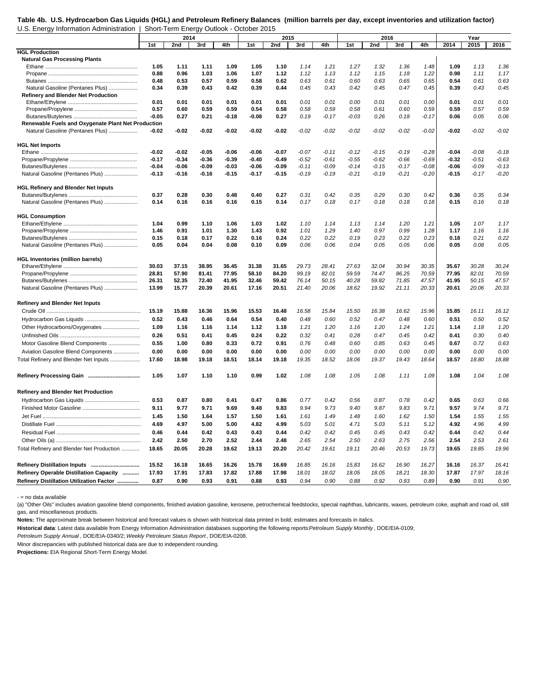#### **Table 4b. U.S. Hydrocarbon Gas Liquids (HGL) and Petroleum Refinery Balances (million barrels per day, except inventories and utilization factor)** U.S. Energy Information Administration | Short-Term Energy Outlook - October 2015

|                                                    |         | 2014    |       |         |         | 2015    |         |         |         | 2016    |         |         |         | Year    |         |
|----------------------------------------------------|---------|---------|-------|---------|---------|---------|---------|---------|---------|---------|---------|---------|---------|---------|---------|
|                                                    | 1st     | 2nd     | 3rd   | 4th     | 1st     | 2nd     | 3rd     | 4th     | 1st     | 2nd     | 3rd     | 4th     | 2014    | 2015    | 2016    |
| <b>HGL Production</b>                              |         |         |       |         |         |         |         |         |         |         |         |         |         |         |         |
| <b>Natural Gas Processing Plants</b>               |         |         |       |         |         |         |         |         |         |         |         |         |         |         |         |
|                                                    | 1.05    | 1.11    | 1.11  | 1.09    | 1.05    | 1.10    | 1.14    | 1.21    | 1.27    | 1.32    | 1.36    | 1.48    | 1.09    | 1.13    | 1.36    |
|                                                    | 0.88    | 0.96    | 1.03  | 1.06    | 1.07    | 1.12    | 1.12    | 1.13    | 1.12    | 1.15    | 1.18    | 1.22    | 0.98    | 1.11    | 1.17    |
|                                                    | 0.48    | 0.53    | 0.57  | 0.59    | 0.58    | 0.62    | 0.63    | 0.61    | 0.60    | 0.63    | 0.65    | 0.65    | 0.54    | 0.61    | 0.63    |
| Natural Gasoline (Pentanes Plus)                   | 0.34    | 0.39    | 0.43  | 0.42    | 0.39    | 0.44    | 0.45    | 0.43    | 0.42    | 0.45    | 0.47    | 0.45    | 0.39    | 0.43    | 0.45    |
| <b>Refinery and Blender Net Production</b>         |         |         |       |         |         |         |         |         |         |         |         |         |         |         |         |
|                                                    | 0.01    | 0.01    | 0.01  | 0.01    | 0.01    | 0.01    | 0.01    | 0.01    | 0.00    | 0.01    | 0.01    | 0.00    | 0.01    | 0.01    | 0.01    |
|                                                    | 0.57    | 0.60    | 0.59  | 0.59    | 0.54    | 0.58    | 0.58    | 0.59    | 0.58    | 0.61    | 0.60    | 0.59    | 0.59    | 0.57    | 0.59    |
|                                                    | $-0.05$ | 0.27    | 0.21  | $-0.18$ | $-0.08$ | 0.27    | 0.19    | $-0.17$ | $-0.03$ | 0.26    | 0.18    | $-0.17$ | 0.06    | 0.05    | 0.06    |
| Renewable Fuels and Oxygenate Plant Net Production |         |         |       |         |         |         |         |         |         |         |         |         |         |         |         |
| Natural Gasoline (Pentanes Plus)                   | $-0.02$ | -0.02   | -0.02 | -0.02   | $-0.02$ | $-0.02$ | $-0.02$ | $-0.02$ | $-0.02$ | $-0.02$ | $-0.02$ | $-0.02$ | $-0.02$ | $-0.02$ | $-0.02$ |
|                                                    |         |         |       |         |         |         |         |         |         |         |         |         |         |         |         |
| <b>HGL Net Imports</b>                             |         |         |       |         |         |         |         |         |         |         |         |         |         |         |         |
|                                                    | -0.02   | -0.02   | -0.05 | -0.06   | $-0.06$ | $-0.07$ | $-0.07$ | $-0.11$ | $-0.12$ | $-0.15$ | $-0.19$ | $-0.28$ | $-0.04$ | $-0.08$ | $-0.18$ |
|                                                    | $-0.17$ | $-0.34$ | -0.36 | $-0.39$ | $-0.40$ | $-0.49$ | $-0.52$ | $-0.61$ | $-0.55$ | $-0.62$ | $-0.66$ | $-0.69$ | $-0.32$ | $-0.51$ | $-0.63$ |
|                                                    | $-0.04$ | -0.06   | -0.09 | -0.03   | $-0.06$ | $-0.09$ | $-0.11$ | $-0.09$ | $-0.14$ | $-0.15$ | $-0.17$ | $-0.08$ | $-0.06$ | $-0.09$ | $-0.13$ |
| Natural Gasoline (Pentanes Plus)                   | $-0.13$ | $-0.16$ | -0.16 | $-0.15$ | -0.17   | $-0.15$ | $-0.19$ | $-0.19$ | $-0.21$ | $-0.19$ | $-0.21$ | $-0.20$ | $-0.15$ | $-0.17$ | $-0.20$ |
|                                                    |         |         |       |         |         |         |         |         |         |         |         |         |         |         |         |
| <b>HGL Refinery and Blender Net Inputs</b>         |         |         |       |         |         |         |         |         |         |         |         |         |         |         |         |
|                                                    | 0.37    | 0.28    | 0.30  | 0.48    | 0.40    | 0.27    | 0.31    | 0.42    | 0.35    | 0.29    | 0.30    | 0.42    | 0.36    | 0.35    | 0.34    |
| Natural Gasoline (Pentanes Plus)                   | 0.14    | 0.16    | 0.16  | 0.16    | 0.15    | 0.14    | 0.17    | 0.18    | 0.17    | 0.18    | 0.18    | 0.18    | 0.15    | 0.16    | 0.18    |
|                                                    |         |         |       |         |         |         |         |         |         |         |         |         |         |         |         |
| <b>HGL Consumption</b>                             |         |         |       |         |         |         |         |         |         |         |         |         |         |         |         |
|                                                    | 1.04    | 0.99    | 1.10  | 1.06    | 1.03    | 1.02    | 1.10    | 1.14    | 1.13    | 1.14    | 1.20    | 1.21    | 1.05    | 1.07    | 1.17    |
|                                                    | 1.46    | 0.91    | 1.01  | 1.30    | 1.43    | 0.92    | 1.01    | 1.29    | 1.40    | 0.97    | 0.99    | 1.28    | 1.17    | 1.16    | 1.16    |
|                                                    | 0.15    | 0.18    | 0.17  | 0.22    | 0.16    | 0.24    | 0.22    | 0.22    | 0.19    | 0.23    | 0.22    | 0.23    | 0.18    | 0.21    | 0.22    |
| Natural Gasoline (Pentanes Plus)                   | 0.05    | 0.04    | 0.04  | 0.08    | 0.10    | 0.09    | 0.06    | 0.06    | 0.04    | 0.05    | 0.05    | 0.06    | 0.05    | 0.08    | 0.05    |
|                                                    |         |         |       |         |         |         |         |         |         |         |         |         |         |         |         |
| <b>HGL Inventories (million barrels)</b>           |         |         |       |         |         |         |         |         |         |         |         |         |         |         |         |
|                                                    | 30.03   | 37.15   | 38.95 | 36.45   | 31.38   | 31.65   | 29.73   | 28.41   | 27.63   | 32.04   | 30.94   | 30.35   | 35.67   | 30.28   | 30.24   |
|                                                    | 28.81   | 57.90   | 81.41 | 77.95   | 58.10   | 84.20   | 99.19   | 82.01   | 59.59   | 74.47   | 86.25   | 70.59   | 77.95   | 82.01   | 70.59   |
|                                                    | 26.31   | 52.35   | 72.40 | 41.95   | 32.46   | 59.42   | 76.14   | 50.15   | 40.28   | 59.82   | 71.85   | 47.57   | 41.95   | 50.15   | 47.57   |
| Natural Gasoline (Pentanes Plus)                   | 13.99   | 15.77   | 20.39 | 20.61   | 17.16   | 20.51   | 21.40   | 20.06   | 18.62   | 19.92   | 21.11   | 20.33   | 20.61   | 20.06   | 20.33   |
|                                                    |         |         |       |         |         |         |         |         |         |         |         |         |         |         |         |
| <b>Refinery and Blender Net Inputs</b>             |         |         |       |         |         |         |         |         |         |         |         |         |         |         |         |
|                                                    | 15.19   | 15.88   | 16.36 | 15.96   | 15.53   | 16.48   | 16.58   | 15.84   | 15.50   | 16.38   | 16.62   | 15.96   | 15.85   | 16.11   | 16.12   |
|                                                    | 0.52    | 0.43    | 0.46  | 0.64    | 0.54    | 0.40    | 0.48    | 0.60    | 0.52    | 0.47    | 0.48    | 0.60    | 0.51    | 0.50    | 0.52    |
|                                                    |         |         |       |         |         |         |         |         |         |         |         |         |         |         |         |
| Other Hydrocarbons/Oxygenates                      | 1.09    | 1.16    | 1.16  | 1.14    | 1.12    | 1.18    | 1.21    | 1.20    | 1.16    | 1.20    | 1.24    | 1.21    | 1.14    | 1.18    | 1.20    |
|                                                    | 0.26    | 0.51    | 0.41  | 0.45    | 0.24    | 0.22    | 0.32    | 0.41    | 0.28    | 0.47    | 0.45    | 0.42    | 0.41    | 0.30    | 0.40    |
| Motor Gasoline Blend Components                    | 0.55    | 1.00    | 0.80  | 0.33    | 0.72    | 0.91    | 0.76    | 0.48    | 0.60    | 0.85    | 0.63    | 0.45    | 0.67    | 0.72    | 0.63    |
| Aviation Gasoline Blend Components                 | 0.00    | 0.00    | 0.00  | 0.00    | 0.00    | 0.00    | 0.00    | 0.00    | 0.00    | 0.00    | 0.00    | 0.00    | 0.00    | 0.00    | 0.00    |
| Total Refinery and Blender Net Inputs              | 17.60   | 18.98   | 19.18 | 18.51   | 18.14   | 19.18   | 19.35   | 18.52   | 18.06   | 19.37   | 19.43   | 18.64   | 18.57   | 18.80   | 18.88   |
|                                                    |         |         |       |         |         |         |         |         |         |         |         |         |         |         |         |
|                                                    | 1.05    | 1.07    | 1.10  | 1.10    | 0.99    | 1.02    | 1.08    | 1.08    | 1.05    | 1.08    | 1.11    | 1.09    | 1.08    | 1.04    | 1.08    |
|                                                    |         |         |       |         |         |         |         |         |         |         |         |         |         |         |         |
| Refinery and Blender Net Production                |         |         |       |         |         |         |         |         |         |         |         |         |         |         |         |
|                                                    |         |         |       |         |         |         |         |         |         |         |         |         |         |         |         |
|                                                    | 0.53    | 0.87    | 0.80  | 0.41    | 0.47    | 0.86    | 0.77    | 0.42    | 0.56    | 0.87    | 0.78    | 0.42    | 0.65    | 0.63    | 0.66    |
|                                                    | 9.11    | 9.77    | 9.71  | 9.69    | 9.48    | 9.83    | 9.94    | 9.73    | 9.40    | 9.87    | 9.83    | 9.71    | 9.57    | 9.74    | 9.71    |
|                                                    | 1.45    | 1.50    | 1.64  | 1.57    | 1.50    | 1.61    | 1.61    | 1.49    | 1.48    | 1.60    | 1.62    | 1.50    | 1.54    | 1.55    | 1.55    |
|                                                    | 4.69    | 4.97    | 5.00  | 5.00    | 4.82    | 4.99    | 5.03    | 5.01    | 4.71    | 5.03    | 5.11    | 5.12    | 4.92    | 4.96    | 4.99    |
|                                                    | 0.46    | 0.44    | 0.42  | 0.43    | 0.43    | 0.44    | 0.42    | 0.42    | 0.45    | 0.45    | 0.43    | 0.42    | 0.44    | 0.42    | 0.44    |
|                                                    | 2.42    | 2.50    | 2.70  | 2.52    | 2.44    | 2.48    | 2.65    | 2.54    | 2.50    | 2.63    | 2.75    | 2.56    | 2.54    | 2.53    | 2.61    |
| Total Refinery and Blender Net Production          | 18.65   | 20.05   | 20.28 | 19.62   | 19.13   | 20.20   | 20.42   | 19.61   | 19.11   | 20.46   | 20.53   | 19.73   | 19.65   | 19.85   | 19.96   |
|                                                    |         |         |       |         |         |         |         |         |         |         |         |         |         |         |         |
|                                                    |         |         |       |         |         |         |         |         |         |         |         |         |         |         |         |
|                                                    | 15.52   | 16.18   | 16.65 | 16.26   | 15.78   | 16.69   | 16.85   | 16.16   | 15.83   | 16.62   | 16.90   | 16.27   | 16.16   | 16.37   | 16.41   |
| Refinery Operable Distillation Capacity            | 17.93   | 17.91   | 17.83 | 17.82   | 17.88   | 17.98   | 18.01   | 18.02   | 18.05   | 18.05   | 18.21   | 18.30   | 17.87   | 17.97   | 18.16   |
| Refinery Distillation Utilization Factor           | 0.87    | 0.90    | 0.93  | 0.91    | 0.88    | 0.93    | 0.94    | 0.90    | 0.88    | 0.92    | 0.93    | 0.89    | 0.90    | 0.91    | 0.90    |

- = no data available

(a) "Other Oils" includes aviation gasoline blend components, finished aviation gasoline, kerosene, petrochemical feedstocks, special naphthas, lubricants, waxes, petroleum coke, asphalt and road oil, still gas, and miscellaneous products.

Notes: The approximate break between historical and forecast values is shown with historical data printed in bold; estimates and forecasts in italics.

**Historical data**: Latest data available from Energy Information Administration databases supporting the following reports: *Petroleum Supply Monthly* , DOE/EIA-0109;

*Petroleum Supply Annual* , DOE/EIA-0340/2; *Weekly Petroleum Status Report* , DOE/EIA-0208.

Minor discrepancies with published historical data are due to independent rounding.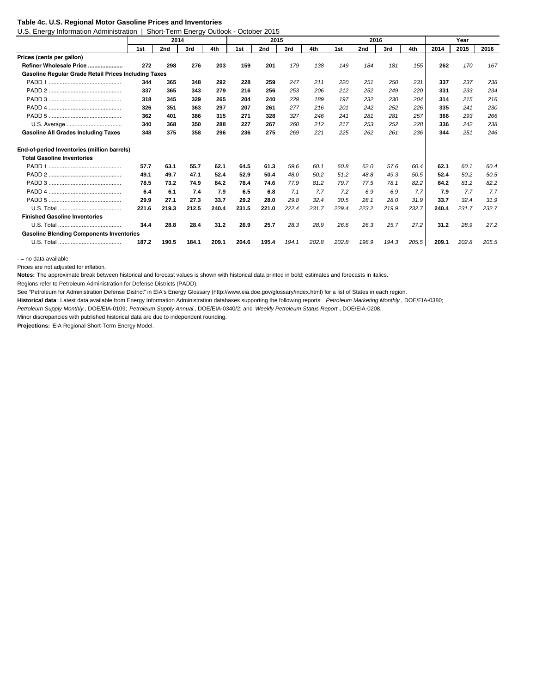#### **Table 4c. U.S. Regional Motor Gasoline Prices and Inventories**

U.S. Energy Information Administration | Short-Term Energy Outlook - October 2015

|                                                      |       | 2014  |       |       |       | 2015  |       |       |       | 2016  |       |       |       | Year  |       |
|------------------------------------------------------|-------|-------|-------|-------|-------|-------|-------|-------|-------|-------|-------|-------|-------|-------|-------|
|                                                      | 1st   | 2nd   | 3rd   | 4th   | 1st   | 2nd   | 3rd   | 4th   | 1st   | 2nd   | 3rd   | 4th   | 2014  | 2015  | 2016  |
| Prices (cents per gallon)                            |       |       |       |       |       |       |       |       |       |       |       |       |       |       |       |
| Refiner Wholesale Price                              | 272   | 298   | 276   | 203   | 159   | 201   | 179   | 138   | 149   | 184   | 181   | 155   | 262   | 170   | 167   |
| Gasoline Regular Grade Retail Prices Including Taxes |       |       |       |       |       |       |       |       |       |       |       |       |       |       |       |
|                                                      | 344   | 365   | 348   | 292   | 228   | 259   | 247   | 211   | 220   | 251   | 250   | 231   | 337   | 237   | 238   |
|                                                      | 337   | 365   | 343   | 279   | 216   | 256   | 253   | 206   | 212   | 252   | 249   | 220   | 331   | 233   | 234   |
|                                                      | 318   | 345   | 329   | 265   | 204   | 240   | 229   | 189   | 197   | 232   | 230   | 204   | 314   | 215   | 216   |
|                                                      | 326   | 351   | 363   | 297   | 207   | 261   | 277   | 216   | 201   | 242   | 252   | 226   | 335   | 241   | 230   |
|                                                      | 362   | 401   | 386   | 315   | 271   | 328   | 327   | 246   | 241   | 281   | 281   | 257   | 366   | 293   | 266   |
|                                                      | 340   | 368   | 350   | 288   | 227   | 267   | 260   | 212   | 217   | 253   | 252   | 228   | 336   | 242   | 238   |
| <b>Gasoline All Grades Including Taxes</b>           | 348   | 375   | 358   | 296   | 236   | 275   | 269   | 221   | 225   | 262   | 261   | 236   | 344   | 251   | 246   |
| End-of-period Inventories (million barrels)          |       |       |       |       |       |       |       |       |       |       |       |       |       |       |       |
| <b>Total Gasoline Inventories</b>                    |       |       |       |       |       |       |       |       |       |       |       |       |       |       |       |
|                                                      | 57.7  | 63.1  | 55.7  | 62.1  | 64.5  | 61.3  | 59.6  | 60.1  | 60.8  | 62.0  | 57.6  | 60.4  | 62.1  | 60.1  | 60.4  |
|                                                      | 49.1  | 49.7  | 47.1  | 52.4  | 52.9  | 50.4  | 48.0  | 50.2  | 51.2  | 48.8  | 49.3  | 50.5  | 52.4  | 50.2  | 50.5  |
|                                                      | 78.5  | 73.2  | 74.9  | 84.2  | 78.4  | 74.6  | 77.9  | 81.2  | 79.7  | 77.5  | 78.1  | 82.2  | 84.2  | 81.2  | 82.2  |
|                                                      | 6.4   | 6.1   | 7.4   | 7.9   | 6.5   | 6.8   | 7.1   | 7.7   | 7.2   | 6.9   | 6.9   | 7.7   | 7.9   | 7.7   | 7.7   |
|                                                      | 29.9  | 27.1  | 27.3  | 33.7  | 29.2  | 28.0  | 29.8  | 32.4  | 30.5  | 28.1  | 28.0  | 31.9  | 33.7  | 32.4  | 31.9  |
|                                                      | 221.6 | 219.3 | 212.5 | 240.4 | 231.5 | 221.0 | 222.4 | 231.7 | 229.4 | 223.2 | 219.9 | 232.7 | 240.4 | 231.7 | 232.7 |
| <b>Finished Gasoline Inventories</b>                 |       |       |       |       |       |       |       |       |       |       |       |       |       |       |       |
|                                                      | 34.4  | 28.8  | 28.4  | 31.2  | 26.9  | 25.7  | 28.3  | 28.9  | 26.6  | 26.3  | 25.7  | 27.2  | 31.2  | 28.9  | 27.2  |
| <b>Gasoline Blending Components Inventories</b>      |       |       |       |       |       |       |       |       |       |       |       |       |       |       |       |
|                                                      | 187.2 | 190.5 | 184.1 | 209.1 | 204.6 | 195.4 | 194.1 | 202.8 | 202.8 | 196.9 | 194.3 | 205.5 | 209.1 | 202.8 | 205.5 |

- = no data available

Prices are not adjusted for inflation.

**Notes:** The approximate break between historical and forecast values is shown with historical data printed in bold; estimates and forecasts in italics.

Regions refer to Petroleum Administration for Defense Districts (PADD).

See "Petroleum for Administration Defense District" in EIA's Energy Glossary (http://www.eia.doe.gov/glossary/index.html) for a list of States in each region.

**Historical data** : Latest data available from Energy Information Administration databases supporting the following reports: *Petroleum Marketing Monthly* , DOE/EIA-0380;

*Petroleum Supply Monthly* , DOE/EIA-0109; *Petroleum Supply Annual* , DOE/EIA-0340/2; and *Weekly Petroleum Status Report* , DOE/EIA-0208.

Minor discrepancies with published historical data are due to independent rounding.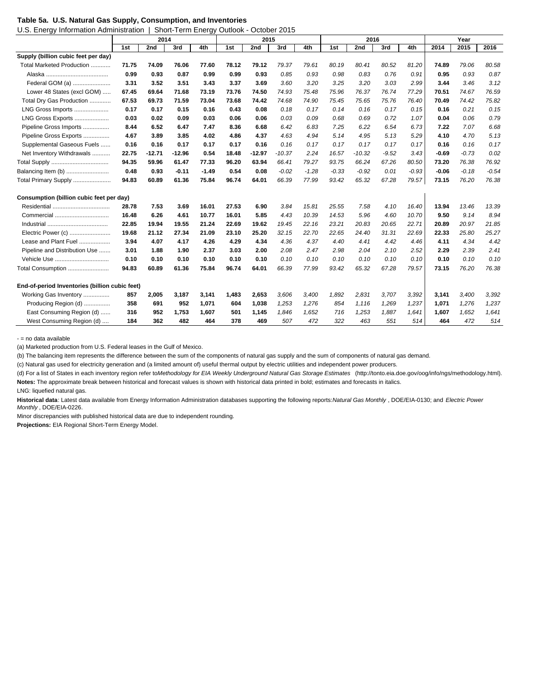|  |  | Table 5a. U.S. Natural Gas Supply, Consumption, and Inventories |  |  |
|--|--|-----------------------------------------------------------------|--|--|
|  |  |                                                                 |  |  |

U.S. Energy Information Administration | Short-Term Energy Outlook - October 2015

|                                                | 2014<br>1st<br>2nd<br>3rd<br>4th |          |          |         | 2015  |          |          |         | 2016    |          |         |         | Year    |         |         |
|------------------------------------------------|----------------------------------|----------|----------|---------|-------|----------|----------|---------|---------|----------|---------|---------|---------|---------|---------|
|                                                |                                  |          |          |         | 1st   | 2nd      | 3rd      | 4th     | 1st     | 2nd      | 3rd     | 4th     | 2014    | 2015    | 2016    |
| Supply (billion cubic feet per day)            |                                  |          |          |         |       |          |          |         |         |          |         |         |         |         |         |
| Total Marketed Production                      | 71.75                            | 74.09    | 76.06    | 77.60   | 78.12 | 79.12    | 79.37    | 79.61   | 80.19   | 80.41    | 80.52   | 81.20   | 74.89   | 79.06   | 80.58   |
|                                                | 0.99                             | 0.93     | 0.87     | 0.99    | 0.99  | 0.93     | 0.85     | 0.93    | 0.98    | 0.83     | 0.76    | 0.91    | 0.95    | 0.93    | 0.87    |
| Federal GOM (a)                                | 3.31                             | 3.52     | 3.51     | 3.43    | 3.37  | 3.69     | 3.60     | 3.20    | 3.25    | 3.20     | 3.03    | 2.99    | 3.44    | 3.46    | 3.12    |
| Lower 48 States (excl GOM)                     | 67.45                            | 69.64    | 71.68    | 73.19   | 73.76 | 74.50    | 74.93    | 75.48   | 75.96   | 76.37    | 76.74   | 77.29   | 70.51   | 74.67   | 76.59   |
| Total Dry Gas Production                       | 67.53                            | 69.73    | 71.59    | 73.04   | 73.68 | 74.42    | 74.68    | 74.90   | 75.45   | 75.65    | 75.76   | 76.40   | 70.49   | 74.42   | 75.82   |
| LNG Gross Imports                              | 0.17                             | 0.17     | 0.15     | 0.16    | 0.43  | 0.08     | 0.18     | 0.17    | 0.14    | 0.16     | 0.17    | 0.15    | 0.16    | 0.21    | 0.15    |
| LNG Gross Exports                              | 0.03                             | 0.02     | 0.09     | 0.03    | 0.06  | 0.06     | 0.03     | 0.09    | 0.68    | 0.69     | 0.72    | 1.07    | 0.04    | 0.06    | 0.79    |
| Pipeline Gross Imports                         | 8.44                             | 6.52     | 6.47     | 7.47    | 8.36  | 6.68     | 6.42     | 6.83    | 7.25    | 6.22     | 6.54    | 6.73    | 7.22    | 7.07    | 6.68    |
| Pipeline Gross Exports                         | 4.67                             | 3.89     | 3.85     | 4.02    | 4.86  | 4.37     | 4.63     | 4.94    | 5.14    | 4.95     | 5.13    | 5.29    | 4.10    | 4.70    | 5.13    |
| Supplemental Gaseous Fuels                     | 0.16                             | 0.16     | 0.17     | 0.17    | 0.17  | 0.16     | 0.16     | 0.17    | 0.17    | 0.17     | 0.17    | 0.17    | 0.16    | 0.16    | 0.17    |
| Net Inventory Withdrawals                      | 22.75                            | $-12.71$ | $-12.96$ | 0.54    | 18.48 | $-12.97$ | $-10.37$ | 2.24    | 16.57   | $-10.32$ | $-9.52$ | 3.43    | $-0.69$ | $-0.73$ | 0.02    |
|                                                | 94.35                            | 59.96    | 61.47    | 77.33   | 96.20 | 63.94    | 66.41    | 79.27   | 93.75   | 66.24    | 67.26   | 80.50   | 73.20   | 76.38   | 76.92   |
| Balancing Item (b)                             | 0.48                             | 0.93     | $-0.11$  | $-1.49$ | 0.54  | 0.08     | $-0.02$  | $-1.28$ | $-0.33$ | $-0.92$  | 0.01    | $-0.93$ | $-0.06$ | $-0.18$ | $-0.54$ |
| Total Primary Supply                           | 94.83                            | 60.89    | 61.36    | 75.84   | 96.74 | 64.01    | 66.39    | 77.99   | 93.42   | 65.32    | 67.28   | 79.57   | 73.15   | 76.20   | 76.38   |
| Consumption (billion cubic feet per day)       |                                  |          |          |         |       |          |          |         |         |          |         |         |         |         |         |
| Residential                                    | 28.78                            | 7.53     | 3.69     | 16.01   | 27.53 | 6.90     | 3.84     | 15.81   | 25.55   | 7.58     | 4.10    | 16.40   | 13.94   | 13.46   | 13.39   |
|                                                | 16.48                            | 6.26     | 4.61     | 10.77   | 16.01 | 5.85     | 4.43     | 10.39   | 14.53   | 5.96     | 4.60    | 10.70   | 9.50    | 9.14    | 8.94    |
|                                                | 22.85                            | 19.94    | 19.55    | 21.24   | 22.69 | 19.62    | 19.45    | 22.16   | 23.21   | 20.83    | 20.65   | 22.71   | 20.89   | 20.97   | 21.85   |
| Electric Power (c)                             | 19.68                            | 21.12    | 27.34    | 21.09   | 23.10 | 25.20    | 32.15    | 22.70   | 22.65   | 24.40    | 31.31   | 22.69   | 22.33   | 25.80   | 25.27   |
| Lease and Plant Fuel                           | 3.94                             | 4.07     | 4.17     | 4.26    | 4.29  | 4.34     | 4.36     | 4.37    | 4.40    | 4.41     | 4.42    | 4.46    | 4.11    | 4.34    | 4.42    |
| Pipeline and Distribution Use                  | 3.01                             | 1.88     | 1.90     | 2.37    | 3.03  | 2.00     | 2.08     | 2.47    | 2.98    | 2.04     | 2.10    | 2.52    | 2.29    | 2.39    | 2.41    |
|                                                | 0.10                             | 0.10     | 0.10     | 0.10    | 0.10  | 0.10     | 0.10     | 0.10    | 0.10    | 0.10     | 0.10    | 0.10    | 0.10    | 0.10    | 0.10    |
| Total Consumption                              | 94.83                            | 60.89    | 61.36    | 75.84   | 96.74 | 64.01    | 66.39    | 77.99   | 93.42   | 65.32    | 67.28   | 79.57   | 73.15   | 76.20   | 76.38   |
| End-of-period Inventories (billion cubic feet) |                                  |          |          |         |       |          |          |         |         |          |         |         |         |         |         |
| Working Gas Inventory                          | 857                              | 2,005    | 3,187    | 3,141   | 1,483 | 2,653    | 3,606    | 3,400   | 1,892   | 2,831    | 3,707   | 3,392   | 3,141   | 3,400   | 3,392   |
| Producing Region (d)                           | 358                              | 691      | 952      | 1,071   | 604   | 1,038    | 1,253    | 1,276   | 854     | 1,116    | 1,269   | 1,237   | 1,071   | 1,276   | 1,237   |
| East Consuming Region (d)                      | 316                              | 952      | 1,753    | 1,607   | 501   | 1,145    | 1,846    | 1,652   | 716     | 1,253    | 1,887   | 1,641   | 1,607   | 1,652   | 1,641   |
| West Consuming Region (d)                      | 184                              | 362      | 482      | 464     | 378   | 469      | 507      | 472     | 322     | 463      | 551     | 514     | 464     | 472     | 514     |

- = no data available

(a) Marketed production from U.S. Federal leases in the Gulf of Mexico.

(b) The balancing item represents the difference between the sum of the components of natural gas supply and the sum of components of natural gas demand.

(c) Natural gas used for electricity generation and (a limited amount of) useful thermal output by electric utilities and independent power producers.

(d) For a list of States in each inventory region refer to *Methodology for EIA Weekly Underground Natural Gas Storage Estimates* (http://tonto.eia.doe.gov/oog/info/ngs/methodology.html). **Notes:** The approximate break between historical and forecast values is shown with historical data printed in bold; estimates and forecasts in italics.

LNG: liquefied natural gas.

**Historical data**: Latest data available from Energy Information Administration databases supporting the following reports: *Natural Gas Monthly* , DOE/EIA-0130; and *Electric Power Monthly* , DOE/EIA-0226.

Minor discrepancies with published historical data are due to independent rounding.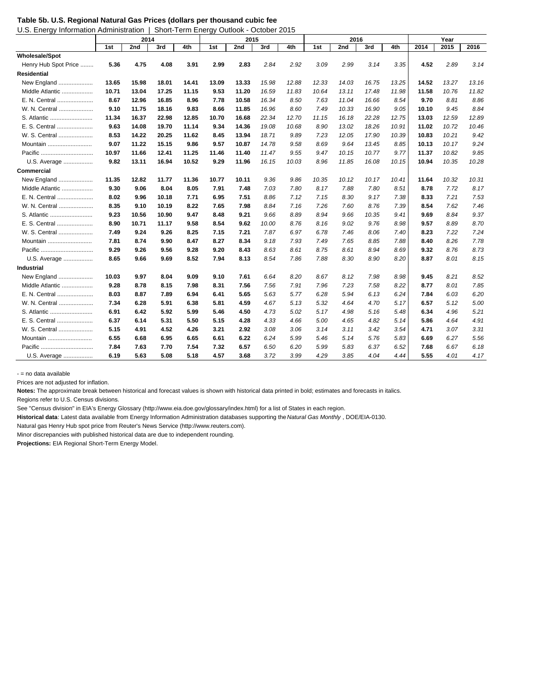**Table 5b. U.S. Regional Natural Gas Prices (dollars per thousand cubic feet**

| U.S. Energy Information Administration   Short-Term Energy Outlook - October 2015 |
|-----------------------------------------------------------------------------------|
|                                                                                   |

|                       |       | 2014  |       |       |       | 2015  |       |       |       | 2016  |       |       |       | Year  |       |
|-----------------------|-------|-------|-------|-------|-------|-------|-------|-------|-------|-------|-------|-------|-------|-------|-------|
|                       | 1st   | 2nd   | 3rd   | 4th   | 1st   | 2nd   | 3rd   | 4th   | 1st   | 2nd   | 3rd   | 4th   | 2014  | 2015  | 2016  |
| <b>Wholesale/Spot</b> |       |       |       |       |       |       |       |       |       |       |       |       |       |       |       |
| Henry Hub Spot Price  | 5.36  | 4.75  | 4.08  | 3.91  | 2.99  | 2.83  | 2.84  | 2.92  | 3.09  | 2.99  | 3.14  | 3.35  | 4.52  | 2.89  | 3.14  |
| <b>Residential</b>    |       |       |       |       |       |       |       |       |       |       |       |       |       |       |       |
| New England           | 13.65 | 15.98 | 18.01 | 14.41 | 13.09 | 13.33 | 15.98 | 12.88 | 12.33 | 14.03 | 16.75 | 13.25 | 14.52 | 13.27 | 13.16 |
| Middle Atlantic       | 10.71 | 13.04 | 17.25 | 11.15 | 9.53  | 11.20 | 16.59 | 11.83 | 10.64 | 13.11 | 17.48 | 11.98 | 11.58 | 10.76 | 11.82 |
| E. N. Central         | 8.67  | 12.96 | 16.85 | 8.96  | 7.78  | 10.58 | 16.34 | 8.50  | 7.63  | 11.04 | 16.66 | 8.54  | 9.70  | 8.81  | 8.86  |
| W. N. Central         | 9.10  | 11.75 | 18.16 | 9.83  | 8.66  | 11.85 | 16.96 | 8.60  | 7.49  | 10.33 | 16.90 | 9.05  | 10.10 | 9.45  | 8.84  |
| S. Atlantic           | 11.34 | 16.37 | 22.98 | 12.85 | 10.70 | 16.68 | 22.34 | 12.70 | 11.15 | 16.18 | 22.28 | 12.75 | 13.03 | 12.59 | 12.89 |
| E. S. Central         | 9.63  | 14.08 | 19.70 | 11.14 | 9.34  | 14.36 | 19.08 | 10.68 | 8.90  | 13.02 | 18.26 | 10.91 | 11.02 | 10.72 | 10.46 |
| W. S. Central         | 8.53  | 14.22 | 20.25 | 11.62 | 8.45  | 13.94 | 18.71 | 9.89  | 7.23  | 12.05 | 17.90 | 10.39 | 10.83 | 10.21 | 9.42  |
| Mountain              | 9.07  | 11.22 | 15.15 | 9.86  | 9.57  | 10.87 | 14.78 | 9.58  | 8.69  | 9.64  | 13.45 | 8.85  | 10.13 | 10.17 | 9.24  |
|                       | 10.97 | 11.66 | 12.41 | 11.25 | 11.46 | 11.40 | 11.47 | 9.55  | 9.47  | 10.15 | 10.77 | 9.77  | 11.37 | 10.82 | 9.85  |
| U.S. Average          | 9.82  | 13.11 | 16.94 | 10.52 | 9.29  | 11.96 | 16.15 | 10.03 | 8.96  | 11.85 | 16.08 | 10.15 | 10.94 | 10.35 | 10.28 |
| Commercial            |       |       |       |       |       |       |       |       |       |       |       |       |       |       |       |
| New England           | 11.35 | 12.82 | 11.77 | 11.36 | 10.77 | 10.11 | 9.36  | 9.86  | 10.35 | 10.12 | 10.17 | 10.41 | 11.64 | 10.32 | 10.31 |
| Middle Atlantic       | 9.30  | 9.06  | 8.04  | 8.05  | 7.91  | 7.48  | 7.03  | 7.80  | 8.17  | 7.88  | 7.80  | 8.51  | 8.78  | 7.72  | 8.17  |
| E. N. Central         | 8.02  | 9.96  | 10.18 | 7.71  | 6.95  | 7.51  | 8.86  | 7.12  | 7.15  | 8.30  | 9.17  | 7.38  | 8.33  | 7.21  | 7.53  |
| W. N. Central         | 8.35  | 9.10  | 10.19 | 8.22  | 7.65  | 7.98  | 8.84  | 7.16  | 7.26  | 7.60  | 8.76  | 7.39  | 8.54  | 7.62  | 7.46  |
| S. Atlantic           | 9.23  | 10.56 | 10.90 | 9.47  | 8.48  | 9.21  | 9.66  | 8.89  | 8.94  | 9.66  | 10.35 | 9.41  | 9.69  | 8.84  | 9.37  |
| E. S. Central         | 8.90  | 10.71 | 11.17 | 9.58  | 8.54  | 9.62  | 10.00 | 8.76  | 8.16  | 9.02  | 9.76  | 8.98  | 9.57  | 8.89  | 8.70  |
| W. S. Central         | 7.49  | 9.24  | 9.26  | 8.25  | 7.15  | 7.21  | 7.87  | 6.97  | 6.78  | 7.46  | 8.06  | 7.40  | 8.23  | 7.22  | 7.24  |
| Mountain              | 7.81  | 8.74  | 9.90  | 8.47  | 8.27  | 8.34  | 9.18  | 7.93  | 7.49  | 7.65  | 8.85  | 7.88  | 8.40  | 8.26  | 7.78  |
|                       | 9.29  | 9.26  | 9.56  | 9.28  | 9.20  | 8.43  | 8.63  | 8.61  | 8.75  | 8.61  | 8.94  | 8.69  | 9.32  | 8.76  | 8.73  |
| U.S. Average          | 8.65  | 9.66  | 9.69  | 8.52  | 7.94  | 8.13  | 8.54  | 7.86  | 7.88  | 8.30  | 8.90  | 8.20  | 8.87  | 8.01  | 8.15  |
| Industrial            |       |       |       |       |       |       |       |       |       |       |       |       |       |       |       |
| New England           | 10.03 | 9.97  | 8.04  | 9.09  | 9.10  | 7.61  | 6.64  | 8.20  | 8.67  | 8.12  | 7.98  | 8.98  | 9.45  | 8.21  | 8.52  |
| Middle Atlantic       | 9.28  | 8.78  | 8.15  | 7.98  | 8.31  | 7.56  | 7.56  | 7.91  | 7.96  | 7.23  | 7.58  | 8.22  | 8.77  | 8.01  | 7.85  |
| E. N. Central         | 8.03  | 8.87  | 7.89  | 6.94  | 6.41  | 5.65  | 5.63  | 5.77  | 6.28  | 5.94  | 6.13  | 6.24  | 7.84  | 6.03  | 6.20  |
| W. N. Central         | 7.34  | 6.28  | 5.91  | 6.38  | 5.81  | 4.59  | 4.67  | 5.13  | 5.32  | 4.64  | 4.70  | 5.17  | 6.57  | 5.12  | 5.00  |
| S. Atlantic           | 6.91  | 6.42  | 5.92  | 5.99  | 5.46  | 4.50  | 4.73  | 5.02  | 5.17  | 4.98  | 5.16  | 5.48  | 6.34  | 4.96  | 5.21  |
| E. S. Central         | 6.37  | 6.14  | 5.31  | 5.50  | 5.15  | 4.28  | 4.33  | 4.66  | 5.00  | 4.65  | 4.82  | 5.14  | 5.86  | 4.64  | 4.91  |
| W. S. Central         | 5.15  | 4.91  | 4.52  | 4.26  | 3.21  | 2.92  | 3.08  | 3.06  | 3.14  | 3.11  | 3.42  | 3.54  | 4.71  | 3.07  | 3.31  |
| Mountain              | 6.55  | 6.68  | 6.95  | 6.65  | 6.61  | 6.22  | 6.24  | 5.99  | 5.46  | 5.14  | 5.76  | 5.83  | 6.69  | 6.27  | 5.56  |
| Pacific               | 7.84  | 7.63  | 7.70  | 7.54  | 7.32  | 6.57  | 6.50  | 6.20  | 5.99  | 5.83  | 6.37  | 6.52  | 7.68  | 6.67  | 6.18  |
| U.S. Average          | 6.19  | 5.63  | 5.08  | 5.18  | 4.57  | 3.68  | 3.72  | 3.99  | 4.29  | 3.85  | 4.04  | 4.44  | 5.55  | 4.01  | 4.17  |

- = no data available

Prices are not adjusted for inflation.

**Notes:** The approximate break between historical and forecast values is shown with historical data printed in bold; estimates and forecasts in italics.

Regions refer to U.S. Census divisions.

See "Census division" in EIA's Energy Glossary (http://www.eia.doe.gov/glossary/index.html) for a list of States in each region.

**Historical data**: Latest data available from Energy Information Administration databases supporting the *Natural Gas Monthly* , DOE/EIA-0130.

Natural gas Henry Hub spot price from Reuter's News Service (http://www.reuters.com).

Minor discrepancies with published historical data are due to independent rounding.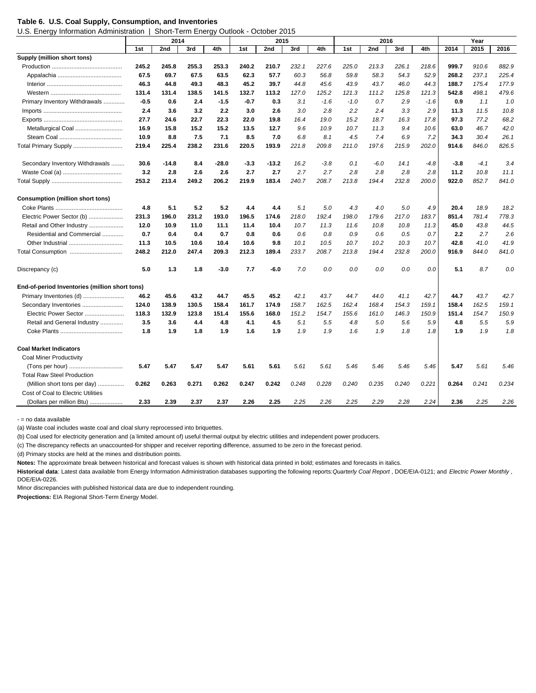#### **Table 6. U.S. Coal Supply, Consumption, and Inventories**

U.S. Energy Information Administration | Short-Term Energy Outlook - October 2015

|                                                | 2014   |         |       | 2015    |        |         |       |        | 2016   |        |       |        | Year   |        |       |
|------------------------------------------------|--------|---------|-------|---------|--------|---------|-------|--------|--------|--------|-------|--------|--------|--------|-------|
|                                                | 1st    | 2nd     | 3rd   | 4th     | 1st    | 2nd     | 3rd   | 4th    | 1st    | 2nd    | 3rd   | 4th    | 2014   | 2015   | 2016  |
| Supply (million short tons)                    |        |         |       |         |        |         |       |        |        |        |       |        |        |        |       |
|                                                | 245.2  | 245.8   | 255.3 | 253.3   | 240.2  | 210.7   | 232.1 | 227.6  | 225.0  | 213.3  | 226.1 | 218.6  | 999.7  | 910.6  | 882.9 |
|                                                | 67.5   | 69.7    | 67.5  | 63.5    | 62.3   | 57.7    | 60.3  | 56.8   | 59.8   | 58.3   | 54.3  | 52.9   | 268.2  | 237.1  | 225.4 |
|                                                | 46.3   | 44.8    | 49.3  | 48.3    | 45.2   | 39.7    | 44.8  | 45.6   | 43.9   | 43.7   | 46.0  | 44.3   | 188.7  | 175.4  | 177.9 |
|                                                | 131.4  | 131.4   | 138.5 | 141.5   | 132.7  | 113.2   | 127.0 | 125.2  | 121.3  | 111.2  | 125.8 | 121.3  | 542.8  | 498.1  | 479.6 |
| Primary Inventory Withdrawals                  | $-0.5$ | 0.6     | 2.4   | $-1.5$  | -0.7   | 0.3     | 3.1   | $-1.6$ | $-1.0$ | 0.7    | 2.9   | $-1.6$ | 0.9    | 1.1    | 1.0   |
|                                                | 2.4    | 3.6     | 3.2   | 2.2     | 3.0    | 2.6     | 3.0   | 2.8    | 2.2    | 2.4    | 3.3   | 2.9    | 11.3   | 11.5   | 10.8  |
|                                                | 27.7   | 24.6    | 22.7  | 22.3    | 22.0   | 19.8    | 16.4  | 19.0   | 15.2   | 18.7   | 16.3  | 17.8   | 97.3   | 77.2   | 68.2  |
| Metallurgical Coal                             | 16.9   | 15.8    | 15.2  | 15.2    | 13.5   | 12.7    | 9.6   | 10.9   | 10.7   | 11.3   | 9.4   | 10.6   | 63.0   | 46.7   | 42.0  |
|                                                | 10.9   | 8.8     | 7.5   | 7.1     | 8.5    | 7.0     | 6.8   | 8.1    | 4.5    | 7.4    | 6.9   | 7.2    | 34.3   | 30.4   | 26.1  |
| Total Primary Supply                           | 219.4  | 225.4   | 238.2 | 231.6   | 220.5  | 193.9   | 221.8 | 209.8  | 211.0  | 197.6  | 215.9 | 202.0  | 914.6  | 846.0  | 826.5 |
| Secondary Inventory Withdrawals                | 30.6   | $-14.8$ | 8.4   | $-28.0$ | $-3.3$ | $-13.2$ | 16.2  | $-3.8$ | 0.1    | $-6.0$ | 14.1  | $-4.8$ | $-3.8$ | $-4.1$ | 3.4   |
|                                                | 3.2    | 2.8     | 2.6   | 2.6     | 2.7    | 2.7     | 2.7   | 2.7    | 2.8    | 2.8    | 2.8   | 2.8    | 11.2   | 10.8   | 11.1  |
|                                                | 253.2  | 213.4   | 249.2 | 206.2   | 219.9  | 183.4   | 240.7 | 208.7  | 213.8  | 194.4  | 232.8 | 200.0  | 922.0  | 852.7  | 841.0 |
| <b>Consumption (million short tons)</b>        |        |         |       |         |        |         |       |        |        |        |       |        |        |        |       |
|                                                | 4.8    | 5.1     | 5.2   | 5.2     | 4.4    | 4.4     | 5.1   | 5.0    | 4.3    | 4.0    | 5.0   | 4.9    | 20.4   | 18.9   | 18.2  |
| Electric Power Sector (b)                      | 231.3  | 196.0   | 231.2 | 193.0   | 196.5  | 174.6   | 218.0 | 192.4  | 198.0  | 179.6  | 217.0 | 183.7  | 851.4  | 781.4  | 778.3 |
| Retail and Other Industry                      | 12.0   | 10.9    | 11.0  | 11.1    | 11.4   | 10.4    | 10.7  | 11.3   | 11.6   | 10.8   | 10.8  | 11.3   | 45.0   | 43.8   | 44.5  |
| Residential and Commercial                     | 0.7    | 0.4     | 0.4   | 0.7     | 0.8    | 0.6     | 0.6   | 0.8    | 0.9    | 0.6    | 0.5   | 0.7    | 2.2    | 2.7    | 2.6   |
|                                                | 11.3   | 10.5    | 10.6  | 10.4    | 10.6   | 9.8     | 10.1  | 10.5   | 10.7   | 10.2   | 10.3  | 10.7   | 42.8   | 41.0   | 41.9  |
|                                                | 248.2  | 212.0   | 247.4 | 209.3   | 212.3  | 189.4   | 233.7 | 208.7  | 213.8  | 194.4  | 232.8 | 200.0  | 916.9  | 844.0  | 841.0 |
| Discrepancy (c)                                | 5.0    | 1.3     | 1.8   | $-3.0$  | 7.7    | -6.0    | 7.0   | 0.0    | 0.0    | 0.0    | 0.0   | 0.0    | 5.1    | 8.7    | 0.0   |
| End-of-period Inventories (million short tons) |        |         |       |         |        |         |       |        |        |        |       |        |        |        |       |
|                                                | 46.2   | 45.6    | 43.2  | 44.7    | 45.5   | 45.2    | 42.1  | 43.7   | 44.7   | 44.0   | 41.1  | 42.7   | 44.7   | 43.7   | 42.7  |
| Secondary Inventories                          | 124.0  | 138.9   | 130.5 | 158.4   | 161.7  | 174.9   | 158.7 | 162.5  | 162.4  | 168.4  | 154.3 | 159.1  | 158.4  | 162.5  | 159.1 |
| Electric Power Sector                          | 118.3  | 132.9   | 123.8 | 151.4   | 155.6  | 168.0   | 151.2 | 154.7  | 155.6  | 161.0  | 146.3 | 150.9  | 151.4  | 154.7  | 150.9 |
| Retail and General Industry                    | 3.5    | 3.6     | 4.4   | 4.8     | 4.1    | 4.5     | 5.1   | 5.5    | 4.8    | 5.0    | 5.6   | 5.9    | 4.8    | 5.5    | 5.9   |
|                                                | 1.8    | 1.9     | 1.8   | 1.9     | 1.6    | 1.9     | 1.9   | 1.9    | 1.6    | 1.9    | 1.8   | 1.8    | 1.9    | 1.9    | 1.8   |
| <b>Coal Market Indicators</b>                  |        |         |       |         |        |         |       |        |        |        |       |        |        |        |       |
| <b>Coal Miner Productivity</b>                 |        |         |       |         |        |         |       |        |        |        |       |        |        |        |       |
|                                                | 5.47   | 5.47    | 5.47  | 5.47    | 5.61   | 5.61    | 5.61  | 5.61   | 5.46   | 5.46   | 5.46  | 5.46   | 5.47   | 5.61   | 5.46  |
| <b>Total Raw Steel Production</b>              |        |         |       |         |        |         |       |        |        |        |       |        |        |        |       |
| (Million short tons per day)<br>               | 0.262  | 0.263   | 0.271 | 0.262   | 0.247  | 0.242   | 0.248 | 0.228  | 0.240  | 0.235  | 0.240 | 0.221  | 0.264  | 0.241  | 0.234 |
| Cost of Coal to Electric Utilities             |        |         |       |         |        |         |       |        |        |        |       |        |        |        |       |
| (Dollars per million Btu)                      | 2.33   | 2.39    | 2.37  | 2.37    | 2.26   | 2.25    | 2.25  | 2.26   | 2.25   | 2.29   | 2.28  | 2.24   | 2.36   | 2.25   | 2.26  |

- = no data available

(a) Waste coal includes waste coal and cloal slurry reprocessed into briquettes.

(b) Coal used for electricity generation and (a limited amount of) useful thermal output by electric utilities and independent power producers.

(c) The discrepancy reflects an unaccounted-for shipper and receiver reporting difference, assumed to be zero in the forecast period.

(d) Primary stocks are held at the mines and distribution points.

**Notes:** The approximate break between historical and forecast values is shown with historical data printed in bold; estimates and forecasts in italics.

**Historical data**: Latest data available from Energy Information Administration databases supporting the following reports: *Quarterly Coal Report* , DOE/EIA-0121; and *Electric Power Monthly* , DOE/EIA-0226.

Minor discrepancies with published historical data are due to independent rounding.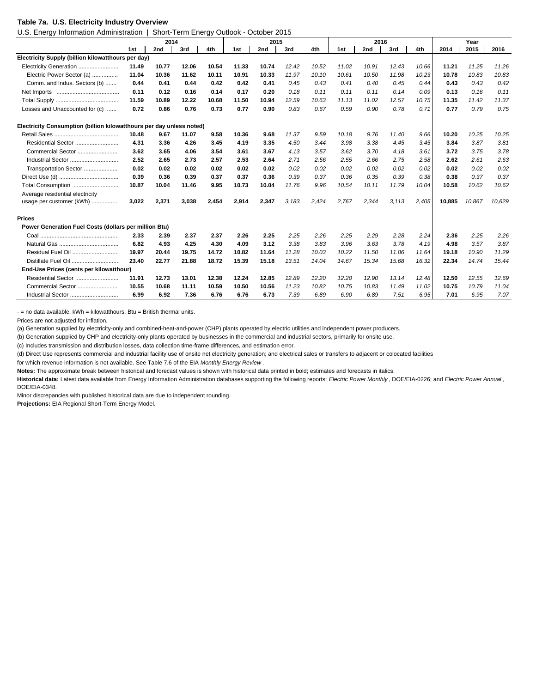#### **Table 7a. U.S. Electricity Industry Overview**

U.S. Energy Information Administration | Short-Term Energy Outlook - October 2015

|                                                                      | 2014  |       |       |       | 2015  |       |       | 2016  |       |       |       | Year  |        |        |        |
|----------------------------------------------------------------------|-------|-------|-------|-------|-------|-------|-------|-------|-------|-------|-------|-------|--------|--------|--------|
|                                                                      | 1st   | 2nd   | 3rd   | 4th   | 1st   | 2nd   | 3rd   | 4th   | 1st   | 2nd   | 3rd   | 4th   | 2014   | 2015   | 2016   |
| Electricity Supply (billion kilowatthours per day)                   |       |       |       |       |       |       |       |       |       |       |       |       |        |        |        |
| Electricity Generation                                               | 11.49 | 10.77 | 12.06 | 10.54 | 11.33 | 10.74 | 12.42 | 10.52 | 11.02 | 10.91 | 12.43 | 10.66 | 11.21  | 11.25  | 11.26  |
| Electric Power Sector (a)                                            | 11.04 | 10.36 | 11.62 | 10.11 | 10.91 | 10.33 | 11.97 | 10.10 | 10.61 | 10.50 | 11.98 | 10.23 | 10.78  | 10.83  | 10.83  |
| Comm. and Indus. Sectors (b)                                         | 0.44  | 0.41  | 0.44  | 0.42  | 0.42  | 0.41  | 0.45  | 0.43  | 0.41  | 0.40  | 0.45  | 0.44  | 0.43   | 0.43   | 0.42   |
|                                                                      | 0.11  | 0.12  | 0.16  | 0.14  | 0.17  | 0.20  | 0.18  | 0.11  | 0.11  | 0.11  | 0.14  | 0.09  | 0.13   | 0.16   | 0.11   |
|                                                                      | 11.59 | 10.89 | 12.22 | 10.68 | 11.50 | 10.94 | 12.59 | 10.63 | 11.13 | 11.02 | 12.57 | 10.75 | 11.35  | 11.42  | 11.37  |
| Losses and Unaccounted for (c)                                       | 0.72  | 0.86  | 0.76  | 0.73  | 0.77  | 0.90  | 0.83  | 0.67  | 0.59  | 0.90  | 0.78  | 0.71  | 0.77   | 0.79   | 0.75   |
| Electricity Consumption (billion kilowatthours per day unless noted) |       |       |       |       |       |       |       |       |       |       |       |       |        |        |        |
|                                                                      | 10.48 | 9.67  | 11.07 | 9.58  | 10.36 | 9.68  | 11.37 | 9.59  | 10.18 | 9.76  | 11.40 | 9.66  | 10.20  | 10.25  | 10.25  |
| Residential Sector                                                   | 4.31  | 3.36  | 4.26  | 3.45  | 4.19  | 3.35  | 4.50  | 3.44  | 3.98  | 3.38  | 4.45  | 3.45  | 3.84   | 3.87   | 3.81   |
| Commercial Sector                                                    | 3.62  | 3.65  | 4.06  | 3.54  | 3.61  | 3.67  | 4.13  | 3.57  | 3.62  | 3.70  | 4.18  | 3.61  | 3.72   | 3.75   | 3.78   |
| Industrial Sector                                                    | 2.52  | 2.65  | 2.73  | 2.57  | 2.53  | 2.64  | 2.71  | 2.56  | 2.55  | 2.66  | 2.75  | 2.58  | 2.62   | 2.61   | 2.63   |
| Transportation Sector                                                | 0.02  | 0.02  | 0.02  | 0.02  | 0.02  | 0.02  | 0.02  | 0.02  | 0.02  | 0.02  | 0.02  | 0.02  | 0.02   | 0.02   | 0.02   |
|                                                                      | 0.39  | 0.36  | 0.39  | 0.37  | 0.37  | 0.36  | 0.39  | 0.37  | 0.36  | 0.35  | 0.39  | 0.38  | 0.38   | 0.37   | 0.37   |
| Total Consumption                                                    | 10.87 | 10.04 | 11.46 | 9.95  | 10.73 | 10.04 | 11.76 | 9.96  | 10.54 | 10.11 | 11.79 | 10.04 | 10.58  | 10.62  | 10.62  |
| Average residential electricity                                      |       |       |       |       |       |       |       |       |       |       |       |       |        |        |        |
| usage per customer (kWh)                                             | 3,022 | 2,371 | 3,038 | 2,454 | 2,914 | 2,347 | 3,183 | 2,424 | 2,767 | 2,344 | 3,113 | 2,405 | 10,885 | 10,867 | 10,629 |
| <b>Prices</b>                                                        |       |       |       |       |       |       |       |       |       |       |       |       |        |        |        |
| Power Generation Fuel Costs (dollars per million Btu)                |       |       |       |       |       |       |       |       |       |       |       |       |        |        |        |
|                                                                      | 2.33  | 2.39  | 2.37  | 2.37  | 2.26  | 2.25  | 2.25  | 2.26  | 2.25  | 2.29  | 2.28  | 2.24  | 2.36   | 2.25   | 2.26   |
|                                                                      | 6.82  | 4.93  | 4.25  | 4.30  | 4.09  | 3.12  | 3.38  | 3.83  | 3.96  | 3.63  | 3.78  | 4.19  | 4.98   | 3.57   | 3.87   |
|                                                                      | 19.97 | 20.44 | 19.75 | 14.72 | 10.82 | 11.64 | 11.28 | 10.03 | 10.22 | 11.50 | 11.86 | 11.64 | 19.18  | 10.90  | 11.29  |
| Distillate Fuel Oil                                                  | 23.40 | 22.77 | 21.88 | 18.72 | 15.39 | 15.18 | 13.51 | 14.04 | 14.67 | 15.34 | 15.68 | 16.32 | 22.34  | 14.74  | 15.44  |
| End-Use Prices (cents per kilowatthour)                              |       |       |       |       |       |       |       |       |       |       |       |       |        |        |        |
| Residential Sector                                                   | 11.91 | 12.73 | 13.01 | 12.38 | 12.24 | 12.85 | 12.89 | 12.20 | 12.20 | 12.90 | 13.14 | 12.48 | 12.50  | 12.55  | 12.69  |
| Commercial Sector                                                    | 10.55 | 10.68 | 11.11 | 10.59 | 10.50 | 10.56 | 11.23 | 10.82 | 10.75 | 10.83 | 11.49 | 11.02 | 10.75  | 10.79  | 11.04  |
| Industrial Sector                                                    | 6.99  | 6.92  | 7.36  | 6.76  | 6.76  | 6.73  | 7.39  | 6.89  | 6.90  | 6.89  | 7.51  | 6.95  | 7.01   | 6.95   | 7.07   |

 $-$  = no data available.  $kWh = kilowatthours$ . Btu = British thermal units.

Prices are not adjusted for inflation.

(a) Generation supplied by electricity-only and combined-heat-and-power (CHP) plants operated by electric utilities and independent power producers.

(b) Generation supplied by CHP and electricity-only plants operated by businesses in the commercial and industrial sectors, primarily for onsite use.

(c) Includes transmission and distribution losses, data collection time-frame differences, and estimation error.

(d) Direct Use represents commercial and industrial facility use of onsite net electricity generation; and electrical sales or transfers to adjacent or colocated facilities

for which revenue information is not available. See Table 7.6 of the EIA *Monthly Energy Review* .

**Notes:** The approximate break between historical and forecast values is shown with historical data printed in bold; estimates and forecasts in italics.

**Historical data:** Latest data available from Energy Information Administration databases supporting the following reports: *Electric Power Monthly* , DOE/EIA-0226; and *Electric Power Annual* , DOE/EIA-0348.

Minor discrepancies with published historical data are due to independent rounding.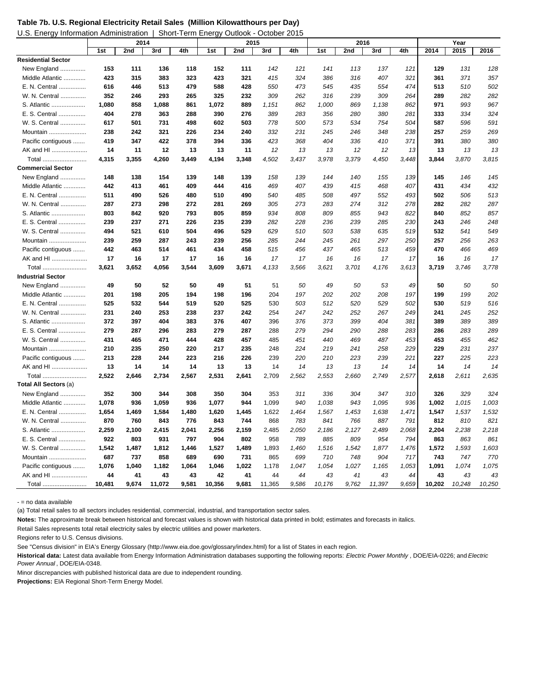| Table 7b. U.S. Regional Electricity Retail Sales (Million Kilowatthours per Day) |  |  |  |
|----------------------------------------------------------------------------------|--|--|--|
|                                                                                  |  |  |  |

| U.S. Energy Information Administration   Short-Term Energy Outlook - October 2015 |
|-----------------------------------------------------------------------------------|
|                                                                                   |

|                           |        | 2014  |        |       |        | 2015  |        |       |        | 2016  |        |       |        | Year   |        |
|---------------------------|--------|-------|--------|-------|--------|-------|--------|-------|--------|-------|--------|-------|--------|--------|--------|
|                           | 1st    | 2nd   | 3rd    | 4th   | 1st    | 2nd   | 3rd    | 4th   | 1st    | 2nd   | 3rd    | 4th   | 2014   | 2015   | 2016   |
| <b>Residential Sector</b> |        |       |        |       |        |       |        |       |        |       |        |       |        |        |        |
| New England               | 153    | 111   | 136    | 118   | 152    | 111   | 142    | 121   | 141    | 113   | 137    | 121   | 129    | 131    | 128    |
| Middle Atlantic           | 423    | 315   | 383    | 323   | 423    | 321   | 415    | 324   | 386    | 316   | 407    | 321   | 361    | 371    | 357    |
| E. N. Central             | 616    | 446   | 513    | 479   | 588    | 428   | 550    | 473   | 545    | 435   | 554    | 474   | 513    | 510    | 502    |
| W. N. Central             | 352    | 246   | 293    | 265   | 325    | 232   | 309    | 262   | 316    | 239   | 309    | 264   | 289    | 282    | 282    |
| S. Atlantic               | 1,080  | 858   | 1,088  | 861   | 1,072  | 889   | 1,151  | 862   | 1,000  | 869   | 1,138  | 862   | 971    | 993    | 967    |
| E. S. Central             | 404    | 278   | 363    | 288   | 390    | 276   | 389    | 283   | 356    | 280   | 380    | 281   | 333    | 334    | 324    |
| W. S. Central             | 617    | 501   | 731    | 498   | 602    | 503   | 778    | 500   | 573    | 534   | 754    | 504   | 587    | 596    | 591    |
| Mountain                  | 238    | 242   | 321    | 226   | 234    | 240   | 332    | 231   | 245    | 246   | 348    | 238   | 257    | 259    | 269    |
| Pacific contiguous        | 419    | 347   | 422    | 378   | 394    | 336   | 423    | 368   | 404    | 336   | 410    | 371   | 391    | 380    | 380    |
| AK and HI                 | 14     | 11    | 12     | 13    | 13     | 11    | 12     | 13    | 13     | 12    | 12     | 13    | 13     | 13     | 13     |
| Total                     | 4,315  | 3,355 | 4,260  | 3,449 | 4,194  | 3,348 | 4,502  | 3,437 | 3,978  | 3,379 | 4,450  | 3,448 | 3,844  | 3,870  | 3,815  |
| <b>Commercial Sector</b>  |        |       |        |       |        |       |        |       |        |       |        |       |        |        |        |
| New England               | 148    | 138   | 154    | 139   | 148    | 139   | 158    | 139   | 144    | 140   | 155    | 139   | 145    | 146    | 145    |
| Middle Atlantic           | 442    | 413   | 461    | 409   | 444    | 416   | 469    | 407   | 439    | 415   | 468    | 407   | 431    | 434    | 432    |
| E. N. Central             | 511    | 490   | 526    | 480   | 510    | 490   | 540    | 485   | 508    | 497   | 552    | 493   | 502    | 506    | 513    |
| W. N. Central             | 287    | 273   | 298    | 272   | 281    | 269   | 305    | 273   | 283    | 274   | 312    | 278   | 282    | 282    | 287    |
| S. Atlantic               | 803    | 842   | 920    | 793   | 805    | 859   | 934    | 808   | 809    | 855   | 943    | 822   | 840    | 852    | 857    |
| E. S. Central             | 239    | 237   | 271    | 226   | 235    | 239   | 282    | 228   | 236    | 239   | 285    | 230   | 243    | 246    | 248    |
| W. S. Central             | 494    | 521   | 610    | 504   | 496    | 529   | 629    | 510   | 503    | 538   | 635    | 519   | 532    | 541    | 549    |
| Mountain                  | 239    | 259   | 287    | 243   | 239    | 256   | 285    | 244   | 245    | 261   | 297    | 250   | 257    | 256    | 263    |
| Pacific contiguous        | 442    | 463   | 514    | 461   | 434    | 458   | 515    | 456   | 437    | 465   | 513    | 459   | 470    | 466    | 469    |
| AK and HI                 | 17     | 16    | 17     | 17    | 16     | 16    | 17     | 17    | 16     | 16    | 17     | 17    | 16     | 16     | 17     |
| Total                     | 3,621  | 3,652 | 4,056  | 3,544 | 3,609  | 3,671 | 4,133  | 3,566 | 3,621  | 3,701 | 4,176  | 3,613 | 3,719  | 3,746  | 3,778  |
| <b>Industrial Sector</b>  |        |       |        |       |        |       |        |       |        |       |        |       |        |        |        |
| New England               | 49     | 50    | 52     | 50    | 49     | 51    | 51     | 50    | 49     | 50    | 53     | 49    | 50     | 50     | 50     |
| Middle Atlantic           | 201    | 198   | 205    | 194   | 198    | 196   | 204    | 197   | 202    | 202   | 208    | 197   | 199    | 199    | 202    |
| E. N. Central             | 525    | 532   | 544    | 519   | 520    | 525   | 530    | 503   | 512    | 520   | 529    | 502   | 530    | 519    | 516    |
| W. N. Central             | 231    | 240   | 253    | 238   | 237    | 242   | 254    | 247   | 242    | 252   | 267    | 249   | 241    | 245    | 252    |
| S. Atlantic               | 372    | 397   | 404    | 383   | 376    | 407   | 396    | 376   | 373    | 399   | 404    | 381   | 389    | 389    | 389    |
| E. S. Central             | 279    | 287   | 296    | 283   | 279    | 287   | 288    | 279   | 294    | 290   | 288    | 283   | 286    | 283    | 289    |
| W. S. Central             | 431    | 465   | 471    | 444   | 428    | 457   | 485    | 451   | 440    | 469   | 487    | 453   | 453    | 455    | 462    |
| Mountain                  | 210    | 235   | 250    | 220   | 217    | 235   | 248    | 224   | 219    | 241   | 258    | 229   | 229    | 231    | 237    |
| Pacific contiguous        | 213    | 228   | 244    | 223   | 216    | 226   | 239    | 220   | 210    | 223   | 239    | 221   | 227    | 225    | 223    |
| AK and HI                 | 13     | 14    | 14     | 14    | 13     | 13    | 14     | 14    | 13     | 13    | 14     | 14    | 14     | 14     | 14     |
| Total                     | 2,522  | 2,646 | 2,734  | 2,567 | 2,531  | 2,641 | 2,709  | 2,562 | 2,553  | 2,660 | 2,749  | 2,577 | 2,618  | 2,611  | 2,635  |
| Total All Sectors (a)     |        |       |        |       |        |       |        |       |        |       |        |       |        |        |        |
| New England               | 352    | 300   | 344    | 308   | 350    | 304   | 353    | 311   | 336    | 304   | 347    | 310   | 326    | 329    | 324    |
| Middle Atlantic           | 1,078  | 936   | 1,059  | 936   | 1,077  | 944   | 1,099  | 940   | 1,038  | 943   | 1,095  | 936   | 1,002  | 1,015  | 1,003  |
| E. N. Central             | 1,654  | 1,469 | 1,584  | 1,480 | 1,620  | 1,445 | 1,622  | 1,464 | 1,567  | 1,453 | 1,638  | 1,471 | 1,547  | 1,537  | 1,532  |
| W. N. Central             | 870    | 760   | 843    | 776   | 843    | 744   | 868    | 783   | 841    | 766   | 887    | 791   | 812    | 810    | 821    |
| S. Atlantic               | 2,259  | 2,100 | 2,415  | 2,041 | 2,256  | 2,159 | 2,485  | 2,050 | 2,186  | 2,127 | 2,489  | 2,068 | 2,204  | 2,238  | 2,218  |
| E. S. Central             | 922    | 803   | 931    | 797   | 904    | 802   | 958    | 789   | 885    | 809   | 954    | 794   | 863    | 863    | 861    |
| W. S. Central             | 1,542  | 1,487 | 1,812  | 1,446 | 1,527  | 1,489 | 1,893  | 1,460 | 1,516  | 1,542 | 1,877  | 1,476 | 1,572  | 1,593  | 1,603  |
| Mountain                  | 687    | 737   | 858    | 689   | 690    | 731   | 865    | 699   | 710    | 748   | 904    | 717   | 743    | 747    | 770    |
| Pacific contiguous        | 1,076  | 1,040 | 1,182  | 1,064 | 1,046  | 1,022 | 1,178  | 1,047 | 1,054  | 1,027 | 1,165  | 1,053 | 1,091  | 1,074  | 1,075  |
| AK and HI                 | 44     | 41    | 43     | 43    | 42     | 41    | 44     | 44    | 43     | 41    | 43     | 44    | 43     | 43     | 43     |
| Total                     | 10.481 | 9.674 | 11.072 | 9.581 | 10.356 | 9.681 | 11,365 | 9.586 | 10,176 | 9.762 | 11,397 | 9.659 | 10.202 | 10.248 | 10,250 |

- = no data available

(a) Total retail sales to all sectors includes residential, commercial, industrial, and transportation sector sales.

**Notes:** The approximate break between historical and forecast values is shown with historical data printed in bold; estimates and forecasts in italics.

Retail Sales represents total retail electricity sales by electric utilities and power marketers.

Regions refer to U.S. Census divisions.

See "Census division" in EIA's Energy Glossary (http://www.eia.doe.gov/glossary/index.html) for a list of States in each region.

**Historical data:** Latest data available from Energy Information Administration databases supporting the following reports: *Electric Power Monthly* , DOE/EIA-0226; and *Electric Power Annual* , DOE/EIA-0348.

Minor discrepancies with published historical data are due to independent rounding.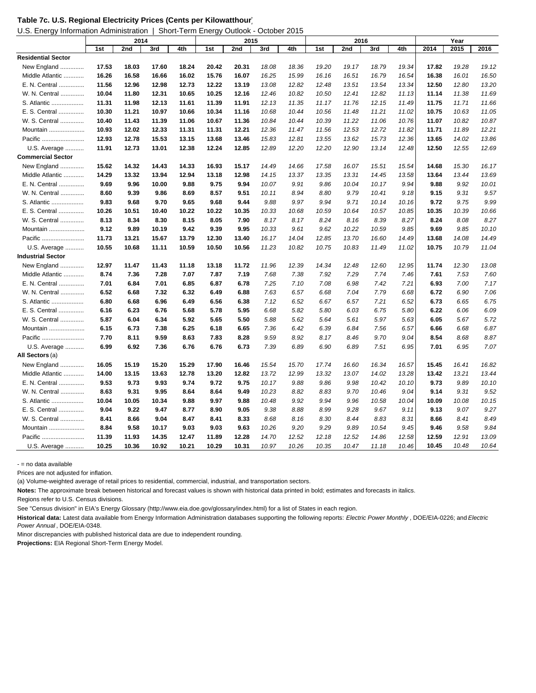| Table 7c. U.S. Regional Electricity Prices (Cents per Kilowatthour) |  |  |
|---------------------------------------------------------------------|--|--|
|---------------------------------------------------------------------|--|--|

U.S. Energy Information Administration | Short-Term Energy Outlook - October 2015

|                           |       | 2014  |       |       |       | 2015  |       |       |       | 2016  |       |       |       | Year  |       |
|---------------------------|-------|-------|-------|-------|-------|-------|-------|-------|-------|-------|-------|-------|-------|-------|-------|
|                           | 1st   | 2nd   | 3rd   | 4th   | 1st   | 2nd   | 3rd   | 4th   | 1st   | 2nd   | 3rd   | 4th   | 2014  | 2015  | 2016  |
| <b>Residential Sector</b> |       |       |       |       |       |       |       |       |       |       |       |       |       |       |       |
| New England               | 17.53 | 18.03 | 17.60 | 18.24 | 20.42 | 20.31 | 18.08 | 18.36 | 19.20 | 19.17 | 18.79 | 19.34 | 17.82 | 19.28 | 19.12 |
| Middle Atlantic           | 16.26 | 16.58 | 16.66 | 16.02 | 15.76 | 16.07 | 16.25 | 15.99 | 16.16 | 16.51 | 16.79 | 16.54 | 16.38 | 16.01 | 16.50 |
| E. N. Central             | 11.56 | 12.96 | 12.98 | 12.73 | 12.22 | 13.19 | 13.08 | 12.82 | 12.48 | 13.51 | 13.54 | 13.34 | 12.50 | 12.80 | 13.20 |
| W. N. Central             | 10.04 | 11.80 | 12.31 | 10.65 | 10.25 | 12.16 | 12.46 | 10.82 | 10.50 | 12.41 | 12.82 | 11.13 | 11.14 | 11.38 | 11.69 |
| S. Atlantic               | 11.31 | 11.98 | 12.13 | 11.61 | 11.39 | 11.91 | 12.13 | 11.35 | 11.17 | 11.76 | 12.15 | 11.49 | 11.75 | 11.71 | 11.66 |
| E. S. Central             | 10.30 | 11.21 | 10.97 | 10.66 | 10.34 | 11.16 | 10.68 | 10.44 | 10.56 | 11.48 | 11.21 | 11.02 | 10.75 | 10.63 | 11.05 |
| W. S. Central             | 10.40 | 11.43 | 11.39 | 11.06 | 10.67 | 11.36 | 10.84 | 10.44 | 10.39 | 11.22 | 11.06 | 10.76 | 11.07 | 10.82 | 10.87 |
| Mountain                  | 10.93 | 12.02 | 12.33 | 11.31 | 11.31 | 12.21 | 12.36 | 11.47 | 11.56 | 12.53 | 12.72 | 11.82 | 11.71 | 11.89 | 12.21 |
| Pacific                   | 12.93 | 12.78 | 15.53 | 13.15 | 13.68 | 13.46 | 15.83 | 12.81 | 13.55 | 13.62 | 15.73 | 12.36 | 13.65 | 14.02 | 13.86 |
| U.S. Average              | 11.91 | 12.73 | 13.01 | 12.38 | 12.24 | 12.85 | 12.89 | 12.20 | 12.20 | 12.90 | 13.14 | 12.48 | 12.50 | 12.55 | 12.69 |
| <b>Commercial Sector</b>  |       |       |       |       |       |       |       |       |       |       |       |       |       |       |       |
| New England               | 15.62 | 14.32 | 14.43 | 14.33 | 16.93 | 15.17 | 14.49 | 14.66 | 17.58 | 16.07 | 15.51 | 15.54 | 14.68 | 15.30 | 16.17 |
| Middle Atlantic           | 14.29 | 13.32 | 13.94 | 12.94 | 13.18 | 12.98 | 14.15 | 13.37 | 13.35 | 13.31 | 14.45 | 13.58 | 13.64 | 13.44 | 13.69 |
| E. N. Central             | 9.69  | 9.96  | 10.00 | 9.88  | 9.75  | 9.94  | 10.07 | 9.91  | 9.86  | 10.04 | 10.17 | 9.94  | 9.88  | 9.92  | 10.01 |
| W. N. Central             | 8.60  | 9.39  | 9.86  | 8.69  | 8.57  | 9.51  | 10.11 | 8.94  | 8.80  | 9.79  | 10.41 | 9.18  | 9.15  | 9.31  | 9.57  |
| S. Atlantic               | 9.83  | 9.68  | 9.70  | 9.65  | 9.68  | 9.44  | 9.88  | 9.97  | 9.94  | 9.71  | 10.14 | 10.16 | 9.72  | 9.75  | 9.99  |
| Central<br>E. S.          | 10.26 | 10.51 | 10.40 | 10.22 | 10.22 | 10.35 | 10.33 | 10.68 | 10.59 | 10.64 | 10.57 | 10.85 | 10.35 | 10.39 | 10.66 |
| W. S. Central             | 8.13  | 8.34  | 8.30  | 8.15  | 8.05  | 7.90  | 8.17  | 8.17  | 8.24  | 8.16  | 8.39  | 8.27  | 8.24  | 8.08  | 8.27  |
| Mountain                  | 9.12  | 9.89  | 10.19 | 9.42  | 9.39  | 9.95  | 10.33 | 9.61  | 9.62  | 10.22 | 10.59 | 9.85  | 9.69  | 9.85  | 10.10 |
| Pacific                   | 11.73 | 13.21 | 15.67 | 13.79 | 12.30 | 13.40 | 16.17 | 14.04 | 12.85 | 13.70 | 16.60 | 14.49 | 13.68 | 14.08 | 14.49 |
| U.S. Average              | 10.55 | 10.68 | 11.11 | 10.59 | 10.50 | 10.56 | 11.23 | 10.82 | 10.75 | 10.83 | 11.49 | 11.02 | 10.75 | 10.79 | 11.04 |
| <b>Industrial Sector</b>  |       |       |       |       |       |       |       |       |       |       |       |       |       |       |       |
| New England               | 12.97 | 11.47 | 11.43 | 11.18 | 13.18 | 11.72 | 11.96 | 12.39 | 14.34 | 12.48 | 12.60 | 12.95 | 11.74 | 12.30 | 13.08 |
| Middle Atlantic           | 8.74  | 7.36  | 7.28  | 7.07  | 7.87  | 7.19  | 7.68  | 7.38  | 7.92  | 7.29  | 7.74  | 7.46  | 7.61  | 7.53  | 7.60  |
| E. N. Central             | 7.01  | 6.84  | 7.01  | 6.85  | 6.87  | 6.78  | 7.25  | 7.10  | 7.08  | 6.98  | 7.42  | 7.21  | 6.93  | 7.00  | 7.17  |
| W. N. Central             | 6.52  | 6.68  | 7.32  | 6.32  | 6.49  | 6.88  | 7.63  | 6.57  | 6.68  | 7.04  | 7.79  | 6.68  | 6.72  | 6.90  | 7.06  |
| S. Atlantic               | 6.80  | 6.68  | 6.96  | 6.49  | 6.56  | 6.38  | 7.12  | 6.52  | 6.67  | 6.57  | 7.21  | 6.52  | 6.73  | 6.65  | 6.75  |
| E. S. Central             | 6.16  | 6.23  | 6.76  | 5.68  | 5.78  | 5.95  | 6.68  | 5.82  | 5.80  | 6.03  | 6.75  | 5.80  | 6.22  | 6.06  | 6.09  |
| W. S. Central             | 5.87  | 6.04  | 6.34  | 5.92  | 5.65  | 5.50  | 5.88  | 5.62  | 5.64  | 5.61  | 5.97  | 5.63  | 6.05  | 5.67  | 5.72  |
| Mountain                  | 6.15  | 6.73  | 7.38  | 6.25  | 6.18  | 6.65  | 7.36  | 6.42  | 6.39  | 6.84  | 7.56  | 6.57  | 6.66  | 6.68  | 6.87  |
| Pacific                   | 7.70  | 8.11  | 9.59  | 8.63  | 7.83  | 8.28  | 9.59  | 8.92  | 8.17  | 8.46  | 9.70  | 9.04  | 8.54  | 8.68  | 8.87  |
| U.S. Average              | 6.99  | 6.92  | 7.36  | 6.76  | 6.76  | 6.73  | 7.39  | 6.89  | 6.90  | 6.89  | 7.51  | 6.95  | 7.01  | 6.95  | 7.07  |
| All Sectors (a)           |       |       |       |       |       |       |       |       |       |       |       |       |       |       |       |
| New England               | 16.05 | 15.19 | 15.20 | 15.29 | 17.90 | 16.46 | 15.54 | 15.70 | 17.74 | 16.60 | 16.34 | 16.57 | 15.45 | 16.41 | 16.82 |
| Middle Atlantic           | 14.00 | 13.15 | 13.63 | 12.78 | 13.20 | 12.82 | 13.72 | 12.99 | 13.32 | 13.07 | 14.02 | 13.28 | 13.42 | 13.21 | 13.44 |
| E. N. Central             | 9.53  | 9.73  | 9.93  | 9.74  | 9.72  | 9.75  | 10.17 | 9.88  | 9.86  | 9.98  | 10.42 | 10.10 | 9.73  | 9.89  | 10.10 |
| W. N. Central             | 8.63  | 9.31  | 9.95  | 8.64  | 8.64  | 9.49  | 10.23 | 8.82  | 8.83  | 9.70  | 10.46 | 9.04  | 9.14  | 9.31  | 9.52  |
| S. Atlantic               | 10.04 | 10.05 | 10.34 | 9.88  | 9.97  | 9.88  | 10.48 | 9.92  | 9.94  | 9.96  | 10.58 | 10.04 | 10.09 | 10.08 | 10.15 |
| E. S. Central             | 9.04  | 9.22  | 9.47  | 8.77  | 8.90  | 9.05  | 9.38  | 8.88  | 8.99  | 9.28  | 9.67  | 9.11  | 9.13  | 9.07  | 9.27  |
| W. S. Central             | 8.41  | 8.66  | 9.04  | 8.47  | 8.41  | 8.33  | 8.68  | 8.16  | 8.30  | 8.44  | 8.83  | 8.31  | 8.66  | 8.41  | 8.49  |
| Mountain                  | 8.84  | 9.58  | 10.17 | 9.03  | 9.03  | 9.63  | 10.26 | 9.20  | 9.29  | 9.89  | 10.54 | 9.45  | 9.46  | 9.58  | 9.84  |
| Pacific                   | 11.39 | 11.93 | 14.35 | 12.47 | 11.89 | 12.28 | 14.70 | 12.52 | 12.18 | 12.52 | 14.86 | 12.58 | 12.59 | 12.91 | 13.09 |
| U.S. Average              | 10.25 | 10.36 | 10.92 | 10.21 | 10.29 | 10.31 | 10.97 | 10.26 | 10.35 | 10.47 | 11.18 | 10.46 | 10.45 | 10.48 | 10.64 |

- = no data available

Prices are not adjusted for inflation.

(a) Volume-weighted average of retail prices to residential, commercial, industrial, and transportation sectors.

**Notes:** The approximate break between historical and forecast values is shown with historical data printed in bold; estimates and forecasts in italics.

Regions refer to U.S. Census divisions.

See "Census division" in EIA's Energy Glossary (http://www.eia.doe.gov/glossary/index.html) for a list of States in each region.

**Historical data:** Latest data available from Energy Information Administration databases supporting the following reports: *Electric Power Monthly* , DOE/EIA-0226; and *Electric Power Annual* , DOE/EIA-0348.

Minor discrepancies with published historical data are due to independent rounding.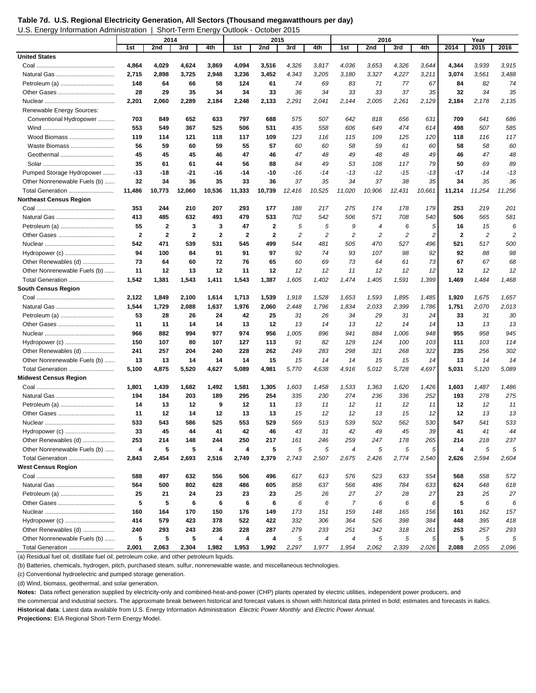**Table 7d. U.S. Regional Electricity Generation, All Sectors (Thousand megawatthours per day)**  U.S. Energy Information Administration | Short-Term Energy Outlook - October 2015

|                                |              | 2014         |              |              |              | 2015         |        |                  |                  | 2016           |        |                |        | Year       |                |
|--------------------------------|--------------|--------------|--------------|--------------|--------------|--------------|--------|------------------|------------------|----------------|--------|----------------|--------|------------|----------------|
|                                | 1st          | 2nd          | 3rd          | 4th          | 1st          | 2nd          | 3rd    | 4th              | 1st              | 2nd            | 3rd    | 4th            | 2014   | 2015       | 2016           |
| <b>United States</b>           |              |              |              |              |              |              |        |                  |                  |                |        |                |        |            |                |
|                                | 4,864        | 4,029        | 4,624        | 3,869        | 4,094        | 3,516        | 4,326  | 3,817            | 4,036            | 3,653          | 4,326  | 3,644          | 4,344  | 3,939      | 3,915          |
|                                | 2,715        | 2,898        | 3,725        | 2,948        | 3,236        | 3,452        | 4,343  | 3,205            | 3,180            | 3,327          | 4,227  | 3,211          | 3,074  | 3,561      | 3,488          |
|                                | 148          | 64           | 66           | 58           | 124          | 61           | 74     | 69               | 83               | 71             | 77     | 67             | 84     | 82         | 74             |
|                                | 28           | 29           | 35           | 34           | 34           | 33           | 36     | 34               | 33               | 33             | 37     | 35             | 32     | 34         | 35             |
|                                | 2,201        | 2,060        | 2,289        | 2,184        | 2,248        | 2,133        | 2,291  | 2,041            | 2,144            | 2,005          | 2,261  | 2,129          | 2,184  | 2,178      | 2,135          |
| Renewable Energy Sources:      |              |              |              |              |              |              |        |                  |                  |                |        |                |        |            |                |
| Conventional Hydropower        | 703          | 849          | 652          | 633          | 797          | 688          | 575    | 507              | 642              | 818            | 656    | 631            | 709    | 641        | 686            |
|                                | 553          | 549          | 367          | 525          | 506          | 531          | 435    | 558              | 606              | 649            | 474    | 614            | 498    | 507        | 585            |
| Wood Biomass                   | 119          | 114          | 121          | 118          | 117          | 109          | 123    | 116              | 115              | 109            | 125    | 120            | 118    | 116        | 117            |
| Waste Biomass                  | 56           | 59           | 60           | 59           | 55           | 57           | 60     | 60               | 58               | 59             | 61     | 60             | 58     | 58         | 60             |
| Geothermal                     | 45           | 45           | 45           | 46           | 47           | 46           | 47     | 48               | 49               | 48             | 48     | 49             | 46     | 47         | 48             |
|                                | 35           | 61           | 61           | 44           | 56           | 88           | 84     | 49               | 53               | 108            | 117    | 79             | 50     | 69         | 89             |
| Pumped Storage Hydropower      | $-13$        | -18          | $-21$        | $-16$        | $-14$        | -10          | -16    | -14              | $-13$            | $-12$          | $-15$  | $-13$          | -17    | $-14$      | $-13$          |
| Other Nonrenewable Fuels (b)   | 32           | 34           | 36           | 35           | 33           | 36           | 37     | 35               | 34               | 37             | 38     | 35             | 34     | 35         | 36             |
| Total Generation               | 11,486       | 10,773       | 12,060       | 10,536       | 11,333       | 10,739       | 12,416 | 10,525           | 11,020           | 10,906         | 12,431 | 10,661         | 11,214 | 11,254     | 11,256         |
| <b>Northeast Census Region</b> |              |              |              |              |              |              |        |                  |                  |                |        |                |        |            |                |
|                                | 353          | 244          | 210          | 207          | 293          | 177          | 188    | 217              | 275              | 174            | 178    | 179            | 253    | 219        | 201            |
|                                | 413          | 485          | 632          | 493          | 479          | 533          | 702    | 542              | 506              | 571            | 708    | 540            | 506    | 565        | 581            |
|                                | 55           | $\mathbf{2}$ | 3            | 3            | 47           | $\mathbf{2}$ | 5      | 5                | 9                | $\overline{4}$ | 6      | 5              | 16     | 15         | 6              |
|                                | $\mathbf{2}$ | $\mathbf{2}$ | $\mathbf{2}$ | $\mathbf{2}$ | $\mathbf{2}$ | $\mathbf{2}$ | 2      | $\overline{c}$   | $\overline{c}$   | $\overline{c}$ | 2      | $\overline{c}$ | 2      | 2          | $\overline{c}$ |
|                                | 542          | 471          | 539          | 531          | 545          | 499          | 544    | 481              | 505              | 470            | 527    | 496            | 521    | 517        | 500            |
| Hydropower (c)                 | 94           | 100          | 84           | 91           | 91           | 97           | 92     | 74               | 93               | 107            | 98     | 92             | 92     | 88         | 98             |
| Other Renewables (d)           | 73           | 64           | 60           | 72           | 76           | 65           | 60     | 69               | 73               | 64             | 61     | 73             | 67     | 67         | 68             |
| Other Nonrenewable Fuels (b)   | 11           | 12           | 13           | 12           | 11           | 12           | 12     | 12               | 11               | 12             | 12     | 12             | 12     | 12         | 12             |
| Total Generation               | 1,542        | 1,381        | 1,543        | 1,411        | 1,543        | 1,387        | 1,605  | 1,402            | 1,474            | 1,405          | 1,591  | 1,399          | 1,469  | 1,484      | 1,468          |
| South Census Region            |              |              |              |              |              |              |        |                  |                  |                |        |                |        |            |                |
|                                | 2,122        | 1,849        | 2,100        | 1,614        | 1,713        | 1,539        | 1,918  | 1,528            | 1,653            | 1,593          | 1,895  | 1,485          | 1,920  | 1,675      | 1,657          |
|                                | 1,544        | 1,729        | 2,088        | 1,637        | 1,976        | 2,060        | 2,448  | 1,796            | 1,834            | 2,033          | 2,399  | 1,786          | 1,751  | 2,070      | 2,013          |
|                                | 53           | 28           | 26           | 24           | 42           | 25           | 31     | 26               | 34               | 29             | 31     | 24             | 33     | 31         | 30             |
|                                | 11           | 11           | 14           | 14           | 13           | 12           | 13     | 14               | 13               | 12             | 14     | 14             | 13     | 13         | 13             |
|                                | 966          | 882          | 994          | 977          | 974          | 956          | 1,005  | 896              | 941              | 884            | 1,006  | 948            | 955    | 958        | 945            |
| Hydropower (c)                 | 150          | 107          | 80           | 107          | 127          | 113          | 91     | 82               | 129              | 124            | 100    | 103            | 111    | 103        | 114            |
| Other Renewables (d)           | 241          | 257          | 204          | 240          | 228          | 262          | 249    | 283              | 298              | 321            | 268    | 322            | 235    | 256        | 302            |
| Other Nonrenewable Fuels (b)   | 13           | 13           | 14           | 14           | 14           | 15           | 15     | 14               | 14               | 15             | 15     | 14             | 13     | 14         | 14             |
| Total Generation               | 5,100        | 4,875        | 5,520        | 4,627        | 5,089        | 4,981        | 5,770  | 4,638            | 4,916            | 5,012          | 5,728  | 4,697          | 5,031  | 5,120      | 5,089          |
| <b>Midwest Census Region</b>   |              |              |              |              |              |              |        |                  |                  |                |        |                |        |            |                |
|                                | 1,801        | 1,439        | 1,682        | 1,492        | 1,581        | 1,305        | 1,603  | 1,458            | 1,533            | 1,363          | 1,620  | 1,426          | 1,603  | 1,487      | 1,486          |
|                                | 194          | 184          | 203          | 189          | 295          | 254          | 335    | 230              | 274              | 236            | 336    | 252            | 193    | 278        | 275            |
|                                | 14           | 13           | 12           | 9            | 12           | 11           | 13     | 11               | 12               | 11             | 12     | 11             | 12     | 12         | 11             |
|                                | 11           | 12           | 14           | 12           | 13           | 13           | 15     | 12               | 12               | 13             | 15     | 12             | 12     | 13         | 13             |
|                                | 533          | 543          | 586          | 525          | 553          | 529          | 569    | 513              | 539              | 502            | 562    | 530            | 547    | 541        | 533            |
| Hydropower (c)                 | 33           | 45           | 44           | 41           | 42           | 46           | 43     | 31               | 42               | 49             | 45     | 39             | 41     | 41         | 44             |
| Other Renewables (d)           | 253          | 214          | 148          | 244          | 250          | 217          | 161    | 246              | 259              | 247            | 178    | 265            | 214    | 218        | 237            |
| Other Nonrenewable Fuels (b)   | 4            | 5            | 5            | 4            | 4            | 5            | 5      | 5                | $\boldsymbol{4}$ | 5              | 5      | 5              | 4      | 5          | 5              |
| Total Generation               | 2,843        | 2,454        | 2,693        | 2,516        | 2,749        | 2,379        | 2,743  | 2,507            | 2,675            | 2,426          | 2,774  | 2,540          | 2,626  | 2,594      | 2,604          |
| West Census Region             |              |              |              |              |              |              |        |                  |                  |                |        |                |        |            |                |
|                                | 588          | 497          | 632          | 556          | 506          | 496          | 617    | 613              | 576              | 523            | 633    | 554            | 568    | 558        | 572            |
|                                | 564          | 500          | 802          | 628          | 486          | 605          | 858    | 637              | 566              | 486            | 784    | 633            | 624    | 648        | 618            |
| Petroleum (a)                  | 25           | 21           | 24           | 23           | 23           | 23           | 25     | 26               | 27               | 27             | 28     | 27             | 23     | 25         | 27             |
|                                | ${\bf 5}$    | 5            | 6            | 6            | 6            | 6            | 6      | 6                | $\overline{7}$   | 6              | 6      | 6              | 5      | 6          | 6              |
|                                | 160          | 164          | 170          | 150          | 176          | 149          | 173    | 151              | 159              | 148            | 165    | 156            | 161    | 162        | 157            |
| Hydropower (c)                 | 414          | 579          | 423          | 378          | 522          | 422          | 332    | 306              | 364              | 526            | 398    | 384            | 448    | 395        | 418            |
| Other Renewables (d)           | 240          | 293          | 243          | 236          | 228          | 287          | 279    | 233              | 251              | 342            | 318    | 261            | 253    | 257        | 293            |
| Other Nonrenewable Fuels (b)   | 5            | 5            | 5            | 4            | 4            | 4            | 5      | $\boldsymbol{4}$ | $\boldsymbol{4}$ | 5              | 5      | 5              | 5      | $\sqrt{5}$ | 5              |
| Total Generation               | 2,001        | 2,063        | 2,304        | 1,982        | 1,953        | 1,992        | 2,297  | 1,977            | 1,954            | 2,062          | 2,339  | 2,026          | 2,088  | 2,055      | 2,096          |

(a) Residual fuel oil, distillate fuel oil, petroleum coke, and other petroleum liquids.

(b) Batteries, chemicals, hydrogen, pitch, purchased steam, sulfur, nonrenewable waste, and miscellaneous technologies.

(c) Conventional hydroelectric and pumped storage generation.

(d) Wind, biomass, geothermal, and solar generation.

**Notes:** Data reflect generation supplied by electricity-only and combined-heat-and-power (CHP) plants operated by electric utilities, independent power producers, and

the commercial and industrial sectors. The approximate break between historical and forecast values is shown with historical data printed in bold; estimates and forecasts in italics.

**Historical data**: Latest data available from U.S. Energy Information Administration *Electric Power Monthly* and *Electric Power Annual.*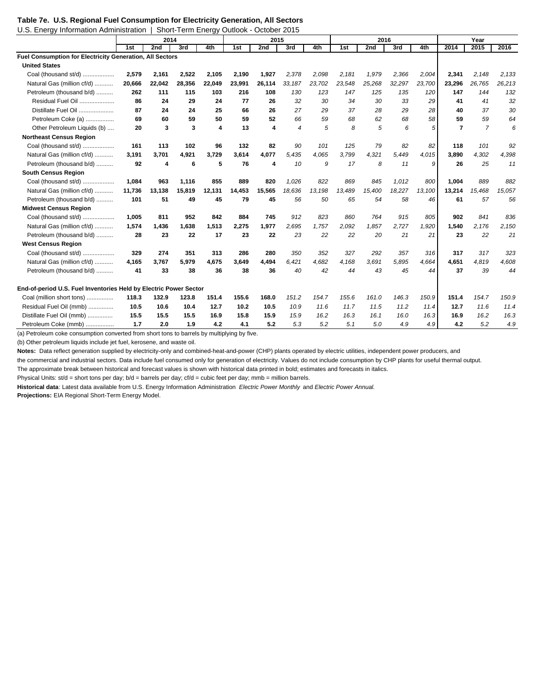| U.S. Energy Information Administration                            |        |        | Short-Term Energy Outlook - October 2015 |        |        |        |                |        |        |        |        |        |                |                |        |
|-------------------------------------------------------------------|--------|--------|------------------------------------------|--------|--------|--------|----------------|--------|--------|--------|--------|--------|----------------|----------------|--------|
|                                                                   | 2014   |        |                                          |        |        | 2015   |                |        |        | 2016   |        |        | Year           |                |        |
|                                                                   | 1st    | 2nd    | 3rd                                      | 4th    | 1st    | 2nd    | 3rd            | 4th    | 1st    | 2nd    | 3rd    | 4th    | 2014           | 2015           | 2016   |
| Fuel Consumption for Electricity Generation, All Sectors          |        |        |                                          |        |        |        |                |        |        |        |        |        |                |                |        |
| <b>United States</b>                                              |        |        |                                          |        |        |        |                |        |        |        |        |        |                |                |        |
| Coal (thousand st/d)                                              | 2,579  | 2,161  | 2,522                                    | 2,105  | 2,190  | 1,927  | 2,378          | 2.098  | 2,181  | 1,979  | 2,366  | 2,004  | 2,341          | 2,148          | 2,133  |
| Natural Gas (million cf/d)                                        | 20,666 | 22,042 | 28,356                                   | 22,049 | 23,991 | 26,114 | 33,187         | 23,702 | 23,548 | 25,268 | 32,297 | 23,700 | 23,296         | 26,765         | 26,213 |
| Petroleum (thousand b/d)                                          | 262    | 111    | 115                                      | 103    | 216    | 108    | 130            | 123    | 147    | 125    | 135    | 120    | 147            | 144            | 132    |
| Residual Fuel Oil                                                 | 86     | 24     | 29                                       | 24     | 77     | 26     | 32             | 30     | 34     | 30     | 33     | 29     | 41             | 41             | 32     |
| Distillate Fuel Oil                                               | 87     | 24     | 24                                       | 25     | 66     | 26     | 27             | 29     | 37     | 28     | 29     | 28     | 40             | 37             | 30     |
| Petroleum Coke (a)                                                | 69     | 60     | 59                                       | 50     | 59     | 52     | 66             | 59     | 68     | 62     | 68     | 58     | 59             | 59             | 64     |
| Other Petroleum Liquids (b)                                       | 20     | 3      | 3                                        | 4      | 13     | 4      | $\overline{4}$ | 5      | 8      | 5      | 6      | 5      | $\overline{7}$ | $\overline{7}$ | 6      |
| <b>Northeast Census Region</b>                                    |        |        |                                          |        |        |        |                |        |        |        |        |        |                |                |        |
| Coal (thousand st/d)                                              | 161    | 113    | 102                                      | 96     | 132    | 82     | 90             | 101    | 125    | 79     | 82     | 82     | 118            | 101            | 92     |
| Natural Gas (million cf/d)                                        | 3.191  | 3,701  | 4,921                                    | 3,729  | 3,614  | 4,077  | 5,435          | 4,065  | 3,799  | 4,321  | 5,449  | 4,015  | 3.890          | 4,302          | 4,398  |
| Petroleum (thousand b/d)                                          | 92     | 4      | 6                                        | 5      | 76     | 4      | 10             | 9      | 17     | 8      | 11     | 9      | 26             | 25             | 11     |
| <b>South Census Region</b>                                        |        |        |                                          |        |        |        |                |        |        |        |        |        |                |                |        |
| Coal (thousand st/d)                                              | 1.084  | 963    | 1,116                                    | 855    | 889    | 820    | 1,026          | 822    | 869    | 845    | 1,012  | 800    | 1,004          | 889            | 882    |
| Natural Gas (million cf/d)                                        | 11.736 | 13.138 | 15.819                                   | 12,131 | 14.453 | 15.565 | 18.636         | 13,198 | 13.489 | 15.400 | 18.227 | 13,100 | 13,214         | 15.468         | 15,057 |
| Petroleum (thousand b/d)                                          | 101    | 51     | 49                                       | 45     | 79     | 45     | 56             | 50     | 65     | 54     | 58     | 46     | 61             | 57             | 56     |
| <b>Midwest Census Region</b>                                      |        |        |                                          |        |        |        |                |        |        |        |        |        |                |                |        |
| Coal (thousand st/d)                                              | 1,005  | 811    | 952                                      | 842    | 884    | 745    | 912            | 823    | 860    | 764    | 915    | 805    | 902            | 841            | 836    |
| Natural Gas (million cf/d)                                        | 1.574  | 1,436  | 1,638                                    | 1,513  | 2,275  | 1,977  | 2,695          | 1,757  | 2,092  | 1,857  | 2,727  | 1,920  | 1,540          | 2,176          | 2,150  |
| Petroleum (thousand b/d)                                          | 28     | 23     | 22                                       | 17     | 23     | 22     | 23             | 22     | 22     | 20     | 21     | 21     | 23             | 22             | 21     |
| <b>West Census Region</b>                                         |        |        |                                          |        |        |        |                |        |        |        |        |        |                |                |        |
| Coal (thousand st/d)                                              | 329    | 274    | 351                                      | 313    | 286    | 280    | 350            | 352    | 327    | 292    | 357    | 316    | 317            | 317            | 323    |
| Natural Gas (million cf/d)                                        | 4.165  | 3,767  | 5,979                                    | 4,675  | 3,649  | 4.494  | 6,421          | 4,682  | 4,168  | 3,691  | 5,895  | 4.664  | 4,651          | 4,819          | 4,608  |
| Petroleum (thousand b/d)                                          | 41     | 33     | 38                                       | 36     | 38     | 36     | 40             | 42     | 44     | 43     | 45     | 44     | 37             | 39             | 44     |
| End-of-period U.S. Fuel Inventories Held by Electric Power Sector |        |        |                                          |        |        |        |                |        |        |        |        |        |                |                |        |
| Coal (million short tons)                                         | 118.3  | 132.9  | 123.8                                    | 151.4  | 155.6  | 168.0  | 151.2          | 154.7  | 155.6  | 161.0  | 146.3  | 150.9  | 151.4          | 154.7          | 150.9  |
| Residual Fuel Oil (mmb)                                           | 10.5   | 10.6   | 10.4                                     | 12.7   | 10.2   | 10.5   | 10.9           | 11.6   | 11.7   | 11.5   | 11.2   | 11.4   | 12.7           | 11.6           | 11.4   |
| Distillate Fuel Oil (mmb)                                         | 15.5   | 15.5   | 15.5                                     | 16.9   | 15.8   | 15.9   | 15.9           | 16.2   | 16.3   | 16.1   | 16.0   | 16.3   | 16.9           | 16.2           | 16.3   |
| Petroleum Coke (mmb)                                              | 1.7    | 2.0    | 1.9                                      | 4.2    | 4.1    | 5.2    | 5.3            | 5.2    | 5.1    | 5.0    | 4.9    | 4.9    | 4.2            | 5.2            | 4.9    |

(a) Petroleum coke consumption converted from short tons to barrels by multiplying by five.

(b) Other petroleum liquids include jet fuel, kerosene, and waste oil.

**Notes:** Data reflect generation supplied by electricity-only and combined-heat-and-power (CHP) plants operated by electric utilities, independent power producers, and

the commercial and industrial sectors. Data include fuel consumed only for generation of electricity. Values do not include consumption by CHP plants for useful thermal output.

The approximate break between historical and forecast values is shown with historical data printed in bold; estimates and forecasts in italics.

Physical Units: st/d = short tons per day; b/d = barrels per day; cf/d = cubic feet per day; mmb = million barrels.

**Historical data**: Latest data available from U.S. Energy Information Administration *Electric Power Monthly* and *Electric Power Annual.* **Projections:** EIA Regional Short-Term Energy Model.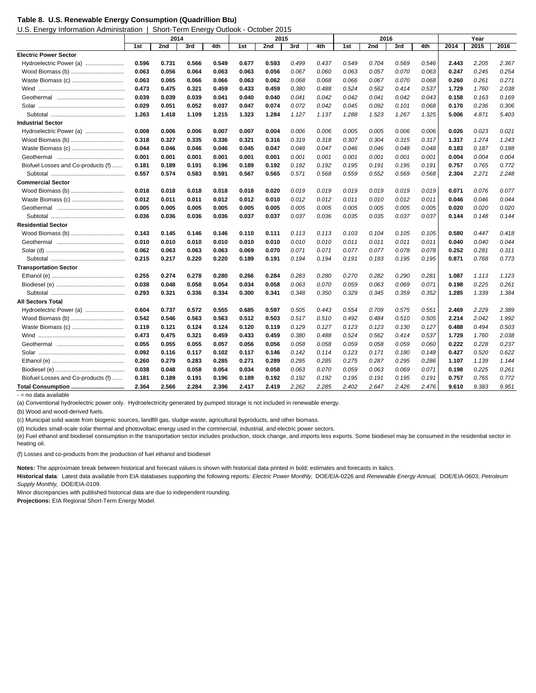|  |  | Table 8. U.S. Renewable Energy Consumption (Quadrillion Btu) |  |  |  |
|--|--|--------------------------------------------------------------|--|--|--|
|--|--|--------------------------------------------------------------|--|--|--|

U.S. Energy Information Administration | Short-Term Energy Outlook - October 2015

|                                    | 2014  |       |       |       | 2015  |       |       |       | 2016  |       |       |       | Year  |       |       |
|------------------------------------|-------|-------|-------|-------|-------|-------|-------|-------|-------|-------|-------|-------|-------|-------|-------|
|                                    | 1st   | 2nd   | 3rd   | 4th   | 1st   | 2nd   | 3rd   | 4th   | 1st   | 2nd   | 3rd   | 4th   | 2014  | 2015  | 2016  |
| <b>Electric Power Sector</b>       |       |       |       |       |       |       |       |       |       |       |       |       |       |       |       |
| Hydroelectric Power (a)            | 0.596 | 0.731 | 0.566 | 0.549 | 0.677 | 0.593 | 0.499 | 0.437 | 0.549 | 0.704 | 0.569 | 0.546 | 2.443 | 2.205 | 2.367 |
| Wood Biomass (b)                   | 0.063 | 0.056 | 0.064 | 0.063 | 0.063 | 0.056 | 0.067 | 0.060 | 0.063 | 0.057 | 0.070 | 0.063 | 0.247 | 0.245 | 0.254 |
| Waste Biomass (c)                  | 0.063 | 0.065 | 0.066 | 0.066 | 0.063 | 0.062 | 0.068 | 0.068 | 0.066 | 0.067 | 0.070 | 0.068 | 0.260 | 0.261 | 0.271 |
| Wind                               | 0.473 | 0.475 | 0.321 | 0.459 | 0.433 | 0.459 | 0.380 | 0.488 | 0.524 | 0.562 | 0.414 | 0.537 | 1.729 | 1.760 | 2.038 |
|                                    | 0.039 | 0.039 | 0.039 | 0.041 | 0.040 | 0.040 | 0.041 | 0.042 | 0.042 | 0.041 | 0.042 | 0.043 | 0.158 | 0.163 | 0.169 |
|                                    | 0.029 | 0.051 | 0.052 | 0.037 | 0.047 | 0.074 | 0.072 | 0.042 | 0.045 | 0.092 | 0.101 | 0.068 | 0.170 | 0.236 | 0.306 |
|                                    | 1.263 | 1.418 | 1.109 | 1.215 | 1.323 | 1.284 | 1.127 | 1.137 | 1.288 | 1.523 | 1.267 | 1.325 | 5.006 | 4.871 | 5.403 |
| <b>Industrial Sector</b>           |       |       |       |       |       |       |       |       |       |       |       |       |       |       |       |
| Hydroelectric Power (a)            | 0.008 | 0.006 | 0.006 | 0.007 | 0.007 | 0.004 | 0.006 | 0.006 | 0.005 | 0.005 | 0.006 | 0.006 | 0.026 | 0.023 | 0.021 |
| Wood Biomass (b)                   | 0.318 | 0.327 | 0.335 | 0.336 | 0.321 | 0.316 | 0.319 | 0.318 | 0.307 | 0.304 | 0.315 | 0.317 | 1.317 | 1.274 | 1.243 |
| Waste Biomass (c)                  | 0.044 | 0.046 | 0.046 | 0.046 | 0.045 | 0.047 | 0.048 | 0.047 | 0.046 | 0.046 | 0.048 | 0.048 | 0.183 | 0.187 | 0.188 |
|                                    | 0.001 | 0.001 | 0.001 | 0.001 | 0.001 | 0.001 | 0.001 | 0.001 | 0.001 | 0.001 | 0.001 | 0.001 | 0.004 | 0.004 | 0.004 |
| Biofuel Losses and Co-products (f) | 0.181 | 0.189 | 0.191 | 0.196 | 0.189 | 0.192 | 0.192 | 0.192 | 0.195 | 0.191 | 0.195 | 0.191 | 0.757 | 0.765 | 0.772 |
|                                    | 0.557 | 0.574 | 0.583 | 0.591 | 0.567 | 0.565 | 0.571 | 0.568 | 0.559 | 0.552 | 0.569 | 0.568 | 2.304 | 2.271 | 2.248 |
| <b>Commercial Sector</b>           |       |       |       |       |       |       |       |       |       |       |       |       |       |       |       |
| Wood Biomass (b)                   | 0.018 | 0.018 | 0.018 | 0.018 | 0.018 | 0.020 | 0.019 | 0.019 | 0.019 | 0.019 | 0.019 | 0.019 | 0.071 | 0.076 | 0.077 |
| Waste Biomass (c)                  | 0.012 | 0.011 | 0.011 | 0.012 | 0.012 | 0.010 | 0.012 | 0.012 | 0.011 | 0.010 | 0.012 | 0.011 | 0.046 | 0.046 | 0.044 |
|                                    | 0.005 | 0.005 | 0.005 | 0.005 | 0.005 | 0.005 | 0.005 | 0.005 | 0.005 | 0.005 | 0.005 | 0.005 | 0.020 | 0.020 | 0.020 |
|                                    | 0.036 | 0.036 | 0.036 | 0.036 | 0.037 | 0.037 | 0.037 | 0.036 | 0.035 | 0.035 | 0.037 | 0.037 | 0.144 | 0.148 | 0.144 |
| <b>Residential Sector</b>          |       |       |       |       |       |       |       |       |       |       |       |       |       |       |       |
|                                    | 0.143 | 0.145 | 0.146 | 0.146 | 0.110 | 0.111 | 0.113 | 0.113 | 0.103 | 0.104 | 0.105 | 0.105 | 0.580 | 0.447 | 0.418 |
|                                    | 0.010 | 0.010 | 0.010 | 0.010 | 0.010 | 0.010 | 0.010 | 0.010 | 0.011 | 0.011 | 0.011 | 0.011 | 0.040 | 0.040 | 0.044 |
|                                    | 0.062 | 0.063 | 0.063 | 0.063 | 0.069 | 0.070 | 0.071 | 0.071 | 0.077 | 0.077 | 0.078 | 0.078 | 0.252 | 0.281 | 0.311 |
|                                    | 0.215 | 0.217 | 0.220 | 0.220 | 0.189 | 0.191 | 0.194 | 0.194 | 0.191 | 0.193 | 0.195 | 0.195 | 0.871 | 0.768 | 0.773 |
| <b>Transportation Sector</b>       |       |       |       |       |       |       |       |       |       |       |       |       |       |       |       |
|                                    | 0.255 | 0.274 | 0.278 | 0.280 | 0.266 | 0.284 | 0.283 | 0.280 | 0.270 | 0.282 | 0.290 | 0.281 | 1.087 | 1.113 | 1.123 |
|                                    | 0.038 | 0.048 | 0.058 | 0.054 | 0.034 | 0.058 | 0.063 | 0.070 | 0.059 | 0.063 | 0.069 | 0.071 | 0.198 | 0.225 | 0.261 |
|                                    | 0.293 | 0.321 | 0.336 | 0.334 | 0.300 | 0.341 | 0.348 | 0.350 | 0.329 | 0.345 | 0.359 | 0.352 | 1.285 | 1.339 | 1.384 |
| <b>All Sectors Total</b>           |       |       |       |       |       |       |       |       |       |       |       |       |       |       |       |
| Hydroelectric Power (a)            | 0.604 | 0.737 | 0.572 | 0.555 | 0.685 | 0.597 | 0.505 | 0.443 | 0.554 | 0.709 | 0.575 | 0.551 | 2.469 | 2.229 | 2.389 |
| Wood Biomass (b)                   | 0.542 | 0.546 | 0.563 | 0.563 | 0.512 | 0.503 | 0.517 | 0.510 | 0.492 | 0.484 | 0.510 | 0.505 | 2.214 | 2.042 | 1.992 |
|                                    | 0.119 | 0.121 | 0.124 | 0.124 | 0.120 | 0.119 | 0.129 | 0.127 | 0.123 | 0.123 | 0.130 | 0.127 | 0.488 | 0.494 | 0.503 |
| Wind                               | 0.473 | 0.475 | 0.321 | 0.459 | 0.433 | 0.459 | 0.380 | 0.488 | 0.524 | 0.562 | 0.414 | 0.537 | 1.729 | 1.760 | 2.038 |
|                                    | 0.055 | 0.055 | 0.055 | 0.057 | 0.056 | 0.056 | 0.058 | 0.058 | 0.059 | 0.058 | 0.059 | 0.060 | 0.222 | 0.228 | 0.237 |
|                                    | 0.092 | 0.116 | 0.117 | 0.102 | 0.117 | 0.146 | 0.142 | 0.114 | 0.123 | 0.171 | 0.180 | 0.148 | 0.427 | 0.520 | 0.622 |
|                                    | 0.260 | 0.279 | 0.283 | 0.285 | 0.271 | 0.289 | 0.295 | 0.285 | 0.275 | 0.287 | 0.295 | 0.286 | 1.107 | 1.139 | 1.144 |
|                                    | 0.038 | 0.048 | 0.058 | 0.054 | 0.034 | 0.058 | 0.063 | 0.070 | 0.059 | 0.063 | 0.069 | 0.071 | 0.198 | 0.225 | 0.261 |
| Biofuel Losses and Co-products (f) | 0.181 | 0.189 | 0.191 | 0.196 | 0.189 | 0.192 | 0.192 | 0.192 | 0.195 | 0.191 | 0.195 | 0.191 | 0.757 | 0.765 | 0.772 |
| Total Consumption                  | 2.364 | 2.566 | 2.284 | 2.396 | 2.417 | 2.419 | 2.262 | 2.285 | 2.402 | 2.647 | 2.426 | 2.476 | 9.610 | 9.383 | 9.951 |
| - = no data available              |       |       |       |       |       |       |       |       |       |       |       |       |       |       |       |

(a) Conventional hydroelectric power only. Hydroelectricity generated by pumped storage is not included in renewable energy.

(b) Wood and wood-derived fuels.

(c) Municipal solid waste from biogenic sources, landfill gas, sludge waste, agricultural byproducts, and other biomass.

(d) Includes small-scale solar thermal and photovoltaic energy used in the commercial, industrial, and electric power sectors.

(e) Fuel ethanol and biodiesel consumption in the transportation sector includes production, stock change, and imports less exports. Some biodiesel may be consumed in the residential sector in heating oil.

(f) Losses and co-products from the production of fuel ethanol and biodiesel

**Notes:** The approximate break between historical and forecast values is shown with historical data printed in bold; estimates and forecasts in italics.

**Historical data**: Latest data available from EIA databases supporting the following reports: *Electric Power Monthly,* DOE/EIA-0226 and *Renewable Energy Annual,* DOE/EIA-0603; *Petroleum Supply Monthly,* DOE/EIA-0109.

Minor discrepancies with published historical data are due to independent rounding.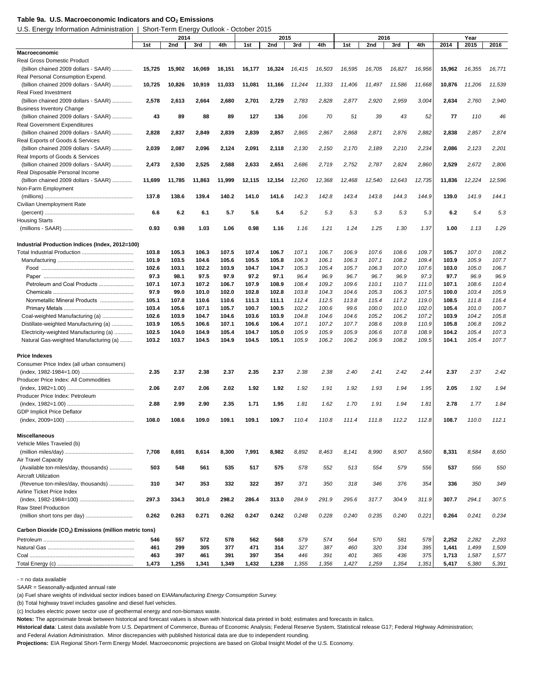#### Table 9a. U.S. Macroeconomic Indicators and CO<sub>2</sub> Emissions

U.S. Energy Information Administration | Short-Term Energy Outlook - October 2015

|                                                                       | 2014           |                |                |                |                | 2016           |                |                |                | Year           |                |                |                |                |                |
|-----------------------------------------------------------------------|----------------|----------------|----------------|----------------|----------------|----------------|----------------|----------------|----------------|----------------|----------------|----------------|----------------|----------------|----------------|
|                                                                       | 1st            | 2nd            | 3rd            | 4th            | 1st            | 2015<br>2nd    | 3rd            | 4th            | 1st            | 2nd            | 3rd            | 4th            | 2014           | 2015           | 2016           |
| Macroeconomic                                                         |                |                |                |                |                |                |                |                |                |                |                |                |                |                |                |
| <b>Real Gross Domestic Product</b>                                    |                |                |                |                |                |                |                |                |                |                |                |                |                |                |                |
| (billion chained 2009 dollars - SAAR)                                 | 15,725         | 15,902         | 16,069         | 16,151         | 16,177         | 16,324         | 16,415         | 16,503         | 16,595         | 16,705         | 16,827         | 16,956         | 15,962         | 16,355         | 16,771         |
| Real Personal Consumption Expend.                                     |                |                |                |                |                |                |                |                |                |                |                |                |                |                |                |
| (billion chained 2009 dollars - SAAR)<br><b>Real Fixed Investment</b> | 10,725         | 10,826         | 10,919         | 11,033         | 11,081         | 11,166         | 11,244         | 11,333         | 11,406         | 11,497         | 11,586         | 11,668         | 10,876         | 11,206         | 11,539         |
| (billion chained 2009 dollars - SAAR)                                 | 2,578          | 2,613          | 2,664          | 2,680          | 2,701          | 2,729          | 2,783          | 2,828          | 2,877          | 2,920          | 2,959          | 3,004          | 2,634          | 2,760          | 2,940          |
| <b>Business Inventory Change</b>                                      |                |                |                |                |                |                |                |                |                |                |                |                |                |                |                |
| (billion chained 2009 dollars - SAAR)                                 | 43             | 89             | 88             | 89             | 127            | 136            | 106            | 70             | 51             | 39             | 43             | 52             | 77             | 110            | 46             |
| Real Government Expenditures                                          |                |                |                |                |                |                |                |                |                |                |                |                |                |                |                |
| (billion chained 2009 dollars - SAAR)                                 | 2,828          | 2,837          | 2,849          | 2,839          | 2,839          | 2,857          | 2,865          | 2,867          | 2,868          | 2,871          | 2,876          | 2,882          | 2,838          | 2,857          | 2,874          |
| Real Exports of Goods & Services                                      |                |                |                |                |                |                |                |                |                |                |                |                |                |                |                |
| (billion chained 2009 dollars - SAAR)                                 | 2,039          | 2,087          | 2,096          | 2,124          | 2,091          | 2,118          | 2,130          | 2,150          | 2,170          | 2,189          | 2,210          | 2,234          | 2,086          | 2,123          | 2,201          |
| Real Imports of Goods & Services                                      |                |                |                |                |                |                |                |                |                |                |                |                |                |                |                |
| (billion chained 2009 dollars - SAAR)                                 | 2,473          | 2,530          | 2,525          | 2,588          | 2,633          | 2,651          | 2,686          | 2,719          | 2,752          | 2,787          | 2,824          | 2,860          | 2,529          | 2,672          | 2,806          |
| Real Disposable Personal Income                                       |                |                |                |                |                |                |                |                |                |                |                |                |                |                |                |
| (billion chained 2009 dollars - SAAR)<br>Non-Farm Employment          | 11,699         | 11,785         | 11,863         | 11,999         | 12,115         | 12,154         | 12,260         | 12,368         | 12,468         | 12,540         | 12,643         | 12,735         | 11,836         | 12,224         | 12,596         |
|                                                                       | 137.8          | 138.6          | 139.4          | 140.2          | 141.0          | 141.6          | 142.3          | 142.8          | 143.4          | 143.8          | 144.3          | 144.9          | 139.0          | 141.9          | 144.1          |
| Civilian Unemployment Rate                                            |                |                |                |                |                |                |                |                |                |                |                |                |                |                |                |
|                                                                       | 6.6            | 6.2            | 6.1            | 5.7            | 5.6            | 5.4            | 5.2            | 5.3            | 5.3            | 5.3            | 5.3            | 5.3            | 6.2            | 5.4            | 5.3            |
| <b>Housing Starts</b>                                                 |                |                |                |                |                |                |                |                |                |                |                |                |                |                |                |
|                                                                       | 0.93           | 0.98           | 1.03           | 1.06           | 0.98           | 1.16           | 1.16           | 1.21           | 1.24           | 1.25           | 1.30           | 1.37           | 1.00           | 1.13           | 1.29           |
|                                                                       |                |                |                |                |                |                |                |                |                |                |                |                |                |                |                |
| Industrial Production Indices (Index, 2012=100)                       |                |                |                |                |                |                |                |                |                |                |                |                |                |                |                |
|                                                                       | 103.8          | 105.3          | 106.3          | 107.5          | 107.4          | 106.7          | 107.1          | 106.7          | 106.9          | 107.6          | 108.6          | 109.7          | 105.7          | 107.0          | 108.2          |
|                                                                       | 101.9<br>102.6 | 103.5<br>103.1 | 104.6<br>102.2 | 105.6<br>103.9 | 105.5<br>104.7 | 105.8<br>104.7 | 106.3<br>105.3 | 106.1<br>105.4 | 106.3<br>105.7 | 107.1<br>106.3 | 108.2<br>107.0 | 109.4<br>107.6 | 103.9<br>103.0 | 105.9<br>105.0 | 107.7<br>106.7 |
|                                                                       | 97.3           | 98.1           | 97.5           | 97.9           | 97.2           | 97.1           | 96.4           | 96.9           | 96.7           | 96.7           | 96.9           | 97.3           | 97.7           | 96.9           | 96.9           |
| Petroleum and Coal Products                                           | 107.1          | 107.3          | 107.2          | 106.7          | 107.9          | 108.9          | 108.4          | 109.2          | 109.6          | 110.1          | 110.7          | 111.0          | 107.1          | 108.6          | 110.4          |
|                                                                       | 97.9           | 99.0           | 101.0          | 102.0          | 102.8          | 102.8          | 103.8          | 104.3          | 104.6          | 105.3          | 106.3          | 107.5          | 100.0          | 103.4          | 105.9          |
| Nonmetallic Mineral Products                                          | 105.1          | 107.8          | 110.6          | 110.6          | 111.3          | 111.1          | 112.4          | 112.5          | 113.8          | 115.4          | 117.2          | 119.0          | 108.5          | 111.8          | 116.4          |
|                                                                       | 103.4          | 105.6          | 107.1          | 105.7          | 100.7          | 100.5          | 102.2          | 100.6          | 99.6           | 100.0          | 101.0          | 102.0          | 105.4          | 101.0          | 100.7          |
| Coal-weighted Manufacturing (a)                                       | 102.6          | 103.9          | 104.7          | 104.6          | 103.6          | 103.9          | 104.8          | 104.6          | 104.6          | 105.2          | 106.2          | 107.2          | 103.9          | 104.2          | 105.8          |
| Distillate-weighted Manufacturing (a)                                 | 103.9          | 105.5          | 106.6          | 107.1          | 106.6          | 106.4          | 107.1          | 107.2          | 107.7          | 108.6          | 109.8          | 110.9          | 105.8          | 106.8          | 109.2          |
| Electricity-weighted Manufacturing (a)                                | 102.5          | 104.0          | 104.9          | 105.4          | 104.7          | 105.0          | 105.9          | 105.9          | 105.9          | 106.6          | 107.8          | 108.9          | 104.2          | 105.4          | 107.3          |
| Natural Gas-weighted Manufacturing (a)                                | 103.2          | 103.7          | 104.5          | 104.9          | 104.5          | 105.1          | 105.9          | 106.2          | 106.2          | 106.9          | 108.2          | 109.5          | 104.1          | 105.4          | 107.7          |
| <b>Price Indexes</b>                                                  |                |                |                |                |                |                |                |                |                |                |                |                |                |                |                |
| Consumer Price Index (all urban consumers)                            |                |                |                |                |                |                |                |                |                |                |                |                |                |                |                |
|                                                                       | 2.35           | 2.37           | 2.38           | 2.37           | 2.35           | 2.37           | 2.38           | 2.38           | 2.40           | 2.41           | 2.42           | 2.44           | 2.37           | 2.37           | 2.42           |
| Producer Price Index: All Commodities                                 |                |                |                |                |                |                |                |                |                |                |                |                |                |                |                |
|                                                                       | 2.06           | 2.07           | 2.06           | 2.02           | 1.92           | 1.92           | 1.92           | 1.91           | 1.92           | 1.93           | 1.94           | 1.95           | 2.05           | 1.92           | 1.94           |
| Producer Price Index: Petroleum                                       |                |                |                |                |                |                |                |                |                |                |                |                |                |                |                |
|                                                                       | 2.88           | 2.99           | 2.90           | 2.35           | 1.71           | 1.95           | 1.81           | 1.62           | 1.70           | 1.91           | 1.94           | 1.81           | 2.78           | 1.77           | 1.84           |
| <b>GDP Implicit Price Deflator</b>                                    |                |                |                |                |                |                |                |                |                |                |                |                |                |                |                |
|                                                                       | 108.0          | 108.6          | 109.0          | 109.1          | 109.1          | 109.7          | 110.4          | 110.8          | 111.4          | 111.8          | 112.2          | 112.8          | 108.7          | 110.0          | 112.1          |
| <b>Miscellaneous</b>                                                  |                |                |                |                |                |                |                |                |                |                |                |                |                |                |                |
| Vehicle Miles Traveled (b)                                            |                |                |                |                |                |                |                |                |                |                |                |                |                |                |                |
|                                                                       | 7,708          | 8,691          | 8,614          | 8,300          | 7,991          | 8,982          | 8,892          | 8,463          | 8,141          | 8,990          | 8,907          | 8,560          | 8,331          | 8,584          | 8,650          |
| Air Travel Capacity                                                   |                |                |                |                |                |                |                |                |                |                |                |                |                |                |                |
| (Available ton-miles/day, thousands)                                  | 503            | 548            | 561            | 535            | 517            | 575            | 578            | 552            | 513            | 554            | 579            | 556            | 537            | 556            | 550            |
| <b>Aircraft Utilization</b>                                           |                |                |                |                |                |                |                |                |                |                |                |                |                |                |                |
| (Revenue ton-miles/day, thousands)                                    | 310            | 347            | 353            | 332            | 322            | 357            | 371            | 350            | 318            | 346            | 376            | 354            | 336            | 350            | 349            |
| Airline Ticket Price Index                                            |                |                |                |                |                |                |                |                |                |                |                |                |                |                |                |
|                                                                       | 297.3          | 334.3          | 301.0          | 298.2          | 286.4          | 313.0          | 284.9          | 291.9          | 295.6          | 317.7          | 304.9          | 311.9          | 307.7          | 294.1          | 307.5          |
| Raw Steel Production                                                  |                |                |                |                |                |                |                |                |                |                |                |                |                |                |                |
|                                                                       | 0.262          | 0.263          | 0.271          | 0.262          | 0.247          | 0.242          | 0.248          | 0.228          | 0.240          | 0.235          | 0.240          | 0.221          | 0.264          | 0.241          | 0.234          |
| Carbon Dioxide (CO <sub>2</sub> ) Emissions (million metric tons)     |                |                |                |                |                |                |                |                |                |                |                |                |                |                |                |
|                                                                       | 546            | 557            | 572            | 578            | 562            | 568            | 579            | 574            | 564            | 570            | 581            | 578            | 2,252          | 2,282          | 2,293          |
|                                                                       | 461            | 299            | 305            | 377            | 471            | 314            | 327            | 387            | 460            | 320            | 334            | 395            | 1,441          | 1,499          | 1,509          |
|                                                                       | 463            | 397            | 461            | 391            | 397            | 354            | 446            | 391            | 401            | 365            | 436            | 375            | 1,713          | 1,587          | 1,577          |
|                                                                       | 1,473          | 1,255          | 1,341          | 1,349          | 1,432          | 1,238          | 1,355          | 1,356          | 1,427          | 1,259          | 1,354          | 1,351          | 5,417          | 5,380          | 5,391          |

- = no data available

SAAR = Seasonally-adjusted annual rate

(a) Fuel share weights of individual sector indices based on EIA *Manufacturing Energy Consumption Survey*.

(b) Total highway travel includes gasoline and diesel fuel vehicles.

(c) Includes electric power sector use of geothermal energy and non-biomass waste.

**Notes:** The approximate break between historical and forecast values is shown with historical data printed in bold; estimates and forecasts in italics.

and Federal Aviation Administration. Minor discrepancies with published historical data are due to independent rounding. **Historical data**: Latest data available from U.S. Department of Commerce, Bureau of Economic Analysis; Federal Reserve System, Statistical release G17; Federal Highway Administration;

**Projections:** EIA Regional Short-Term Energy Model. Macroeconomic projections are based on Global Insight Model of the U.S. Economy.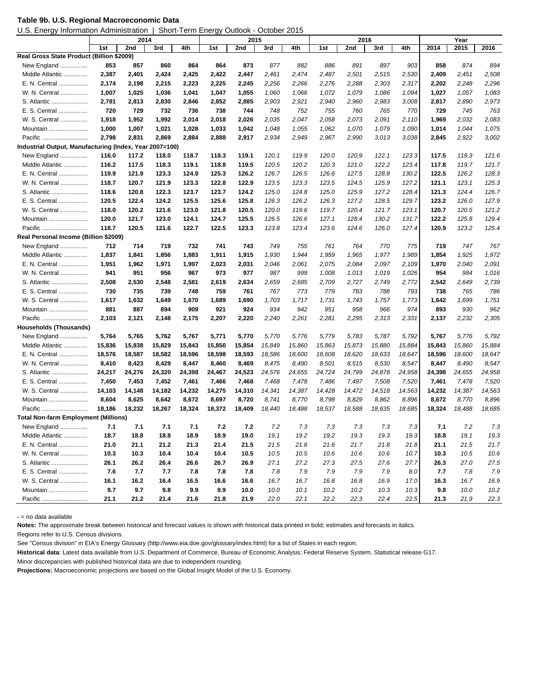U.S. Energy Information Administration | Short-Term Energy Outlook - October 2015

|                                                         | 2014   |        |        |        |        |             |        |        |        |             | Year         |        |        |        |        |
|---------------------------------------------------------|--------|--------|--------|--------|--------|-------------|--------|--------|--------|-------------|--------------|--------|--------|--------|--------|
|                                                         | 1st    | 2nd    | 3rd    | 4th    | 1st    | 2015<br>2nd | 3rd    | 4th    | 1st    | 2016<br>2nd | 3rd          | 4th    | 2014   | 2015   | 2016   |
| Real Gross State Product (Billion \$2009)               |        |        |        |        |        |             |        |        |        |             |              |        |        |        |        |
| New England                                             | 853    | 857    | 860    | 864    | 864    | 873         | 877    | 882    | 886    | 891         | 897          | 903    | 858    | 874    | 894    |
| Middle Atlantic                                         | 2,387  | 2,401  | 2,424  | 2,425  | 2,422  | 2,447       | 2,461  | 2,474  | 2,487  | 2,501       | 2,515        | 2,530  | 2,409  | 2,451  | 2,508  |
| E. N. Central                                           | 2,174  | 2,198  | 2,215  | 2,223  | 2,225  | 2,245       | 2,256  | 2,266  | 2,276  | 2,288       | 2,303        | 2,317  | 2,202  | 2,248  | 2,296  |
| W. N. Central                                           | 1,007  | 1,025  | 1,036  | 1,041  | 1,047  | 1,055       | 1,060  | 1,066  | 1,072  | 1,079       | 1,086        | 1,094  | 1,027  | 1,057  | 1,083  |
| S. Atlantic                                             | 2,781  | 2,813  | 2,830  | 2,846  | 2,852  | 2,885       | 2,903  | 2,921  | 2,940  | 2,960       | 2,983        | 3,008  | 2,817  | 2,890  | 2,973  |
|                                                         | 720    | 729    | 732    | 736    |        | 744         | 748    | 752    | 755    | 760         |              |        | 729    | 745    | 763    |
| E. S. Central<br>W. S. Central                          | 1,918  | 1,952  |        |        | 738    | 2,026       | 2,035  | 2,047  | 2,058  | 2,073       | 765<br>2,091 | 770    | 1,969  | 2,032  | 2,083  |
|                                                         |        |        | 1,992  | 2,014  | 2,018  |             |        |        |        |             |              | 2,110  |        |        |        |
| Mountain                                                | 1,000  | 1,007  | 1,021  | 1,028  | 1,033  | 1,042       | 1,048  | 1,055  | 1,062  | 1,070       | 1,079        | 1,090  | 1,014  | 1,044  | 1,075  |
| Pacific                                                 | 2,798  | 2,831  | 2,869  | 2,884  | 2,888  | 2,917       | 2,934  | 2,949  | 2,967  | 2,990       | 3,013        | 3,038  | 2,845  | 2,922  | 3,002  |
| Industrial Output, Manufacturing (Index, Year 2007=100) |        |        |        |        |        |             |        |        |        |             |              |        |        |        |        |
| New England                                             | 116.0  | 117.2  | 118.0  | 118.7  | 118.3  | 119.1       | 120.1  | 119.9  | 120.0  | 120.9       | 122.1        | 123.3  | 117.5  | 119.3  | 121.6  |
| Middle Atlantic                                         | 116.2  | 117.5  | 118.3  | 119.1  | 118.8  | 119.5       | 120.5  | 120.2  | 120.3  | 121.0       | 122.2        | 123.4  | 117.8  | 119.7  | 121.7  |
| E. N. Central                                           | 119.9  | 121.9  | 123.3  | 124.9  | 125.3  | 126.2       | 126.7  | 126.5  | 126.6  | 127.5       | 128.8        | 130.2  | 122.5  | 126.2  | 128.3  |
| W. N. Central                                           | 118.7  | 120.7  | 121.9  | 123.3  | 122.8  | 122.9       | 123.5  | 123.3  | 123.5  | 124.5       | 125.9        | 127.2  | 121.1  | 123.1  | 125.3  |
| S. Atlantic                                             | 118.6  | 120.8  | 122.3  | 123.7  | 123.7  | 124.2       | 125.0  | 124.8  | 125.0  | 125.9       | 127.2        | 128.4  | 121.3  | 124.4  | 126.7  |
| E. S.<br>Central                                        | 120.5  | 122.4  | 124.2  | 125.5  | 125.6  | 125.8       | 126.3  | 126.2  | 126.3  | 127.2       | 128.5        | 129.7  | 123.2  | 126.0  | 127.9  |
| W. S. Central                                           | 118.0  | 120.2  | 121.6  | 123.0  | 121.8  | 120.5       | 120.0  | 119.6  | 119.7  | 120.4       | 121.7        | 123.1  | 120.7  | 120.5  | 121.2  |
| Mountain                                                | 120.0  | 121.7  | 123.0  | 124.1  | 124.7  | 125.5       | 126.5  | 126.6  | 127.1  | 128.4       | 130.2        | 131.7  | 122.2  | 125.8  | 129.4  |
| Pacific                                                 | 118.7  | 120.5  | 121.6  | 122.7  | 122.5  | 123.3       | 123.8  | 123.4  | 123.6  | 124.6       | 126.0        | 127.4  | 120.9  | 123.2  | 125.4  |
| Real Personal Income (Billion \$2009)                   |        |        |        |        |        |             |        |        |        |             |              |        |        |        |        |
| New England                                             | 712    | 714    | 719    | 732    | 741    | 743         | 749    | 755    | 761    | 764         | 770          | 775    | 719    | 747    | 767    |
| Middle Atlantic                                         | 1,837  | 1,841  | 1,856  | 1,883  | 1,911  | 1,915       | 1,930  | 1,944  | 1,959  | 1,965       | 1,977        | 1,989  | 1,854  | 1,925  | 1,972  |
| E. N. Central                                           | 1,951  | 1,962  | 1,971  | 1,997  | 2,023  | 2,031       | 2,046  | 2,061  | 2,075  | 2,084       | 2,097        | 2,109  | 1,970  | 2,040  | 2,091  |
| W. N. Central                                           | 941    | 951    | 956    | 967    | 973    | 977         | 987    | 999    | 1,008  | 1,013       | 1,019        | 1,026  | 954    | 984    | 1,016  |
| S. Atlantic                                             | 2,508  | 2,530  | 2,548  | 2,581  | 2,619  | 2,634       | 2,659  | 2,685  | 2,709  | 2,727       | 2,749        | 2,772  | 2,542  | 2,649  | 2,739  |
| E. S. Central                                           | 730    | 735    | 739    | 748    | 759    | 761         | 767    | 773    | 779    | 783         | 788          | 793    | 738    | 765    | 786    |
| W. S. Central                                           | 1,617  | 1,632  | 1,649  | 1,670  | 1,689  | 1,690       | 1,703  | 1,717  | 1,731  | 1,743       | 1,757        | 1,773  | 1,642  | 1,699  | 1,751  |
| Mountain                                                | 881    | 887    | 894    | 909    | 921    | 924         | 934    | 942    | 951    | 958         | 966          | 974    | 893    | 930    | 962    |
| Pacific                                                 | 2,103  | 2,121  | 2,148  | 2,175  | 2,207  | 2,220       | 2,240  | 2,261  | 2,281  | 2,295       | 2,313        | 2,331  | 2,137  | 2,232  | 2,305  |
| <b>Households (Thousands)</b>                           |        |        |        |        |        |             |        |        |        |             |              |        |        |        |        |
| New England                                             | 5,764  | 5,765  | 5,762  | 5,767  | 5,771  | 5,770       | 5,770  | 5,776  | 5,779  | 5,783       | 5,787        | 5,792  | 5,767  | 5,776  | 5,792  |
| Middle Atlantic                                         | 15,836 | 15,838 | 15,829 | 15,843 | 15,850 | 15,854      | 15,849 | 15,860 | 15,863 | 15,873      | 15,880       | 15,884 | 15,843 | 15,860 | 15,884 |
| E. N. Central                                           | 18,576 | 18,587 | 18,582 | 18,596 | 18,598 | 18,593      | 18,586 | 18,600 | 18,608 | 18,620      | 18,633       | 18,647 | 18,596 | 18,600 | 18,647 |
| W. N. Central                                           | 8,410  | 8,423  | 8,429  | 8,447  | 8,460  | 8,469       | 8,475  | 8,490  | 8,501  | 8,515       | 8,530        | 8,547  | 8,447  | 8,490  | 8,547  |
| S. Atlantic                                             | 24,217 | 24,276 | 24,320 | 24,398 | 24,467 | 24,523      | 24,576 | 24,655 | 24,724 | 24,799      | 24,878       | 24,958 | 24,398 | 24,655 | 24,958 |
| E. S. Central                                           | 7,450  | 7,453  | 7,452  | 7,461  | 7,466  | 7,468       | 7,468  | 7,478  | 7,486  | 7,497       | 7,508        | 7,520  | 7,461  | 7,478  | 7,520  |
| W. S. Central                                           | 14,103 | 14,148 | 14,182 | 14,232 | 14,275 | 14,310      | 14,341 | 14,387 | 14,428 | 14,472      | 14,518       | 14,563 | 14,232 | 14,387 | 14,563 |
| Mountain                                                | 8,604  | 8,625  | 8,642  | 8,672  | 8,697  | 8,720       | 8,741  | 8,770  | 8,798  | 8,829       | 8,862        | 8,896  | 8,672  | 8,770  | 8,896  |
| Pacific                                                 | 18,186 | 18,232 | 18,267 | 18,324 | 18,372 | 18,409      | 18.440 | 18,488 | 18,537 | 18,588      | 18,635       | 18,685 | 18,324 | 18,488 | 18,685 |
| <b>Total Non-farm Employment (Millions)</b>             |        |        |        |        |        |             |        |        |        |             |              |        |        |        |        |
| New England                                             | 7.1    | 7.1    | 7.1    | 7.1    | 7.2    | 7.2         | 7.2    | 7.3    | 7.3    | 7.3         | 7.3          | 7.3    | 7.1    | 7.2    | 7.3    |
| Middle Atlantic                                         | 18.7   | 18.8   | 18.8   | 18.9   | 18.9   | 19.0        | 19.1   | 19.2   | 19.2   | 19.3        | 19.3         | 19.3   | 18.8   | 19.1   | 19.3   |
| E. N. Central                                           | 21.0   | 21.1   | 21.2   | 21.3   | 21.4   | 21.5        | 21.5   | 21.6   | 21.6   | 21.7        | 21.8         | 21.8   | 21.1   | 21.5   | 21.7   |
| W. N. Central                                           | 10.3   | 10.3   | 10.4   | 10.4   | 10.4   | 10.5        | 10.5   | 10.5   | 10.6   | 10.6        | 10.6         | 10.7   | 10.3   | 10.5   | 10.6   |
| S. Atlantic                                             | 26.1   | 26.2   | 26.4   | 26.6   | 26.7   | 26.9        | 27.1   | 27.2   | 27.3   | 27.5        | 27.6         | 27.7   | 26.3   | 27.0   | 27.5   |
| E. S. Central                                           | 7.6    | 7.7    | 7.7    | 7.8    | 7.8    | 7.8         | 7.8    | 7.9    | 7.9    | 7.9         | 7.9          | 8.0    | 7.7    | 7.8    | 7.9    |
| W. S. Central                                           | 16.1   | 16.2   | 16.4   | 16.5   | 16.6   | 16.6        | 16.7   | 16.7   | 16.8   | 16.8        | 16.9         | 17.0   | 16.3   | 16.7   | 16.9   |
| Mountain                                                | 9.7    | 9.7    | 9.8    | 9.9    | 9.9    | 10.0        | 10.0   | 10.1   | 10.2   | 10.2        | 10.3         | 10.3   | 9.8    | 10.0   | 10.2   |
| Pacific                                                 | 21.1   | 21.2   | 21.4   | 21.6   | 21.8   | 21.9        | 22.0   | 22.1   | 22.2   | 22.3        | 22.4         | 22.5   | 21.3   | 21.9   | 22.3   |

- = no data available

**Notes:** The approximate break between historical and forecast values is shown with historical data printed in bold; estimates and forecasts in italics.

Regions refer to U.S. Census divisions.

See "Census division" in EIA's Energy Glossary (http://www.eia.doe.gov/glossary/index.html) for a list of States in each region.

**Historical data**: Latest data available from U.S. Department of Commerce, Bureau of Economic Analysis; Federal Reserve System, Statistical release G17.

Minor discrepancies with published historical data are due to independent rounding.

**Projections:** Macroeconomic projections are based on the Global Insight Model of the U.S. Economy.